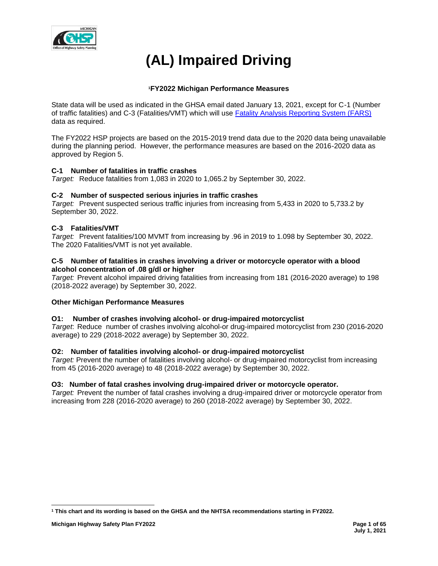

# **(AL) Impaired Driving**

# **<sup>1</sup>FY2022 Michigan Performance Measures**

State data will be used as indicated in the GHSA email dated January 13, 2021, except for C-1 (Number of traffic fatalities) and C-3 (Fatalities/VMT) which will use [Fatality Analysis Reporting System \(FARS\)](https://cdan.nhtsa.gov/SASStoredProcess/guest) data as required.

The FY2022 HSP projects are based on the 2015-2019 trend data due to the 2020 data being unavailable during the planning period. However, the performance measures are based on the 2016-2020 data as approved by Region 5.

# **C-1 Number of fatalities in traffic crashes**

*Target:* Reduce fatalities from 1,083 in 2020 to 1,065.2 by September 30, 2022.

# **C-2 Number of suspected serious injuries in traffic crashes**

*Target:* Prevent suspected serious traffic injuries from increasing from 5,433 in 2020 to 5,733.2 by September 30, 2022.

# **C-3 Fatalities/VMT**

*Target:* Prevent fatalities/100 MVMT from increasing by .96 in 2019 to 1.098 by September 30, 2022. The 2020 Fatalities/VMT is not yet available.

## **C-5 Number of fatalities in crashes involving a driver or motorcycle operator with a blood alcohol concentration of .08 g/dl or higher**

*Target:* Prevent alcohol impaired driving fatalities from increasing from 181 (2016-2020 average) to 198 (2018-2022 average) by September 30, 2022.

# **Other Michigan Performance Measures**

# **O1: Number of crashes involving alcohol- or drug-impaired motorcyclist**

*Target*: Reduce number of crashes involving alcohol-or drug-impaired motorcyclist from 230 (2016-2020 average) to 229 (2018-2022 average) by September 30, 2022.

# **O2: Number of fatalities involving alcohol- or drug-impaired motorcyclist**

*Target:* Prevent the number of fatalities involving alcohol- or drug-impaired motorcyclist from increasing from 45 (2016-2020 average) to 48 (2018-2022 average) by September 30, 2022.

## **O3: Number of fatal crashes involving drug-impaired driver or motorcycle operator.**

*Target:* Prevent the number of fatal crashes involving a drug-impaired driver or motorcycle operator from increasing from 228 (2016-2020 average) to 260 (2018-2022 average) by September 30, 2022.

**<sup>1</sup> This chart and its wording is based on the GHSA and the NHTSA recommendations starting in FY2022.**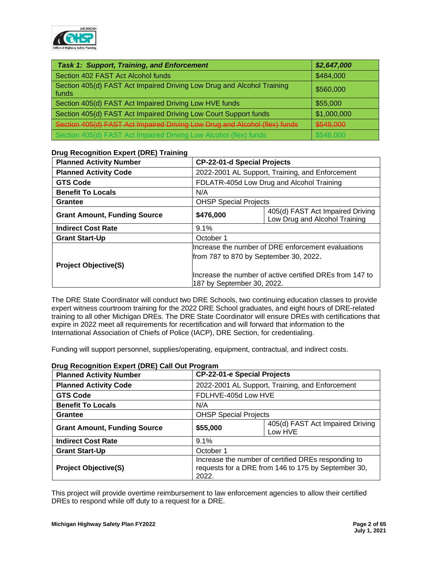

| <b>Task 1: Support, Training, and Enforcement</b>                               | \$2,647,000 |
|---------------------------------------------------------------------------------|-------------|
| Section 402 FAST Act Alcohol funds                                              | \$484,000   |
| Section 405(d) FAST Act Impaired Driving Low Drug and Alcohol Training<br>funds | \$560,000   |
| Section 405(d) FAST Act Impaired Driving Low HVE funds                          | \$55,000    |
| Section 405(d) FAST Act Impaired Driving Low Court Support funds                | \$1,000,000 |
| Section 405(d) FAST Act Impaired Driving Low Drug and Alcohol (flex) funds      | \$548,000   |
| Section 405(d) FAST Act Impaired Driving Low Alcohol (flex) funds               | \$548,000   |

# **Drug Recognition Expert (DRE) Training**

| <b>Planned Activity Number</b>      | <b>CP-22-01-d Special Projects</b>                                                      |                                                                   |
|-------------------------------------|-----------------------------------------------------------------------------------------|-------------------------------------------------------------------|
| <b>Planned Activity Code</b>        | 2022-2001 AL Support, Training, and Enforcement                                         |                                                                   |
| <b>GTS Code</b>                     |                                                                                         | FDLATR-405d Low Drug and Alcohol Training                         |
| <b>Benefit To Locals</b>            | N/A                                                                                     |                                                                   |
| Grantee                             | <b>OHSP Special Projects</b>                                                            |                                                                   |
| <b>Grant Amount, Funding Source</b> | \$476,000                                                                               | 405(d) FAST Act Impaired Driving<br>Low Drug and Alcohol Training |
| <b>Indirect Cost Rate</b>           | 9.1%                                                                                    |                                                                   |
| <b>Grant Start-Up</b>               | October 1                                                                               |                                                                   |
|                                     | Increase the number of DRE enforcement evaluations                                      |                                                                   |
|                                     | from 787 to 870 by September 30, 2022.                                                  |                                                                   |
| <b>Project Objective(S)</b>         |                                                                                         |                                                                   |
|                                     | llncrease the number of active certified DREs from 147 to<br>187 by September 30, 2022. |                                                                   |

The DRE State Coordinator will conduct two DRE Schools, two continuing education classes to provide expert witness courtroom training for the 2022 DRE School graduates, and eight hours of DRE-related training to all other Michigan DREs. The DRE State Coordinator will ensure DREs with certifications that expire in 2022 meet all requirements for recertification and will forward that information to the International Association of Chiefs of Police (IACP), DRE Section, for credentialing.

Funding will support personnel, supplies/operating, equipment, contractual, and indirect costs.

| <b>Planned Activity Number</b>      |           | <b>CP-22-01-e Special Projects</b>                                                                         |  |  |
|-------------------------------------|-----------|------------------------------------------------------------------------------------------------------------|--|--|
| <b>Planned Activity Code</b>        |           | 2022-2001 AL Support, Training, and Enforcement                                                            |  |  |
| <b>GTS Code</b>                     |           | FDLHVE-405d Low HVE                                                                                        |  |  |
| <b>Benefit To Locals</b>            | N/A       |                                                                                                            |  |  |
| Grantee                             |           | <b>OHSP Special Projects</b>                                                                               |  |  |
| <b>Grant Amount, Funding Source</b> | \$55,000  | 405(d) FAST Act Impaired Driving<br>Low HVE                                                                |  |  |
| <b>Indirect Cost Rate</b>           | 9.1%      |                                                                                                            |  |  |
| <b>Grant Start-Up</b>               | October 1 |                                                                                                            |  |  |
| <b>Project Objective(S)</b>         | 2022.     | Increase the number of certified DREs responding to<br>requests for a DRE from 146 to 175 by September 30, |  |  |

# **Drug Recognition Expert (DRE) Call Out Program**

This project will provide overtime reimbursement to law enforcement agencies to allow their certified DREs to respond while off duty to a request for a DRE.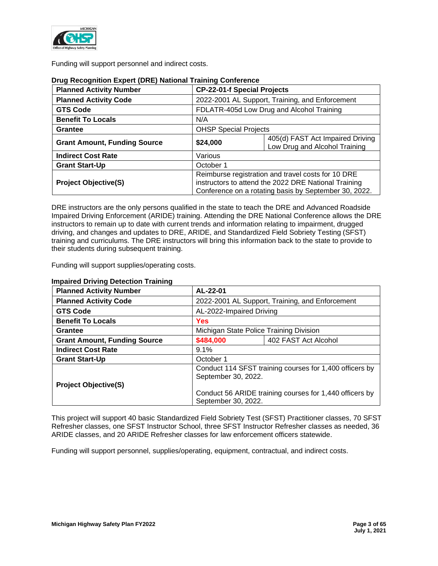

Funding will support personnel and indirect costs.

| <b>Planned Activity Number</b>      | <b>CP-22-01-f Special Projects</b>                                                                                                                                  |                                                                   |  |
|-------------------------------------|---------------------------------------------------------------------------------------------------------------------------------------------------------------------|-------------------------------------------------------------------|--|
| <b>Planned Activity Code</b>        |                                                                                                                                                                     | 2022-2001 AL Support, Training, and Enforcement                   |  |
| <b>GTS Code</b>                     |                                                                                                                                                                     | FDLATR-405d Low Drug and Alcohol Training                         |  |
| <b>Benefit To Locals</b>            | N/A                                                                                                                                                                 |                                                                   |  |
| <b>Grantee</b>                      | <b>OHSP Special Projects</b>                                                                                                                                        |                                                                   |  |
| <b>Grant Amount, Funding Source</b> | \$24,000                                                                                                                                                            | 405(d) FAST Act Impaired Driving<br>Low Drug and Alcohol Training |  |
| <b>Indirect Cost Rate</b>           | Various                                                                                                                                                             |                                                                   |  |
| <b>Grant Start-Up</b>               | October 1                                                                                                                                                           |                                                                   |  |
| <b>Project Objective(S)</b>         | Reimburse registration and travel costs for 10 DRE<br>instructors to attend the 2022 DRE National Training<br>Conference on a rotating basis by September 30, 2022. |                                                                   |  |

## **Drug Recognition Expert (DRE) National Training Conference**

DRE instructors are the only persons qualified in the state to teach the DRE and Advanced Roadside Impaired Driving Enforcement (ARIDE) training. Attending the DRE National Conference allows the DRE instructors to remain up to date with current trends and information relating to impairment, drugged driving, and changes and updates to DRE, ARIDE, and Standardized Field Sobriety Testing (SFST) training and curriculums. The DRE instructors will bring this information back to the state to provide to their students during subsequent training.

Funding will support supplies/operating costs.

| $m$ panca Dirving Detection Hammig<br><b>Planned Activity Number</b> | AL-22-01                                                                       |                                                 |  |  |
|----------------------------------------------------------------------|--------------------------------------------------------------------------------|-------------------------------------------------|--|--|
| <b>Planned Activity Code</b>                                         |                                                                                | 2022-2001 AL Support, Training, and Enforcement |  |  |
| <b>GTS Code</b>                                                      |                                                                                | AL-2022-Impaired Driving                        |  |  |
| <b>Benefit To Locals</b>                                             | Yes                                                                            |                                                 |  |  |
| <b>Grantee</b>                                                       | Michigan State Police Training Division                                        |                                                 |  |  |
| <b>Grant Amount, Funding Source</b>                                  | \$484,000<br>402 FAST Act Alcohol                                              |                                                 |  |  |
| <b>Indirect Cost Rate</b>                                            | 9.1%                                                                           |                                                 |  |  |
| <b>Grant Start-Up</b>                                                | October 1                                                                      |                                                 |  |  |
| <b>Project Objective(S)</b>                                          | Conduct 114 SFST training courses for 1,400 officers by<br>September 30, 2022. |                                                 |  |  |
|                                                                      | Conduct 56 ARIDE training courses for 1,440 officers by<br>September 30, 2022. |                                                 |  |  |

## **Impaired Driving Detection Training**

This project will support 40 basic Standardized Field Sobriety Test (SFST) Practitioner classes, 70 SFST Refresher classes, one SFST Instructor School, three SFST Instructor Refresher classes as needed, 36 ARIDE classes, and 20 ARIDE Refresher classes for law enforcement officers statewide.

Funding will support personnel, supplies/operating, equipment, contractual, and indirect costs.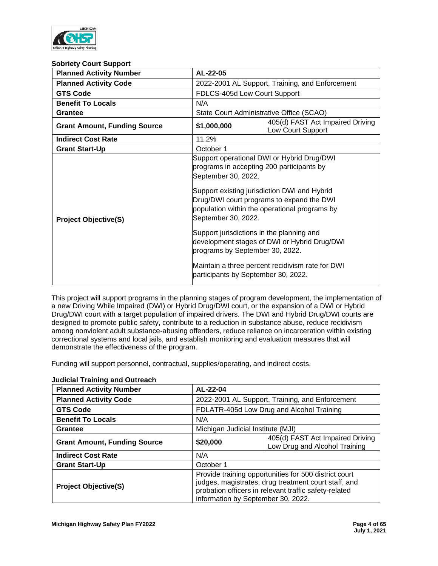

#### **Sobriety Court Support**

| <b>Planned Activity Number</b>      | AL-22-05                                                                                                                                                                                                       |                                                                                                                                                                                                                                                                                              |  |
|-------------------------------------|----------------------------------------------------------------------------------------------------------------------------------------------------------------------------------------------------------------|----------------------------------------------------------------------------------------------------------------------------------------------------------------------------------------------------------------------------------------------------------------------------------------------|--|
| <b>Planned Activity Code</b>        |                                                                                                                                                                                                                | 2022-2001 AL Support, Training, and Enforcement                                                                                                                                                                                                                                              |  |
| <b>GTS Code</b>                     | FDLCS-405d Low Court Support                                                                                                                                                                                   |                                                                                                                                                                                                                                                                                              |  |
| <b>Benefit To Locals</b>            | N/A                                                                                                                                                                                                            |                                                                                                                                                                                                                                                                                              |  |
| Grantee                             | State Court Administrative Office (SCAO)                                                                                                                                                                       |                                                                                                                                                                                                                                                                                              |  |
| <b>Grant Amount, Funding Source</b> | \$1,000,000                                                                                                                                                                                                    | 405(d) FAST Act Impaired Driving<br>Low Court Support                                                                                                                                                                                                                                        |  |
| <b>Indirect Cost Rate</b>           | 11.2%                                                                                                                                                                                                          |                                                                                                                                                                                                                                                                                              |  |
| <b>Grant Start-Up</b>               | October 1                                                                                                                                                                                                      |                                                                                                                                                                                                                                                                                              |  |
| <b>Project Objective(S)</b>         | programs in accepting 200 participants by<br>September 30, 2022.<br>September 30, 2022.<br>Support jurisdictions in the planning and<br>programs by September 30, 2022.<br>participants by September 30, 2022. | Support operational DWI or Hybrid Drug/DWI<br>Support existing jurisdiction DWI and Hybrid<br>Drug/DWI court programs to expand the DWI<br>population within the operational programs by<br>development stages of DWI or Hybrid Drug/DWI<br>Maintain a three percent recidivism rate for DWI |  |

This project will support programs in the planning stages of program development, the implementation of a new Driving While Impaired (DWI) or Hybrid Drug/DWI court, or the expansion of a DWI or Hybrid Drug/DWI court with a target population of impaired drivers. The DWI and Hybrid Drug/DWI courts are designed to promote public safety, contribute to a reduction in substance abuse, reduce recidivism among nonviolent adult substance-abusing offenders, reduce reliance on incarceration within existing correctional systems and local jails, and establish monitoring and evaluation measures that will demonstrate the effectiveness of the program.

Funding will support personnel, contractual, supplies/operating, and indirect costs.

| <b>Planned Activity Number</b>      | AL-22-04                                                                                                                                                                                                     |                                                                   |  |
|-------------------------------------|--------------------------------------------------------------------------------------------------------------------------------------------------------------------------------------------------------------|-------------------------------------------------------------------|--|
| <b>Planned Activity Code</b>        |                                                                                                                                                                                                              | 2022-2001 AL Support, Training, and Enforcement                   |  |
| <b>GTS Code</b>                     |                                                                                                                                                                                                              | FDLATR-405d Low Drug and Alcohol Training                         |  |
| <b>Benefit To Locals</b>            | N/A                                                                                                                                                                                                          |                                                                   |  |
| <b>Grantee</b>                      | Michigan Judicial Institute (MJI)                                                                                                                                                                            |                                                                   |  |
| <b>Grant Amount, Funding Source</b> | \$20,000                                                                                                                                                                                                     | 405(d) FAST Act Impaired Driving<br>Low Drug and Alcohol Training |  |
| <b>Indirect Cost Rate</b>           | N/A                                                                                                                                                                                                          |                                                                   |  |
| <b>Grant Start-Up</b>               | October 1                                                                                                                                                                                                    |                                                                   |  |
| <b>Project Objective(S)</b>         | Provide training opportunities for 500 district court<br>judges, magistrates, drug treatment court staff, and<br>probation officers in relevant traffic safety-related<br>information by September 30, 2022. |                                                                   |  |

# **Judicial Training and Outreach**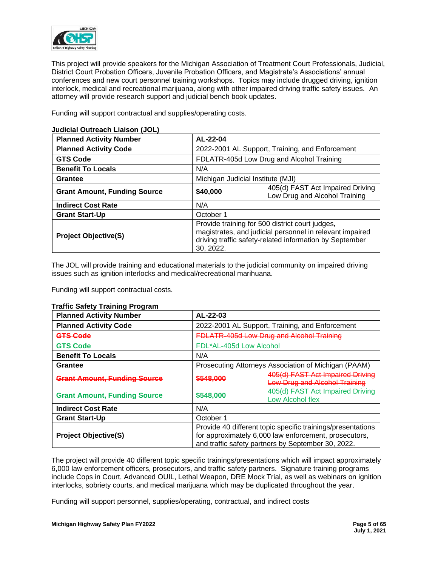

This project will provide speakers for the Michigan Association of Treatment Court Professionals, Judicial, District Court Probation Officers, Juvenile Probation Officers, and Magistrate's Associations' annual conferences and new court personnel training workshops. Topics may include drugged driving, ignition interlock, medical and recreational marijuana, along with other impaired driving traffic safety issues. An attorney will provide research support and judicial bench book updates.

Funding will support contractual and supplies/operating costs.

| <b>Planned Activity Number</b>      | AL-22-04                                                                                                                                                                            |                                                                   |  |
|-------------------------------------|-------------------------------------------------------------------------------------------------------------------------------------------------------------------------------------|-------------------------------------------------------------------|--|
| <b>Planned Activity Code</b>        |                                                                                                                                                                                     | 2022-2001 AL Support, Training, and Enforcement                   |  |
| <b>GTS Code</b>                     |                                                                                                                                                                                     | FDLATR-405d Low Drug and Alcohol Training                         |  |
| <b>Benefit To Locals</b>            | N/A                                                                                                                                                                                 |                                                                   |  |
| Grantee                             | Michigan Judicial Institute (MJI)                                                                                                                                                   |                                                                   |  |
| <b>Grant Amount, Funding Source</b> | \$40,000                                                                                                                                                                            | 405(d) FAST Act Impaired Driving<br>Low Drug and Alcohol Training |  |
| <b>Indirect Cost Rate</b>           | N/A                                                                                                                                                                                 |                                                                   |  |
| <b>Grant Start-Up</b>               | October 1                                                                                                                                                                           |                                                                   |  |
| <b>Project Objective(S)</b>         | Provide training for 500 district court judges,<br>magistrates, and judicial personnel in relevant impaired<br>driving traffic safety-related information by September<br>30, 2022. |                                                                   |  |

## **Judicial Outreach Liaison (JOL)**

The JOL will provide training and educational materials to the judicial community on impaired driving issues such as ignition interlocks and medical/recreational marihuana.

Funding will support contractual costs.

## **Traffic Safety Training Program**

| $\cdots$ $\cdots$ $\cdots$ $\cdots$ $\cdots$ $\cdots$ $\cdots$ |                         |                                                                                                                                                                            |  |
|----------------------------------------------------------------|-------------------------|----------------------------------------------------------------------------------------------------------------------------------------------------------------------------|--|
| <b>Planned Activity Number</b>                                 | AL-22-03                |                                                                                                                                                                            |  |
| <b>Planned Activity Code</b>                                   |                         | 2022-2001 AL Support, Training, and Enforcement                                                                                                                            |  |
| <b>GTS Code</b>                                                |                         | <b>FDLATR-405d Low Drug and Alcohol Training</b>                                                                                                                           |  |
| <b>GTS Code</b>                                                | FDL*AL-405d Low Alcohol |                                                                                                                                                                            |  |
| <b>Benefit To Locals</b>                                       | N/A                     |                                                                                                                                                                            |  |
| Grantee                                                        |                         | Prosecuting Attorneys Association of Michigan (PAAM)                                                                                                                       |  |
| <b>Grant Amount, Funding Source</b>                            | \$548,000               | 405(d) FAST Act Impaired Driving<br><b>Low Drug and Alcohol Training</b>                                                                                                   |  |
| <b>Grant Amount, Funding Source</b>                            | \$548,000               | 405(d) FAST Act Impaired Driving<br>Low Alcohol flex                                                                                                                       |  |
| <b>Indirect Cost Rate</b>                                      | N/A                     |                                                                                                                                                                            |  |
| <b>Grant Start-Up</b>                                          | October 1               |                                                                                                                                                                            |  |
| <b>Project Objective(S)</b>                                    |                         | Provide 40 different topic specific trainings/presentations<br>for approximately 6,000 law enforcement, prosecutors,<br>and traffic safety partners by September 30, 2022. |  |

The project will provide 40 different topic specific trainings/presentations which will impact approximately 6,000 law enforcement officers, prosecutors, and traffic safety partners. Signature training programs include Cops in Court, Advanced OUIL, Lethal Weapon, DRE Mock Trial, as well as webinars on ignition interlocks, sobriety courts, and medical marijuana which may be duplicated throughout the year.

Funding will support personnel, supplies/operating, contractual, and indirect costs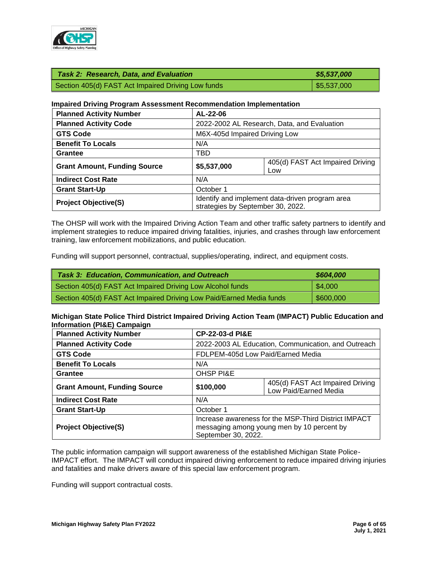

| Task 2: Research, Data, and Evaluation             | \$5,537,000               |
|----------------------------------------------------|---------------------------|
| Section 405(d) FAST Act Impaired Driving Low funds | $\frac{1}{2}$ \$5,537,000 |

## **Impaired Driving Program Assessment Recommendation Implementation**

| <b>Planned Activity Number</b>      | AL-22-06                                                                             |                                         |
|-------------------------------------|--------------------------------------------------------------------------------------|-----------------------------------------|
| <b>Planned Activity Code</b>        | 2022-2002 AL Research, Data, and Evaluation                                          |                                         |
| <b>GTS Code</b>                     | M6X-405d Impaired Driving Low                                                        |                                         |
| <b>Benefit To Locals</b>            | N/A                                                                                  |                                         |
| Grantee                             | TBD                                                                                  |                                         |
| <b>Grant Amount, Funding Source</b> | \$5,537,000                                                                          | 405(d) FAST Act Impaired Driving<br>Low |
| <b>Indirect Cost Rate</b>           | N/A                                                                                  |                                         |
| <b>Grant Start-Up</b>               | October 1                                                                            |                                         |
| <b>Project Objective(S)</b>         | Identify and implement data-driven program area<br>strategies by September 30, 2022. |                                         |

The OHSP will work with the Impaired Driving Action Team and other traffic safety partners to identify and implement strategies to reduce impaired driving fatalities, injuries, and crashes through law enforcement training, law enforcement mobilizations, and public education.

Funding will support personnel, contractual, supplies/operating, indirect, and equipment costs.

| <b>Task 3: Education, Communication, and Outreach</b>                | \$604,000 |
|----------------------------------------------------------------------|-----------|
| Section 405(d) FAST Act Impaired Driving Low Alcohol funds           | \$4,000   |
| Section 405(d) FAST Act Impaired Driving Low Paid/Earned Media funds | \$600,000 |

## **Michigan State Police Third District Impaired Driving Action Team (IMPACT) Public Education and Information (PI&E) Campaign**

| <b>Planned Activity Number</b>      | <b>CP-22-03-d PI&amp;E</b>                                                                                                |  |  |  |
|-------------------------------------|---------------------------------------------------------------------------------------------------------------------------|--|--|--|
| <b>Planned Activity Code</b>        | 2022-2003 AL Education, Communication, and Outreach                                                                       |  |  |  |
| <b>GTS Code</b>                     | FDLPEM-405d Low Paid/Earned Media                                                                                         |  |  |  |
| <b>Benefit To Locals</b>            | N/A                                                                                                                       |  |  |  |
| Grantee                             | <b>OHSP PI&amp;E</b>                                                                                                      |  |  |  |
| <b>Grant Amount, Funding Source</b> | 405(d) FAST Act Impaired Driving<br>\$100,000<br>Low Paid/Earned Media                                                    |  |  |  |
| <b>Indirect Cost Rate</b>           | N/A                                                                                                                       |  |  |  |
| <b>Grant Start-Up</b>               | October 1                                                                                                                 |  |  |  |
| <b>Project Objective(S)</b>         | Increase awareness for the MSP-Third District IMPACT<br>messaging among young men by 10 percent by<br>September 30, 2022. |  |  |  |

The public information campaign will support awareness of the established Michigan State Police-IMPACT effort. The IMPACT will conduct impaired driving enforcement to reduce impaired driving injuries and fatalities and make drivers aware of this special law enforcement program.

Funding will support contractual costs.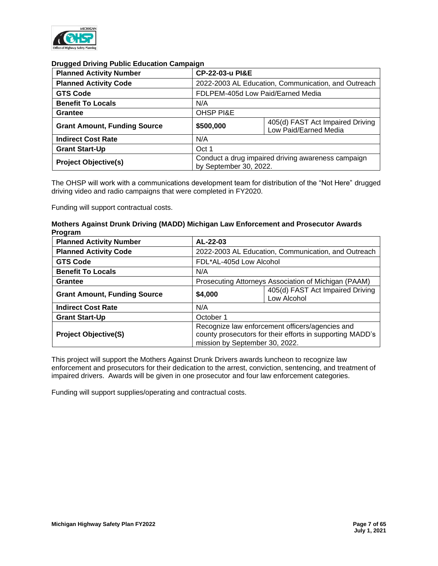

## **Drugged Driving Public Education Campaign**

| <b>Planned Activity Number</b>      |                                                                              | <b>CP-22-03-u PI&amp;E</b>                                |  |  |  |
|-------------------------------------|------------------------------------------------------------------------------|-----------------------------------------------------------|--|--|--|
| <b>Planned Activity Code</b>        |                                                                              | 2022-2003 AL Education, Communication, and Outreach       |  |  |  |
| <b>GTS Code</b>                     |                                                                              | FDLPEM-405d Low Paid/Earned Media                         |  |  |  |
| <b>Benefit To Locals</b>            | N/A                                                                          |                                                           |  |  |  |
| <b>Grantee</b>                      | <b>OHSP PI&amp;E</b>                                                         |                                                           |  |  |  |
| <b>Grant Amount, Funding Source</b> | \$500,000                                                                    | 405(d) FAST Act Impaired Driving<br>Low Paid/Earned Media |  |  |  |
| <b>Indirect Cost Rate</b>           | N/A                                                                          |                                                           |  |  |  |
| <b>Grant Start-Up</b>               | Oct 1                                                                        |                                                           |  |  |  |
| <b>Project Objective(s)</b>         | Conduct a drug impaired driving awareness campaign<br>by September 30, 2022. |                                                           |  |  |  |

The OHSP will work with a communications development team for distribution of the "Not Here" drugged driving video and radio campaigns that were completed in FY2020.

Funding will support contractual costs.

## **Mothers Against Drunk Driving (MADD) Michigan Law Enforcement and Prosecutor Awards Program**

| <b>Planned Activity Number</b>      | AL-22-03                                                                                                                                       |                                                     |  |  |  |
|-------------------------------------|------------------------------------------------------------------------------------------------------------------------------------------------|-----------------------------------------------------|--|--|--|
| <b>Planned Activity Code</b>        |                                                                                                                                                | 2022-2003 AL Education, Communication, and Outreach |  |  |  |
| <b>GTS Code</b>                     | FDL*AL-405d Low Alcohol                                                                                                                        |                                                     |  |  |  |
| <b>Benefit To Locals</b>            | N/A                                                                                                                                            |                                                     |  |  |  |
| Grantee                             | Prosecuting Attorneys Association of Michigan (PAAM)                                                                                           |                                                     |  |  |  |
| <b>Grant Amount, Funding Source</b> | 405(d) FAST Act Impaired Driving<br>\$4,000<br>Low Alcohol                                                                                     |                                                     |  |  |  |
| <b>Indirect Cost Rate</b>           | N/A                                                                                                                                            |                                                     |  |  |  |
| <b>Grant Start-Up</b>               | October 1                                                                                                                                      |                                                     |  |  |  |
| <b>Project Objective(S)</b>         | Recognize law enforcement officers/agencies and<br>county prosecutors for their efforts in supporting MADD's<br>mission by September 30, 2022. |                                                     |  |  |  |

This project will support the Mothers Against Drunk Drivers awards luncheon to recognize law enforcement and prosecutors for their dedication to the arrest, conviction, sentencing, and treatment of impaired drivers. Awards will be given in one prosecutor and four law enforcement categories.

Funding will support supplies/operating and contractual costs.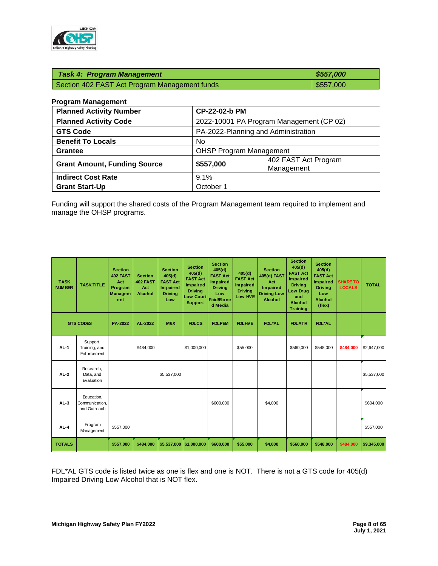

| <b>Task 4: Program Management</b>             | \$557,000 |
|-----------------------------------------------|-----------|
| Section 402 FAST Act Program Management funds | \$557,000 |

| <b>Program Management</b> |  |  |
|---------------------------|--|--|
|---------------------------|--|--|

| <b>Planned Activity Number</b>      |           | CP-22-02-b PM                            |  |  |
|-------------------------------------|-----------|------------------------------------------|--|--|
| <b>Planned Activity Code</b>        |           | 2022-10001 PA Program Management (CP 02) |  |  |
| <b>GTS Code</b>                     |           | PA-2022-Planning and Administration      |  |  |
| <b>Benefit To Locals</b>            | No.       |                                          |  |  |
| <b>Grantee</b>                      |           | <b>OHSP Program Management</b>           |  |  |
| <b>Grant Amount, Funding Source</b> | \$557,000 | 402 FAST Act Program<br>Management       |  |  |
| <b>Indirect Cost Rate</b>           | 9.1%      |                                          |  |  |
| <b>Grant Start-Up</b>               | October 1 |                                          |  |  |

Funding will support the shared costs of the Program Management team required to implement and manage the OHSP programs.

| <b>TASK</b><br><b>NUMBER</b> | <b>TASK TITLE</b>                            | <b>Section</b><br>402 FAST<br>Act<br>Program<br><b>Managem</b><br>ent | <b>Section</b><br>402 FAST<br>Act<br><b>Alcohol</b> | <b>Section</b><br>405(d)<br><b>FAST Act</b><br><b>Impaired</b><br><b>Driving</b><br>Low | <b>Section</b><br>405(d)<br><b>FAST Act</b><br>Impaired<br><b>Driving</b><br><b>Low Court</b><br><b>Support</b> | <b>Section</b><br>405(d)<br><b>FAST Act</b><br><b>Impaired</b><br><b>Driving</b><br>Low<br>Paid/Earne<br>d Media | 405(d)<br><b>FAST Act</b><br><b>Impaired</b><br><b>Driving</b><br>Low HVE | <b>Section</b><br>405(d) FAST<br>Act<br>Impaired<br><b>Driving Low</b><br>Alcohol | <b>Section</b><br>405(d)<br><b>FAST Act</b><br>Impaired<br><b>Driving</b><br>Low Drug<br>and<br><b>Alcohol</b><br><b>Training</b> | <b>Section</b><br>405(d)<br><b>FAST Act</b><br>Impaired<br><b>Driving</b><br>Low<br>Alcohol<br>(flex) | <b>SHARE TO</b><br><b>LOCALS</b> | <b>TOTAL</b> |
|------------------------------|----------------------------------------------|-----------------------------------------------------------------------|-----------------------------------------------------|-----------------------------------------------------------------------------------------|-----------------------------------------------------------------------------------------------------------------|------------------------------------------------------------------------------------------------------------------|---------------------------------------------------------------------------|-----------------------------------------------------------------------------------|-----------------------------------------------------------------------------------------------------------------------------------|-------------------------------------------------------------------------------------------------------|----------------------------------|--------------|
|                              | <b>GTS CODES</b>                             | PA-2022                                                               | AL-2022                                             | M6X                                                                                     | <b>FDLCS</b>                                                                                                    | <b>FDLPEM</b>                                                                                                    | <b>FDLHVE</b>                                                             | FDL*AL                                                                            | <b>FDLATR</b>                                                                                                                     | <b>FDL*AL</b>                                                                                         |                                  |              |
| $AL-1$                       | Support,<br>Training, and<br>Enforcement     |                                                                       | \$484.000                                           |                                                                                         | \$1,000,000                                                                                                     |                                                                                                                  | \$55,000                                                                  |                                                                                   | \$560,000                                                                                                                         | \$548,000                                                                                             | \$484,000                        | \$2,647,000  |
| $AL-2$                       | Research,<br>Data, and<br>Evaluation         |                                                                       |                                                     | \$5,537,000                                                                             |                                                                                                                 |                                                                                                                  |                                                                           |                                                                                   |                                                                                                                                   |                                                                                                       |                                  | \$5,537,000  |
| $AL-3$                       | Education,<br>Communication,<br>and Outreach |                                                                       |                                                     |                                                                                         |                                                                                                                 | \$600,000                                                                                                        |                                                                           | \$4,000                                                                           |                                                                                                                                   |                                                                                                       |                                  | \$604,000    |
| $AL-4$                       | Program<br>Management                        | \$557,000                                                             |                                                     |                                                                                         |                                                                                                                 |                                                                                                                  |                                                                           |                                                                                   |                                                                                                                                   |                                                                                                       |                                  | \$557,000    |
| <b>TOTALS</b>                |                                              | \$557,000                                                             | \$484,000                                           | \$5,537,000                                                                             | \$1,000,000                                                                                                     | \$600,000                                                                                                        | \$55,000                                                                  | \$4,000                                                                           | \$560,000                                                                                                                         | \$548,000                                                                                             | \$484,000                        | \$9,345,000  |

FDL\*AL GTS code is listed twice as one is flex and one is NOT. There is not a GTS code for 405(d) Impaired Driving Low Alcohol that is NOT flex.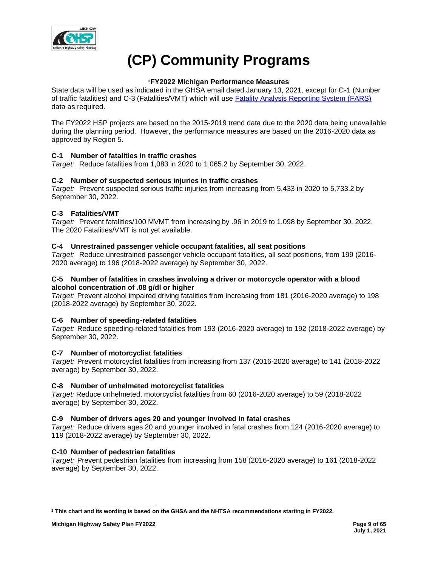

# **(CP) Community Programs**

# **<sup>2</sup>FY2022 Michigan Performance Measures**

State data will be used as indicated in the GHSA email dated January 13, 2021, except for C-1 (Number of traffic fatalities) and C-3 (Fatalities/VMT) which will use [Fatality Analysis Reporting System \(FARS\)](https://cdan.nhtsa.gov/SASStoredProcess/guest) data as required.

The FY2022 HSP projects are based on the 2015-2019 trend data due to the 2020 data being unavailable during the planning period. However, the performance measures are based on the 2016-2020 data as approved by Region 5.

# **C-1 Number of fatalities in traffic crashes**

*Target:* Reduce fatalities from 1,083 in 2020 to 1,065.2 by September 30, 2022.

# **C-2 Number of suspected serious injuries in traffic crashes**

*Target:* Prevent suspected serious traffic injuries from increasing from 5,433 in 2020 to 5,733.2 by September 30, 2022.

# **C-3 Fatalities/VMT**

*Target:* Prevent fatalities/100 MVMT from increasing by .96 in 2019 to 1.098 by September 30, 2022. The 2020 Fatalities/VMT is not yet available.

# **C-4 Unrestrained passenger vehicle occupant fatalities, all seat positions**

*Target:* Reduce unrestrained passenger vehicle occupant fatalities, all seat positions, from 199 (2016- 2020 average) to 196 (2018-2022 average) by September 30, 2022.

## **C-5 Number of fatalities in crashes involving a driver or motorcycle operator with a blood alcohol concentration of .08 g/dl or higher**

*Target:* Prevent alcohol impaired driving fatalities from increasing from 181 (2016-2020 average) to 198 (2018-2022 average) by September 30, 2022.

# **C-6 Number of speeding-related fatalities**

*Target:* Reduce speeding-related fatalities from 193 (2016-2020 average) to 192 (2018-2022 average) by September 30, 2022.

# **C-7 Number of motorcyclist fatalities**

*Target:* Prevent motorcyclist fatalities from increasing from 137 (2016-2020 average) to 141 (2018-2022 average) by September 30, 2022.

# **C-8 Number of unhelmeted motorcyclist fatalities**

*Target:* Reduce unhelmeted, motorcyclist fatalities from 60 (2016-2020 average) to 59 (2018-2022 average) by September 30, 2022.

# **C-9 Number of drivers ages 20 and younger involved in fatal crashes**

*Target:* Reduce drivers ages 20 and younger involved in fatal crashes from 124 (2016-2020 average) to 119 (2018-2022 average) by September 30, 2022.

# **C-10 Number of pedestrian fatalities**

*Target:* Prevent pedestrian fatalities from increasing from 158 (2016-2020 average) to 161 (2018-2022 average) by September 30, 2022.

**<sup>2</sup> This chart and its wording is based on the GHSA and the NHTSA recommendations starting in FY2022.**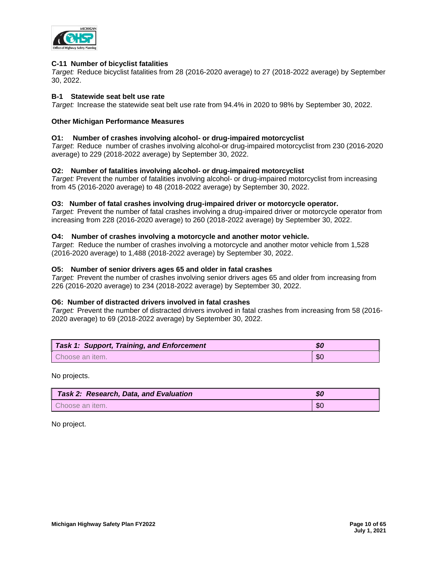

## **C-11 Number of bicyclist fatalities**

*Target:* Reduce bicyclist fatalities from 28 (2016-2020 average) to 27 (2018-2022 average) by September 30, 2022.

## **B-1 Statewide seat belt use rate**

*Target:* Increase the statewide seat belt use rate from 94.4% in 2020 to 98% by September 30, 2022.

## **Other Michigan Performance Measures**

## **O1: Number of crashes involving alcohol- or drug-impaired motorcyclist**

*Target*: Reduce number of crashes involving alcohol-or drug-impaired motorcyclist from 230 (2016-2020 average) to 229 (2018-2022 average) by September 30, 2022.

## **O2: Number of fatalities involving alcohol- or drug-impaired motorcyclist**

*Target:* Prevent the number of fatalities involving alcohol- or drug-impaired motorcyclist from increasing from 45 (2016-2020 average) to 48 (2018-2022 average) by September 30, 2022.

## **O3: Number of fatal crashes involving drug-impaired driver or motorcycle operator.**

*Target:* Prevent the number of fatal crashes involving a drug-impaired driver or motorcycle operator from increasing from 228 (2016-2020 average) to 260 (2018-2022 average) by September 30, 2022.

## **O4: Number of crashes involving a motorcycle and another motor vehicle.**

*Target*: Reduce the number of crashes involving a motorcycle and another motor vehicle from 1,528 (2016-2020 average) to 1,488 (2018-2022 average) by September 30, 2022.

## **O5: Number of senior drivers ages 65 and older in fatal crashes**

*Target:* Prevent the number of crashes involving senior drivers ages 65 and older from increasing from 226 (2016-2020 average) to 234 (2018-2022 average) by September 30, 2022.

## **O6: Number of distracted drivers involved in fatal crashes**

*Target:* Prevent the number of distracted drivers involved in fatal crashes from increasing from 58 (2016- 2020 average) to 69 (2018-2022 average) by September 30, 2022.

| <b>Task 1: Support, Training, and Enforcement</b> | აი        |
|---------------------------------------------------|-----------|
| Choose an item.                                   | <b>SC</b> |

No projects.

| Task 2: Research, Data, and Evaluation | \$0  |
|----------------------------------------|------|
| Choose an item.                        | -\$0 |

No project.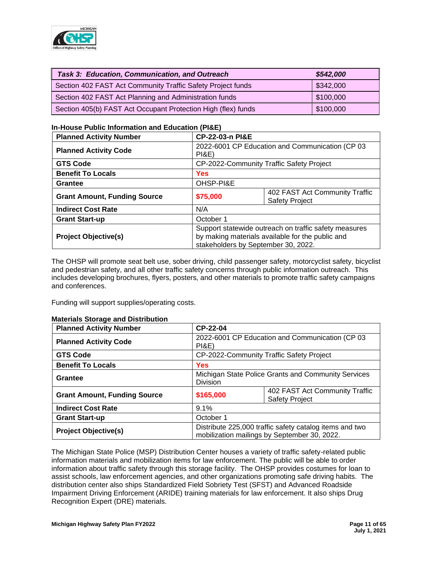

| Task 3: Education, Communication, and Outreach                | \$542,000 |
|---------------------------------------------------------------|-----------|
| Section 402 FAST Act Community Traffic Safety Project funds   | \$342,000 |
| Section 402 FAST Act Planning and Administration funds        | \$100,000 |
| Section 405(b) FAST Act Occupant Protection High (flex) funds | \$100,000 |

# **In-House Public Information and Education (PI&E)**

| <b>Planned Activity Number</b>      |                                                                                                                                                  | <b>CP-22-03-n PI&amp;E</b>                              |  |  |  |
|-------------------------------------|--------------------------------------------------------------------------------------------------------------------------------------------------|---------------------------------------------------------|--|--|--|
| <b>Planned Activity Code</b>        | 2022-6001 CP Education and Communication (CP 03<br><b>PI&amp;E)</b>                                                                              |                                                         |  |  |  |
| <b>GTS Code</b>                     |                                                                                                                                                  | CP-2022-Community Traffic Safety Project                |  |  |  |
| <b>Benefit To Locals</b>            | <b>Yes</b>                                                                                                                                       |                                                         |  |  |  |
| Grantee                             | OHSP-PI&E                                                                                                                                        |                                                         |  |  |  |
| <b>Grant Amount, Funding Source</b> | \$75,000                                                                                                                                         | 402 FAST Act Community Traffic<br><b>Safety Project</b> |  |  |  |
| <b>Indirect Cost Rate</b>           | N/A                                                                                                                                              |                                                         |  |  |  |
| <b>Grant Start-up</b>               | October 1                                                                                                                                        |                                                         |  |  |  |
| <b>Project Objective(s)</b>         | Support statewide outreach on traffic safety measures<br>by making materials available for the public and<br>stakeholders by September 30, 2022. |                                                         |  |  |  |

The OHSP will promote seat belt use, sober driving, child passenger safety, motorcyclist safety, bicyclist and pedestrian safety, and all other traffic safety concerns through public information outreach. This includes developing brochures, flyers, posters, and other materials to promote traffic safety campaigns and conferences.

Funding will support supplies/operating costs.

## **Materials Storage and Distribution**

| <b>Planned Activity Number</b>      | CP-22-04                                                                                                |                                                         |  |  |
|-------------------------------------|---------------------------------------------------------------------------------------------------------|---------------------------------------------------------|--|--|
| <b>Planned Activity Code</b>        | PI&E                                                                                                    | 2022-6001 CP Education and Communication (CP 03         |  |  |
| <b>GTS Code</b>                     |                                                                                                         | CP-2022-Community Traffic Safety Project                |  |  |
| <b>Benefit To Locals</b>            | Yes                                                                                                     |                                                         |  |  |
| Grantee                             | <b>Division</b>                                                                                         | Michigan State Police Grants and Community Services     |  |  |
| <b>Grant Amount, Funding Source</b> | \$165,000                                                                                               | 402 FAST Act Community Traffic<br><b>Safety Project</b> |  |  |
| <b>Indirect Cost Rate</b>           | 9.1%                                                                                                    |                                                         |  |  |
| <b>Grant Start-up</b>               | October 1                                                                                               |                                                         |  |  |
| <b>Project Objective(s)</b>         | Distribute 225,000 traffic safety catalog items and two<br>mobilization mailings by September 30, 2022. |                                                         |  |  |

The Michigan State Police (MSP) Distribution Center houses a variety of traffic safety-related public information materials and mobilization items for law enforcement. The public will be able to order information about traffic safety through this storage facility. The OHSP provides costumes for loan to assist schools, law enforcement agencies, and other organizations promoting safe driving habits. The distribution center also ships Standardized Field Sobriety Test (SFST) and Advanced Roadside Impairment Driving Enforcement (ARIDE) training materials for law enforcement. It also ships Drug Recognition Expert (DRE) materials.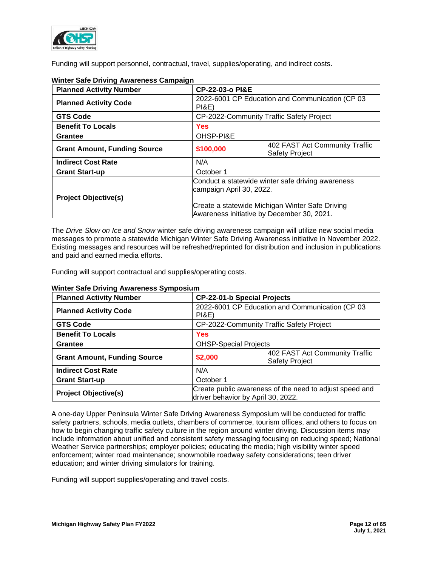

Funding will support personnel, contractual, travel, supplies/operating, and indirect costs.

| <b>Planned Activity Number</b>      |                                                                               | <b>CP-22-03-o PI&amp;E</b>                                                                    |  |  |
|-------------------------------------|-------------------------------------------------------------------------------|-----------------------------------------------------------------------------------------------|--|--|
| <b>Planned Activity Code</b>        | PI&E                                                                          | 2022-6001 CP Education and Communication (CP 03                                               |  |  |
| <b>GTS Code</b>                     |                                                                               | CP-2022-Community Traffic Safety Project                                                      |  |  |
| <b>Benefit To Locals</b>            | <b>Yes</b>                                                                    |                                                                                               |  |  |
| Grantee                             | OHSP-PI&E                                                                     |                                                                                               |  |  |
| <b>Grant Amount, Funding Source</b> | \$100,000                                                                     | 402 FAST Act Community Traffic<br><b>Safety Project</b>                                       |  |  |
| <b>Indirect Cost Rate</b>           | N/A                                                                           |                                                                                               |  |  |
| <b>Grant Start-up</b>               | October 1                                                                     |                                                                                               |  |  |
| <b>Project Objective(s)</b>         | Conduct a statewide winter safe driving awareness<br>campaign April 30, 2022. |                                                                                               |  |  |
|                                     |                                                                               | Create a statewide Michigan Winter Safe Driving<br>Awareness initiative by December 30, 2021. |  |  |

# **Winter Safe Driving Awareness Campaign**

The *Drive Slow on Ice and Snow* winter safe driving awareness campaign will utilize new social media messages to promote a statewide Michigan Winter Safe Driving Awareness initiative in November 2022. Existing messages and resources will be refreshed/reprinted for distribution and inclusion in publications and paid and earned media efforts.

Funding will support contractual and supplies/operating costs.

| <b>Planned Activity Number</b>      |           | <b>CP-22-01-b Special Projects</b>                                                            |  |  |
|-------------------------------------|-----------|-----------------------------------------------------------------------------------------------|--|--|
| <b>Planned Activity Code</b>        | PI&E)     | 2022-6001 CP Education and Communication (CP 03                                               |  |  |
| <b>GTS Code</b>                     |           | CP-2022-Community Traffic Safety Project                                                      |  |  |
| <b>Benefit To Locals</b>            | Yes       |                                                                                               |  |  |
| <b>Grantee</b>                      |           | <b>OHSP-Special Projects</b>                                                                  |  |  |
| <b>Grant Amount, Funding Source</b> | \$2,000   | 402 FAST Act Community Traffic<br><b>Safety Project</b>                                       |  |  |
| <b>Indirect Cost Rate</b>           | N/A       |                                                                                               |  |  |
| <b>Grant Start-up</b>               | October 1 |                                                                                               |  |  |
| <b>Project Objective(s)</b>         |           | Create public awareness of the need to adjust speed and<br>driver behavior by April 30, 2022. |  |  |

# **Winter Safe Driving Awareness Symposium**

A one-day Upper Peninsula Winter Safe Driving Awareness Symposium will be conducted for traffic safety partners, schools, media outlets, chambers of commerce, tourism offices, and others to focus on how to begin changing traffic safety culture in the region around winter driving. Discussion items may include information about unified and consistent safety messaging focusing on reducing speed; National Weather Service partnerships; employer policies; educating the media; high visibility winter speed enforcement; winter road maintenance; snowmobile roadway safety considerations; teen driver education; and winter driving simulators for training.

Funding will support supplies/operating and travel costs.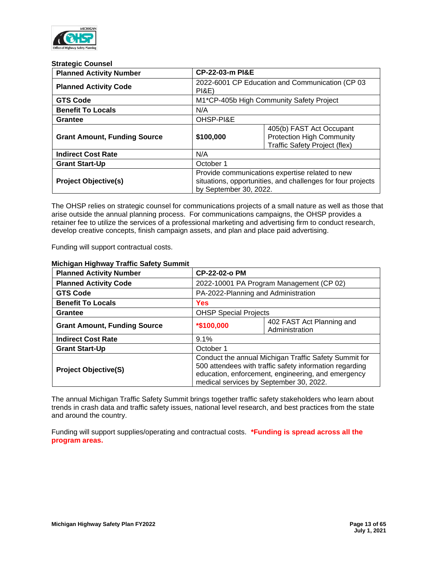

#### **Strategic Counsel**

| <b>Planned Activity Number</b>      |                                                                                                                                          | CP-22-03-m PI&E                                                                                      |  |  |
|-------------------------------------|------------------------------------------------------------------------------------------------------------------------------------------|------------------------------------------------------------------------------------------------------|--|--|
| <b>Planned Activity Code</b>        | PI&E                                                                                                                                     | 2022-6001 CP Education and Communication (CP 03                                                      |  |  |
| <b>GTS Code</b>                     |                                                                                                                                          | M1*CP-405b High Community Safety Project                                                             |  |  |
| <b>Benefit To Locals</b>            | N/A                                                                                                                                      |                                                                                                      |  |  |
| <b>Grantee</b>                      | OHSP-PI&E                                                                                                                                |                                                                                                      |  |  |
| <b>Grant Amount, Funding Source</b> | \$100,000                                                                                                                                | 405(b) FAST Act Occupant<br><b>Protection High Community</b><br><b>Traffic Safety Project (flex)</b> |  |  |
| <b>Indirect Cost Rate</b>           | N/A                                                                                                                                      |                                                                                                      |  |  |
| <b>Grant Start-Up</b>               | October 1                                                                                                                                |                                                                                                      |  |  |
| <b>Project Objective(s)</b>         | Provide communications expertise related to new<br>situations, opportunities, and challenges for four projects<br>by September 30, 2022. |                                                                                                      |  |  |

The OHSP relies on strategic counsel for communications projects of a small nature as well as those that arise outside the annual planning process. For communications campaigns, the OHSP provides a retainer fee to utilize the services of a professional marketing and advertising firm to conduct research, develop creative concepts, finish campaign assets, and plan and place paid advertising.

Funding will support contractual costs.

| <b>Planned Activity Number</b>      |            | <b>CP-22-02-o PM</b>                                                                                                                                                                                              |  |  |
|-------------------------------------|------------|-------------------------------------------------------------------------------------------------------------------------------------------------------------------------------------------------------------------|--|--|
| <b>Planned Activity Code</b>        |            | 2022-10001 PA Program Management (CP 02)                                                                                                                                                                          |  |  |
| <b>GTS Code</b>                     |            | PA-2022-Planning and Administration                                                                                                                                                                               |  |  |
| <b>Benefit To Locals</b>            | Yes        |                                                                                                                                                                                                                   |  |  |
| Grantee                             |            | <b>OHSP Special Projects</b>                                                                                                                                                                                      |  |  |
| <b>Grant Amount, Funding Source</b> | *\$100,000 | 402 FAST Act Planning and<br>Administration                                                                                                                                                                       |  |  |
| <b>Indirect Cost Rate</b>           | $9.1\%$    |                                                                                                                                                                                                                   |  |  |
| <b>Grant Start-Up</b>               | October 1  |                                                                                                                                                                                                                   |  |  |
| <b>Project Objective(S)</b>         |            | Conduct the annual Michigan Traffic Safety Summit for<br>500 attendees with traffic safety information regarding<br>education, enforcement, engineering, and emergency<br>medical services by September 30, 2022. |  |  |

## **Michigan Highway Traffic Safety Summit**

The annual Michigan Traffic Safety Summit brings together traffic safety stakeholders who learn about trends in crash data and traffic safety issues, national level research, and best practices from the state and around the country.

Funding will support supplies/operating and contractual costs. **\*Funding is spread across all the program areas.**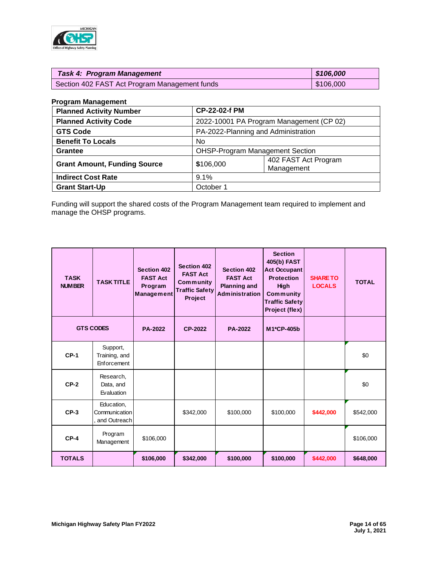

| <b>Task 4: Program Management</b>             | \$106,000 |
|-----------------------------------------------|-----------|
| Section 402 FAST Act Program Management funds | \$106,000 |

## **Program Management**

| <b>Planned Activity Number</b>      |           | <b>CP-22-02-f PM</b>                     |  |  |
|-------------------------------------|-----------|------------------------------------------|--|--|
| <b>Planned Activity Code</b>        |           | 2022-10001 PA Program Management (CP 02) |  |  |
| <b>GTS Code</b>                     |           | PA-2022-Planning and Administration      |  |  |
| <b>Benefit To Locals</b>            | No.       |                                          |  |  |
| <b>Grantee</b>                      |           | <b>OHSP-Program Management Section</b>   |  |  |
| <b>Grant Amount, Funding Source</b> | \$106,000 | 402 FAST Act Program<br>Management       |  |  |
| <b>Indirect Cost Rate</b>           | 9.1%      |                                          |  |  |
| <b>Grant Start-Up</b>               | October 1 |                                          |  |  |

Funding will support the shared costs of the Program Management team required to implement and manage the OHSP programs.

| <b>TASK</b><br><b>NUMBER</b> | <b>TASK TITLE</b>                           | <b>Section 402</b><br><b>FAST Act</b><br>Program<br>Management | Section 402<br><b>FAST Act</b><br>Community<br><b>Traffic Safety</b><br>Project | <b>Section 402</b><br><b>FAST Act</b><br><b>Planning and</b><br>Administration | <b>Section</b><br>405(b) FAST<br><b>Act Occupant</b><br><b>Protection</b><br><b>High</b><br>Community<br><b>Traffic Safety</b><br>Project (flex) | <b>SHARE TO</b><br><b>LOCALS</b> | <b>TOTAL</b> |
|------------------------------|---------------------------------------------|----------------------------------------------------------------|---------------------------------------------------------------------------------|--------------------------------------------------------------------------------|--------------------------------------------------------------------------------------------------------------------------------------------------|----------------------------------|--------------|
|                              | <b>GTS CODES</b>                            | <b>PA-2022</b>                                                 | CP-2022                                                                         | <b>PA-2022</b>                                                                 | M1*CP-405b                                                                                                                                       |                                  |              |
| $CP-1$                       | Support,<br>Training, and<br>Enforcement    |                                                                |                                                                                 |                                                                                |                                                                                                                                                  |                                  | \$0          |
| $CP-2$                       | Research,<br>Data, and<br>Evaluation        |                                                                |                                                                                 |                                                                                |                                                                                                                                                  |                                  | \$0          |
| $CP-3$                       | Education,<br>Communication<br>and Outreach |                                                                | \$342,000                                                                       | \$100,000                                                                      | \$100,000                                                                                                                                        | \$442,000                        | \$542,000    |
| $CP-4$                       | Program<br>Management                       | \$106,000                                                      |                                                                                 |                                                                                |                                                                                                                                                  |                                  | \$106,000    |
| <b>TOTALS</b>                |                                             | \$106,000                                                      | \$342,000                                                                       | \$100,000                                                                      | \$100,000                                                                                                                                        | \$442,000                        | \$648,000    |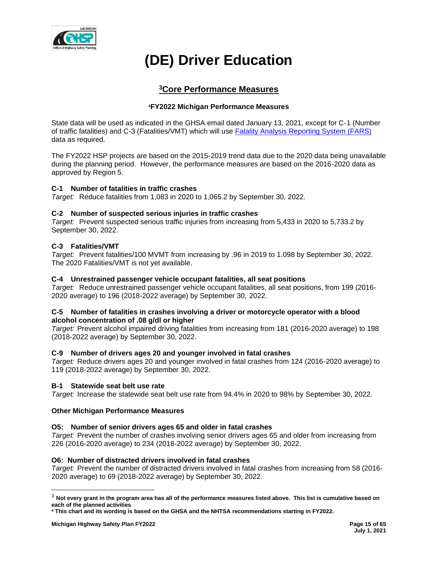

# **(DE) Driver Education**

# **<sup>3</sup>Core Performance Measures**

# **<sup>4</sup>FY2022 Michigan Performance Measures**

State data will be used as indicated in the GHSA email dated January 13, 2021, except for C-1 (Number of traffic fatalities) and C-3 (Fatalities/VMT) which will use [Fatality Analysis Reporting System \(FARS\)](https://cdan.nhtsa.gov/SASStoredProcess/guest) data as required.

The FY2022 HSP projects are based on the 2015-2019 trend data due to the 2020 data being unavailable during the planning period. However, the performance measures are based on the 2016-2020 data as approved by Region 5.

# **C-1 Number of fatalities in traffic crashes**

*Target:* Reduce fatalities from 1,083 in 2020 to 1,065.2 by September 30, 2022.

## **C-2 Number of suspected serious injuries in traffic crashes**

*Target:* Prevent suspected serious traffic injuries from increasing from 5,433 in 2020 to 5,733.2 by September 30, 2022.

## **C-3 Fatalities/VMT**

*Target:* Prevent fatalities/100 MVMT from increasing by .96 in 2019 to 1.098 by September 30, 2022. The 2020 Fatalities/VMT is not yet available.

## **C-4 Unrestrained passenger vehicle occupant fatalities, all seat positions**

*Target:* Reduce unrestrained passenger vehicle occupant fatalities, all seat positions, from 199 (2016- 2020 average) to 196 (2018-2022 average) by September 30, 2022.

## **C-5 Number of fatalities in crashes involving a driver or motorcycle operator with a blood alcohol concentration of .08 g/dl or higher**

*Target:* Prevent alcohol impaired driving fatalities from increasing from 181 (2016-2020 average) to 198 (2018-2022 average) by September 30, 2022.

## **C-9 Number of drivers ages 20 and younger involved in fatal crashes**

*Target:* Reduce drivers ages 20 and younger involved in fatal crashes from 124 (2016-2020 average) to 119 (2018-2022 average) by September 30, 2022.

## **B-1 Statewide seat belt use rate**

*Target:* Increase the statewide seat belt use rate from 94.4% in 2020 to 98% by September 30, 2022.

## **Other Michigan Performance Measures**

## **O5: Number of senior drivers ages 65 and older in fatal crashes**

*Target:* Prevent the number of crashes involving senior drivers ages 65 and older from increasing from 226 (2016-2020 average) to 234 (2018-2022 average) by September 30, 2022.

## **O6: Number of distracted drivers involved in fatal crashes**

*Target:* Prevent the number of distracted drivers involved in fatal crashes from increasing from 58 (2016- 2020 average) to 69 (2018-2022 average) by September 30, 2022.

<sup>3</sup> **Not every grant in the program area has all of the performance measures listed above. This list is cumulative based on each of the planned activities**

**<sup>4</sup> This chart and its wording is based on the GHSA and the NHTSA recommendations starting in FY2022.**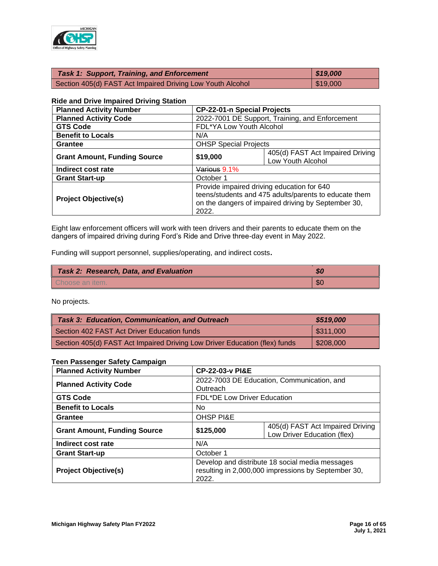

| <b>Task 1: Support, Training, and Enforcement</b>          | \$19,000 |
|------------------------------------------------------------|----------|
| Section 405(d) FAST Act Impaired Driving Low Youth Alcohol | \$19,000 |

#### **Ride and Drive Impaired Driving Station**

| <b>Planned Activity Number</b>      | <b>CP-22-01-n Special Projects</b>                                                                                                                                  |                                                       |  |
|-------------------------------------|---------------------------------------------------------------------------------------------------------------------------------------------------------------------|-------------------------------------------------------|--|
| <b>Planned Activity Code</b>        | 2022-7001 DE Support, Training, and Enforcement                                                                                                                     |                                                       |  |
| <b>GTS Code</b>                     | FDL*YA Low Youth Alcohol                                                                                                                                            |                                                       |  |
| <b>Benefit to Locals</b>            | N/A                                                                                                                                                                 |                                                       |  |
| <b>Grantee</b>                      | <b>OHSP Special Projects</b>                                                                                                                                        |                                                       |  |
| <b>Grant Amount, Funding Source</b> | \$19,000                                                                                                                                                            | 405(d) FAST Act Impaired Driving<br>Low Youth Alcohol |  |
| Indirect cost rate                  | Various 9.1%                                                                                                                                                        |                                                       |  |
| <b>Grant Start-up</b>               | October 1                                                                                                                                                           |                                                       |  |
| <b>Project Objective(s)</b>         | Provide impaired driving education for 640<br>teens/students and 475 adults/parents to educate them<br>on the dangers of impaired driving by September 30,<br>2022. |                                                       |  |

Eight law enforcement officers will work with teen drivers and their parents to educate them on the dangers of impaired driving during Ford's Ride and Drive three-day event in May 2022.

Funding will support personnel, supplies/operating, and indirect costs**.**

| <b>Task 2: Research, Data, and Evaluation</b> | $\boldsymbol{\mathcal{S}}$ |
|-----------------------------------------------|----------------------------|
| Choose an item.                               | -SC                        |

No projects.

| <b>Task 3: Education, Communication, and Outreach</b>                      | \$519,000               |
|----------------------------------------------------------------------------|-------------------------|
| Section 402 FAST Act Driver Education funds                                | $\frac{1}{2}$ \$311,000 |
| Section 405(d) FAST Act Impaired Driving Low Driver Education (flex) funds | $\frac{208,000}{$       |

## **Teen Passenger Safety Campaign**

| <b>Planned Activity Number</b>      |                                                                                                                 | <b>CP-22-03-y PI&amp;E</b>                                      |  |  |
|-------------------------------------|-----------------------------------------------------------------------------------------------------------------|-----------------------------------------------------------------|--|--|
| <b>Planned Activity Code</b>        | Outreach                                                                                                        | 2022-7003 DE Education, Communication, and                      |  |  |
| <b>GTS Code</b>                     |                                                                                                                 | FDL*DE Low Driver Education                                     |  |  |
| <b>Benefit to Locals</b>            | No.                                                                                                             |                                                                 |  |  |
| Grantee                             | <b>OHSP PI&amp;E</b>                                                                                            |                                                                 |  |  |
| <b>Grant Amount, Funding Source</b> | \$125,000                                                                                                       | 405(d) FAST Act Impaired Driving<br>Low Driver Education (flex) |  |  |
| Indirect cost rate                  | N/A                                                                                                             |                                                                 |  |  |
| <b>Grant Start-up</b>               | October 1                                                                                                       |                                                                 |  |  |
| <b>Project Objective(s)</b>         | Develop and distribute 18 social media messages<br>resulting in 2,000,000 impressions by September 30,<br>2022. |                                                                 |  |  |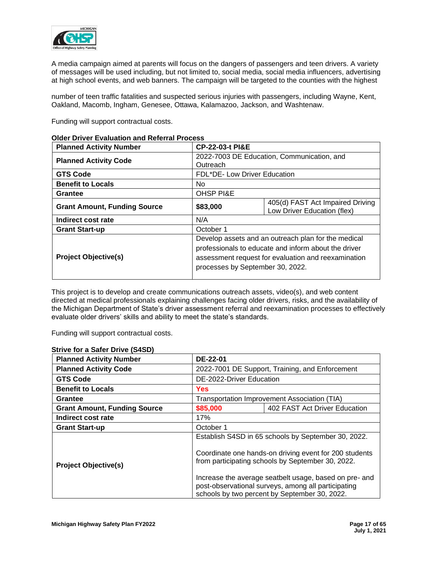

A media campaign aimed at parents will focus on the dangers of passengers and teen drivers. A variety of messages will be used including, but not limited to, social media, social media influencers, advertising at high school events, and web banners. The campaign will be targeted to the counties with the highest

number of teen traffic fatalities and suspected serious injuries with passengers, including Wayne, Kent, Oakland, Macomb, Ingham, Genesee, Ottawa, Kalamazoo, Jackson, and Washtenaw.

Funding will support contractual costs.

| <b>Planned Activity Number</b>      | <b>CP-22-03-t PI&amp;E</b>                                                                                                                                                                             |                                                                 |  |
|-------------------------------------|--------------------------------------------------------------------------------------------------------------------------------------------------------------------------------------------------------|-----------------------------------------------------------------|--|
| <b>Planned Activity Code</b>        | 2022-7003 DE Education, Communication, and<br>Outreach                                                                                                                                                 |                                                                 |  |
| <b>GTS Code</b>                     | FDL*DE- Low Driver Education                                                                                                                                                                           |                                                                 |  |
| <b>Benefit to Locals</b>            | No.                                                                                                                                                                                                    |                                                                 |  |
| Grantee                             | <b>OHSP PI&amp;E</b>                                                                                                                                                                                   |                                                                 |  |
| <b>Grant Amount, Funding Source</b> | \$83,000                                                                                                                                                                                               | 405(d) FAST Act Impaired Driving<br>Low Driver Education (flex) |  |
| Indirect cost rate                  | N/A                                                                                                                                                                                                    |                                                                 |  |
| <b>Grant Start-up</b>               | October 1                                                                                                                                                                                              |                                                                 |  |
| <b>Project Objective(s)</b>         | Develop assets and an outreach plan for the medical<br>professionals to educate and inform about the driver<br>assessment request for evaluation and reexamination<br>processes by September 30, 2022. |                                                                 |  |

## **Older Driver Evaluation and Referral Process**

This project is to develop and create communications outreach assets, video(s), and web content directed at medical professionals explaining challenges facing older drivers, risks, and the availability of the Michigan Department of State's driver assessment referral and reexamination processes to effectively evaluate older drivers' skills and ability to meet the state's standards.

Funding will support contractual costs.

| <b>Planned Activity Number</b>      | DE-22-01                                                                                                                                                                                                                                                                                                                             |                                                 |  |  |
|-------------------------------------|--------------------------------------------------------------------------------------------------------------------------------------------------------------------------------------------------------------------------------------------------------------------------------------------------------------------------------------|-------------------------------------------------|--|--|
| <b>Planned Activity Code</b>        |                                                                                                                                                                                                                                                                                                                                      | 2022-7001 DE Support, Training, and Enforcement |  |  |
| <b>GTS Code</b>                     | DE-2022-Driver Education                                                                                                                                                                                                                                                                                                             |                                                 |  |  |
| <b>Benefit to Locals</b>            | Yes                                                                                                                                                                                                                                                                                                                                  |                                                 |  |  |
| Grantee                             |                                                                                                                                                                                                                                                                                                                                      | Transportation Improvement Association (TIA)    |  |  |
| <b>Grant Amount, Funding Source</b> | \$85,000                                                                                                                                                                                                                                                                                                                             | 402 FAST Act Driver Education                   |  |  |
| Indirect cost rate                  | 17%                                                                                                                                                                                                                                                                                                                                  |                                                 |  |  |
| <b>Grant Start-up</b>               | October 1                                                                                                                                                                                                                                                                                                                            |                                                 |  |  |
| <b>Project Objective(s)</b>         | Establish S4SD in 65 schools by September 30, 2022.<br>Coordinate one hands-on driving event for 200 students<br>from participating schools by September 30, 2022.<br>Increase the average seatbelt usage, based on pre- and<br>post-observational surveys, among all participating<br>schools by two percent by September 30, 2022. |                                                 |  |  |

## **Strive for a Safer Drive (S4SD)**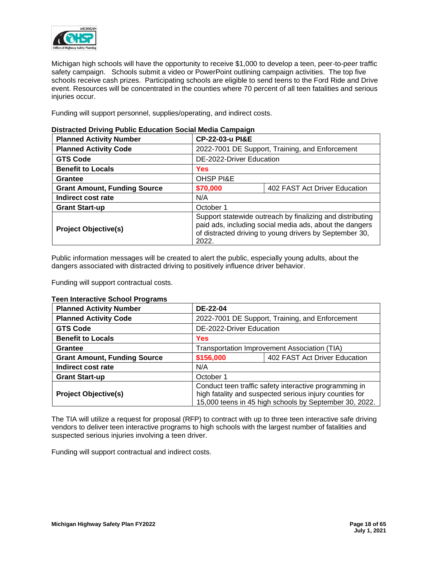

Michigan high schools will have the opportunity to receive \$1,000 to develop a teen, peer-to-peer traffic safety campaign. Schools submit a video or PowerPoint outlining campaign activities. The top five schools receive cash prizes. Participating schools are eligible to send teens to the Ford Ride and Drive event. Resources will be concentrated in the counties where 70 percent of all teen fatalities and serious injuries occur.

Funding will support personnel, supplies/operating, and indirect costs.

| <b>Planned Activity Number</b>      | CP-22-03-u PI&E                                                                                                                                                                          |                               |  |
|-------------------------------------|------------------------------------------------------------------------------------------------------------------------------------------------------------------------------------------|-------------------------------|--|
| <b>Planned Activity Code</b>        | 2022-7001 DE Support, Training, and Enforcement                                                                                                                                          |                               |  |
| <b>GTS Code</b>                     | DE-2022-Driver Education                                                                                                                                                                 |                               |  |
| <b>Benefit to Locals</b>            | <b>Yes</b>                                                                                                                                                                               |                               |  |
| Grantee                             | <b>OHSP PI&amp;E</b>                                                                                                                                                                     |                               |  |
| <b>Grant Amount, Funding Source</b> | \$70,000                                                                                                                                                                                 | 402 FAST Act Driver Education |  |
| Indirect cost rate                  | N/A                                                                                                                                                                                      |                               |  |
| <b>Grant Start-up</b>               | October 1                                                                                                                                                                                |                               |  |
| <b>Project Objective(s)</b>         | Support statewide outreach by finalizing and distributing<br>paid ads, including social media ads, about the dangers<br>of distracted driving to young drivers by September 30,<br>2022. |                               |  |

# **Distracted Driving Public Education Social Media Campaign**

Public information messages will be created to alert the public, especially young adults, about the dangers associated with distracted driving to positively influence driver behavior.

Funding will support contractual costs.

| <b>Planned Activity Number</b>      | DE-22-04   |                                                                                                                                                                             |  |  |
|-------------------------------------|------------|-----------------------------------------------------------------------------------------------------------------------------------------------------------------------------|--|--|
| <b>Planned Activity Code</b>        |            | 2022-7001 DE Support, Training, and Enforcement                                                                                                                             |  |  |
| <b>GTS Code</b>                     |            | DE-2022-Driver Education                                                                                                                                                    |  |  |
| <b>Benefit to Locals</b>            | <b>Yes</b> |                                                                                                                                                                             |  |  |
| <b>Grantee</b>                      |            | Transportation Improvement Association (TIA)                                                                                                                                |  |  |
| <b>Grant Amount, Funding Source</b> | \$156,000  | 402 FAST Act Driver Education                                                                                                                                               |  |  |
| Indirect cost rate                  | N/A        |                                                                                                                                                                             |  |  |
| <b>Grant Start-up</b>               | October 1  |                                                                                                                                                                             |  |  |
| <b>Project Objective(s)</b>         |            | Conduct teen traffic safety interactive programming in<br>high fatality and suspected serious injury counties for<br>15,000 teens in 45 high schools by September 30, 2022. |  |  |

## **Teen Interactive School Programs**

The TIA will utilize a request for proposal (RFP) to contract with up to three teen interactive safe driving vendors to deliver teen interactive programs to high schools with the largest number of fatalities and suspected serious injuries involving a teen driver.

Funding will support contractual and indirect costs.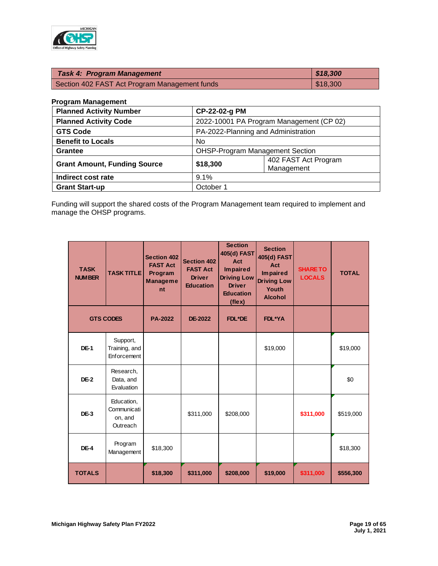

| <b>Task 4: Program Management</b>             | 818,300  |
|-----------------------------------------------|----------|
| Section 402 FAST Act Program Management funds | \$18,300 |

## **Program Management**

| <b>Planned Activity Number</b>      |           | CP-22-02-g PM                            |  |  |
|-------------------------------------|-----------|------------------------------------------|--|--|
| <b>Planned Activity Code</b>        |           | 2022-10001 PA Program Management (CP 02) |  |  |
| <b>GTS Code</b>                     |           | PA-2022-Planning and Administration      |  |  |
| <b>Benefit to Locals</b>            | No.       |                                          |  |  |
| <b>Grantee</b>                      |           | <b>OHSP-Program Management Section</b>   |  |  |
| <b>Grant Amount, Funding Source</b> | \$18,300  | 402 FAST Act Program<br>Management       |  |  |
| Indirect cost rate                  | 9.1%      |                                          |  |  |
| <b>Grant Start-up</b>               | October 1 |                                          |  |  |

Funding will support the shared costs of the Program Management team required to implement and manage the OHSP programs.

| <b>TASK</b><br><b>NUMBER</b> | <b>TASK TITLE</b>                                | <b>Section 402</b><br><b>FAST Act</b><br>Program<br><b>Manageme</b><br>nt | <b>Section 402</b><br><b>FAST Act</b><br><b>Driver</b><br><b>Education</b> | <b>Section</b><br>405(d) FAST<br>Act<br><b>Impaired</b><br><b>Driving Low</b><br><b>Driver</b><br><b>Education</b><br>(flex) | <b>Section</b><br>405(d) FAST<br>Act<br><b>Impaired</b><br><b>Driving Low</b><br>Youth<br><b>Alcohol</b> | <b>SHARE TO</b><br><b>LOCALS</b> | <b>TOTAL</b> |
|------------------------------|--------------------------------------------------|---------------------------------------------------------------------------|----------------------------------------------------------------------------|------------------------------------------------------------------------------------------------------------------------------|----------------------------------------------------------------------------------------------------------|----------------------------------|--------------|
|                              | <b>GTS CODES</b>                                 | <b>PA-2022</b>                                                            | DE-2022                                                                    | FDL*DE                                                                                                                       | <b>FDL*YA</b>                                                                                            |                                  |              |
| DE-1                         | Support,<br>Training, and<br>Enforcement         |                                                                           |                                                                            |                                                                                                                              | \$19,000                                                                                                 |                                  | \$19,000     |
| $DE-2$                       | Research,<br>Data, and<br>Evaluation             |                                                                           |                                                                            |                                                                                                                              |                                                                                                          |                                  | \$0          |
| DE-3                         | Education,<br>Communicati<br>on, and<br>Outreach |                                                                           | \$311,000                                                                  | \$208,000                                                                                                                    |                                                                                                          | \$311,000                        | \$519,000    |
| $DE-4$                       | Program<br>Management                            | \$18,300                                                                  |                                                                            |                                                                                                                              |                                                                                                          |                                  | \$18,300     |
| <b>TOTALS</b>                |                                                  | \$18,300                                                                  | \$311,000                                                                  | \$208,000                                                                                                                    | \$19,000                                                                                                 | \$311,000                        | \$556,300    |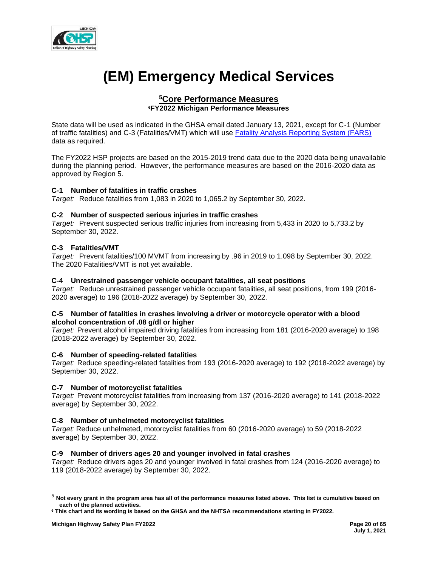

# **(EM) Emergency Medical Services**

# **<sup>5</sup>Core Performance Measures <sup>6</sup>FY2022 Michigan Performance Measures**

State data will be used as indicated in the GHSA email dated January 13, 2021, except for C-1 (Number of traffic fatalities) and C-3 (Fatalities/VMT) which will use [Fatality Analysis Reporting System \(FARS\)](https://cdan.nhtsa.gov/SASStoredProcess/guest) data as required.

The FY2022 HSP projects are based on the 2015-2019 trend data due to the 2020 data being unavailable during the planning period. However, the performance measures are based on the 2016-2020 data as approved by Region 5.

## **C-1 Number of fatalities in traffic crashes**

*Target:* Reduce fatalities from 1,083 in 2020 to 1,065.2 by September 30, 2022.

## **C-2 Number of suspected serious injuries in traffic crashes**

*Target:* Prevent suspected serious traffic injuries from increasing from 5,433 in 2020 to 5,733.2 by September 30, 2022.

## **C-3 Fatalities/VMT**

*Target:* Prevent fatalities/100 MVMT from increasing by .96 in 2019 to 1.098 by September 30, 2022. The 2020 Fatalities/VMT is not yet available.

## **C-4 Unrestrained passenger vehicle occupant fatalities, all seat positions**

*Target:* Reduce unrestrained passenger vehicle occupant fatalities, all seat positions, from 199 (2016- 2020 average) to 196 (2018-2022 average) by September 30, 2022.

## **C-5 Number of fatalities in crashes involving a driver or motorcycle operator with a blood alcohol concentration of .08 g/dl or higher**

*Target:* Prevent alcohol impaired driving fatalities from increasing from 181 (2016-2020 average) to 198 (2018-2022 average) by September 30, 2022.

## **C-6 Number of speeding-related fatalities**

*Target:* Reduce speeding-related fatalities from 193 (2016-2020 average) to 192 (2018-2022 average) by September 30, 2022.

## **C-7 Number of motorcyclist fatalities**

*Target:* Prevent motorcyclist fatalities from increasing from 137 (2016-2020 average) to 141 (2018-2022 average) by September 30, 2022.

## **C-8 Number of unhelmeted motorcyclist fatalities**

*Target:* Reduce unhelmeted, motorcyclist fatalities from 60 (2016-2020 average) to 59 (2018-2022 average) by September 30, 2022.

## **C-9 Number of drivers ages 20 and younger involved in fatal crashes**

*Target:* Reduce drivers ages 20 and younger involved in fatal crashes from 124 (2016-2020 average) to 119 (2018-2022 average) by September 30, 2022.

<sup>5</sup> **Not every grant in the program area has all of the performance measures listed above. This list is cumulative based on each of the planned activities.**

**<sup>6</sup> This chart and its wording is based on the GHSA and the NHTSA recommendations starting in FY2022.**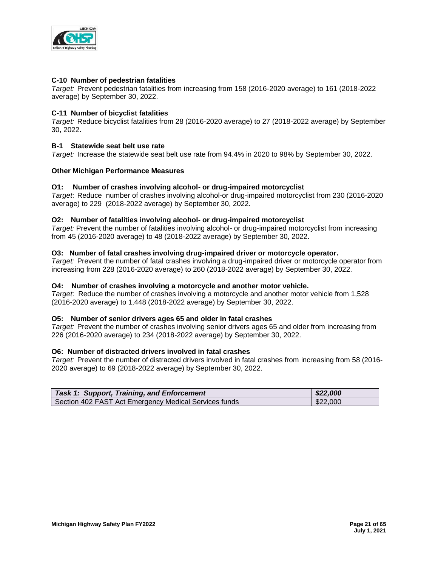

## **C-10 Number of pedestrian fatalities**

*Target:* Prevent pedestrian fatalities from increasing from 158 (2016-2020 average) to 161 (2018-2022 average) by September 30, 2022.

#### **C-11 Number of bicyclist fatalities**

*Target:* Reduce bicyclist fatalities from 28 (2016-2020 average) to 27 (2018-2022 average) by September 30, 2022.

## **B-1 Statewide seat belt use rate**

*Target:* Increase the statewide seat belt use rate from 94.4% in 2020 to 98% by September 30, 2022.

#### **Other Michigan Performance Measures**

#### **O1: Number of crashes involving alcohol- or drug-impaired motorcyclist**

*Target*: Reduce number of crashes involving alcohol-or drug-impaired motorcyclist from 230 (2016-2020 average) to 229 (2018-2022 average) by September 30, 2022.

## **O2: Number of fatalities involving alcohol- or drug-impaired motorcyclist**

*Target:* Prevent the number of fatalities involving alcohol- or drug-impaired motorcyclist from increasing from 45 (2016-2020 average) to 48 (2018-2022 average) by September 30, 2022.

#### **O3: Number of fatal crashes involving drug-impaired driver or motorcycle operator.**

*Target:* Prevent the number of fatal crashes involving a drug-impaired driver or motorcycle operator from increasing from 228 (2016-2020 average) to 260 (2018-2022 average) by September 30, 2022.

#### **O4: Number of crashes involving a motorcycle and another motor vehicle.**

*Target*: Reduce the number of crashes involving a motorcycle and another motor vehicle from 1,528 (2016-2020 average) to 1,448 (2018-2022 average) by September 30, 2022.

#### **O5: Number of senior drivers ages 65 and older in fatal crashes**

*Target:* Prevent the number of crashes involving senior drivers ages 65 and older from increasing from 226 (2016-2020 average) to 234 (2018-2022 average) by September 30, 2022.

#### **O6: Number of distracted drivers involved in fatal crashes**

*Target:* Prevent the number of distracted drivers involved in fatal crashes from increasing from 58 (2016- 2020 average) to 69 (2018-2022 average) by September 30, 2022.

| <b>Task 1: Support, Training, and Enforcement</b>     | \$22,000 |
|-------------------------------------------------------|----------|
| Section 402 FAST Act Emergency Medical Services funds | \$22,000 |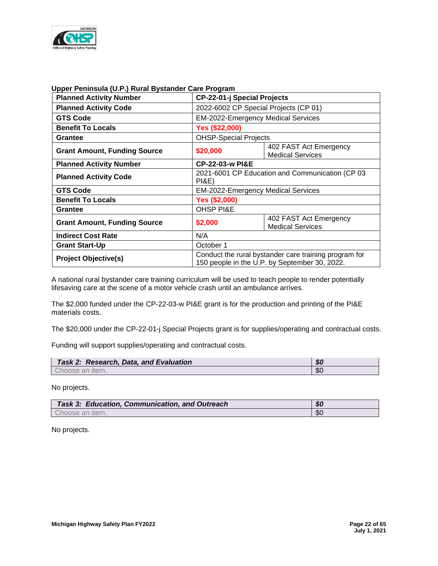

| <b>Planned Activity Number</b>      | <b>CP-22-01-j Special Projects</b>                                                                     |  |  |
|-------------------------------------|--------------------------------------------------------------------------------------------------------|--|--|
| <b>Planned Activity Code</b>        | 2022-6002 CP Special Projects (CP 01)                                                                  |  |  |
| <b>GTS Code</b>                     | EM-2022-Emergency Medical Services                                                                     |  |  |
| <b>Benefit To Locals</b>            | Yes (\$22,000)                                                                                         |  |  |
| <b>Grantee</b>                      | <b>OHSP-Special Projects</b>                                                                           |  |  |
| <b>Grant Amount, Funding Source</b> | 402 FAST Act Emergency<br>\$20,000<br><b>Medical Services</b>                                          |  |  |
| <b>Planned Activity Number</b>      | <b>CP-22-03-w PI&amp;E</b>                                                                             |  |  |
| <b>Planned Activity Code</b>        | 2021-6001 CP Education and Communication (CP 03<br><b>PI&amp;E)</b>                                    |  |  |
| <b>GTS Code</b>                     | <b>EM-2022-Emergency Medical Services</b>                                                              |  |  |
| <b>Benefit To Locals</b>            | <b>Yes (\$2,000)</b>                                                                                   |  |  |
| <b>Grantee</b>                      | <b>OHSP PI&amp;E</b>                                                                                   |  |  |
| <b>Grant Amount, Funding Source</b> | 402 FAST Act Emergency<br>\$2,000<br><b>Medical Services</b>                                           |  |  |
| <b>Indirect Cost Rate</b>           | N/A                                                                                                    |  |  |
| <b>Grant Start-Up</b>               | October 1                                                                                              |  |  |
| <b>Project Objective(s)</b>         | Conduct the rural bystander care training program for<br>150 people in the U.P. by September 30, 2022. |  |  |

## **Upper Peninsula (U.P.) Rural Bystander Care Program**

A national rural bystander care training curriculum will be used to teach people to render potentially lifesaving care at the scene of a motor vehicle crash until an ambulance arrives.

The \$2,000 funded under the CP-22-03-w PI&E grant is for the production and printing of the PI&E materials costs.

The \$20,000 under the CP-22-01-j Special Projects grant is for supplies/operating and contractual costs.

Funding will support supplies/operating and contractual costs.

| Task 2: Research, Data, and Evaluation | \$0 |
|----------------------------------------|-----|
| Choose an item.                        | \$0 |

No projects.

| <b>Task 3: Education, Communication, and Outreach</b> | \$0 |
|-------------------------------------------------------|-----|
| Choose an item.                                       | \$0 |

No projects.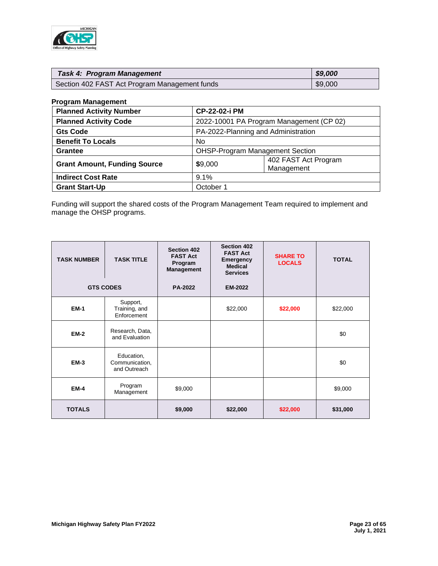

| <b>Task 4: Program Management</b>             | \$9,000 |
|-----------------------------------------------|---------|
| Section 402 FAST Act Program Management funds | \$9,000 |

## **Program Management**

| <b>Planned Activity Number</b>      |           | CP-22-02-i PM                            |  |
|-------------------------------------|-----------|------------------------------------------|--|
| <b>Planned Activity Code</b>        |           | 2022-10001 PA Program Management (CP 02) |  |
| <b>Gts Code</b>                     |           | PA-2022-Planning and Administration      |  |
| <b>Benefit To Locals</b>            | No.       |                                          |  |
| <b>Grantee</b>                      |           | <b>OHSP-Program Management Section</b>   |  |
| <b>Grant Amount, Funding Source</b> | \$9,000   | 402 FAST Act Program<br>Management       |  |
| <b>Indirect Cost Rate</b>           | 9.1%      |                                          |  |
| <b>Grant Start-Up</b>               | October 1 |                                          |  |

Funding will support the shared costs of the Program Management Team required to implement and manage the OHSP programs.

| <b>TASK NUMBER</b> | <b>TASK TITLE</b>                            | <b>Section 402</b><br><b>FAST Act</b><br>Program<br><b>Management</b> | <b>Section 402</b><br><b>FAST Act</b><br>Emergency<br><b>Medical</b><br><b>Services</b> | <b>SHARE TO</b><br><b>LOCALS</b> | <b>TOTAL</b> |
|--------------------|----------------------------------------------|-----------------------------------------------------------------------|-----------------------------------------------------------------------------------------|----------------------------------|--------------|
|                    | <b>GTS CODES</b>                             | <b>PA-2022</b>                                                        | <b>EM-2022</b>                                                                          |                                  |              |
| <b>EM-1</b>        | Support,<br>Training, and<br>Enforcement     |                                                                       | \$22,000                                                                                | \$22,000                         | \$22,000     |
| <b>EM-2</b>        | Research, Data,<br>and Evaluation            |                                                                       |                                                                                         |                                  | \$0          |
| <b>EM-3</b>        | Education,<br>Communication,<br>and Outreach |                                                                       |                                                                                         |                                  | \$0          |
| <b>EM-4</b>        | Program<br>Management                        | \$9,000                                                               |                                                                                         |                                  | \$9,000      |
| <b>TOTALS</b>      |                                              | \$9,000                                                               | \$22,000                                                                                | \$22,000                         | \$31,000     |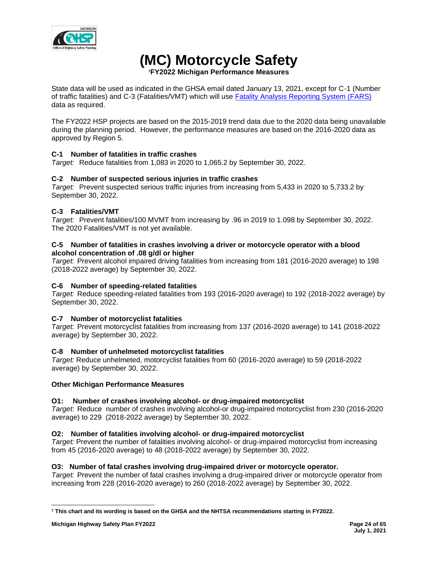

# **(MC) Motorcycle Safety**

**<sup>7</sup>FY2022 Michigan Performance Measures**

State data will be used as indicated in the GHSA email dated January 13, 2021, except for C-1 (Number of traffic fatalities) and C-3 (Fatalities/VMT) which will use [Fatality Analysis Reporting System \(FARS\)](https://cdan.nhtsa.gov/SASStoredProcess/guest) data as required.

The FY2022 HSP projects are based on the 2015-2019 trend data due to the 2020 data being unavailable during the planning period. However, the performance measures are based on the 2016-2020 data as approved by Region 5.

# **C-1 Number of fatalities in traffic crashes**

*Target:* Reduce fatalities from 1,083 in 2020 to 1,065.2 by September 30, 2022.

# **C-2 Number of suspected serious injuries in traffic crashes**

*Target:* Prevent suspected serious traffic injuries from increasing from 5,433 in 2020 to 5,733.2 by September 30, 2022.

# **C-3 Fatalities/VMT**

*Target:* Prevent fatalities/100 MVMT from increasing by .96 in 2019 to 1.098 by September 30, 2022. The 2020 Fatalities/VMT is not yet available.

## **C-5 Number of fatalities in crashes involving a driver or motorcycle operator with a blood alcohol concentration of .08 g/dl or higher**

*Target:* Prevent alcohol impaired driving fatalities from increasing from 181 (2016-2020 average) to 198 (2018-2022 average) by September 30, 2022.

# **C-6 Number of speeding-related fatalities**

*Target:* Reduce speeding-related fatalities from 193 (2016-2020 average) to 192 (2018-2022 average) by September 30, 2022.

# **C-7 Number of motorcyclist fatalities**

*Target:* Prevent motorcyclist fatalities from increasing from 137 (2016-2020 average) to 141 (2018-2022 average) by September 30, 2022.

# **C-8 Number of unhelmeted motorcyclist fatalities**

*Target:* Reduce unhelmeted, motorcyclist fatalities from 60 (2016-2020 average) to 59 (2018-2022 average) by September 30, 2022.

# **Other Michigan Performance Measures**

## **O1: Number of crashes involving alcohol- or drug-impaired motorcyclist**

*Target*: Reduce number of crashes involving alcohol-or drug-impaired motorcyclist from 230 (2016-2020 average) to 229 (2018-2022 average) by September 30, 2022.

# **O2: Number of fatalities involving alcohol- or drug-impaired motorcyclist**

*Target:* Prevent the number of fatalities involving alcohol- or drug-impaired motorcyclist from increasing from 45 (2016-2020 average) to 48 (2018-2022 average) by September 30, 2022.

# **O3: Number of fatal crashes involving drug-impaired driver or motorcycle operator.**

*Target:* Prevent the number of fatal crashes involving a drug-impaired driver or motorcycle operator from increasing from 228 (2016-2020 average) to 260 (2018-2022 average) by September 30, 2022.

**<sup>7</sup> This chart and its wording is based on the GHSA and the NHTSA recommendations starting in FY2022.**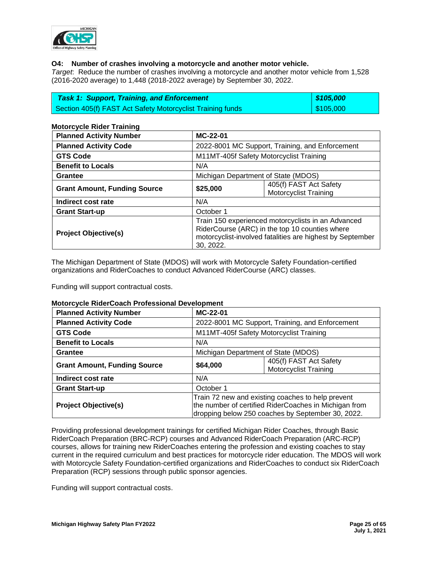

## **O4: Number of crashes involving a motorcycle and another motor vehicle.**

*Target*: Reduce the number of crashes involving a motorcycle and another motor vehicle from 1,528 (2016-2020 average) to 1,448 (2018-2022 average) by September 30, 2022.

| <b>Task 1: Support, Training, and Enforcement</b>          | 8105,000                |
|------------------------------------------------------------|-------------------------|
| Section 405(f) FAST Act Safety Motorcyclist Training funds | $\frac{1}{2}$ \$105,000 |

## **Motorcycle Rider Training**

| <b>Planned Activity Number</b>      | MC-22-01                                           |                                                           |  |  |
|-------------------------------------|----------------------------------------------------|-----------------------------------------------------------|--|--|
| <b>Planned Activity Code</b>        |                                                    | 2022-8001 MC Support, Training, and Enforcement           |  |  |
| <b>GTS Code</b>                     |                                                    | M11MT-405f Safety Motorcyclist Training                   |  |  |
| <b>Benefit to Locals</b>            | N/A                                                |                                                           |  |  |
| Grantee                             |                                                    | Michigan Department of State (MDOS)                       |  |  |
| <b>Grant Amount, Funding Source</b> | \$25,000                                           | 405(f) FAST Act Safety                                    |  |  |
|                                     |                                                    | <b>Motorcyclist Training</b>                              |  |  |
| Indirect cost rate                  | N/A                                                |                                                           |  |  |
| <b>Grant Start-up</b>               | October 1                                          |                                                           |  |  |
|                                     | Train 150 experienced motorcyclists in an Advanced |                                                           |  |  |
| <b>Project Objective(s)</b>         |                                                    | RiderCourse (ARC) in the top 10 counties where            |  |  |
|                                     |                                                    | motorcyclist-involved fatalities are highest by September |  |  |
|                                     | 30.2022.                                           |                                                           |  |  |

The Michigan Department of State (MDOS) will work with Motorcycle Safety Foundation-certified organizations and RiderCoaches to conduct Advanced RiderCourse (ARC) classes.

Funding will support contractual costs.

# **Motorcycle RiderCoach Professional Development**

| <b>Planned Activity Number</b>      | MC-22-01  |                                                                                                                                                                 |  |
|-------------------------------------|-----------|-----------------------------------------------------------------------------------------------------------------------------------------------------------------|--|
| <b>Planned Activity Code</b>        |           | 2022-8001 MC Support, Training, and Enforcement                                                                                                                 |  |
| <b>GTS Code</b>                     |           | M11MT-405f Safety Motorcyclist Training                                                                                                                         |  |
| <b>Benefit to Locals</b>            | N/A       |                                                                                                                                                                 |  |
| <b>Grantee</b>                      |           | Michigan Department of State (MDOS)                                                                                                                             |  |
| <b>Grant Amount, Funding Source</b> | \$64,000  | 405(f) FAST Act Safety<br><b>Motorcyclist Training</b>                                                                                                          |  |
| Indirect cost rate                  | N/A       |                                                                                                                                                                 |  |
| <b>Grant Start-up</b>               | October 1 |                                                                                                                                                                 |  |
| <b>Project Objective(s)</b>         |           | Train 72 new and existing coaches to help prevent<br>the number of certified RiderCoaches in Michigan from<br>dropping below 250 coaches by September 30, 2022. |  |

Providing professional development trainings for certified Michigan Rider Coaches, through Basic RiderCoach Preparation (BRC-RCP) courses and Advanced RiderCoach Preparation (ARC-RCP) courses, allows for training new RiderCoaches entering the profession and existing coaches to stay current in the required curriculum and best practices for motorcycle rider education. The MDOS will work with Motorcycle Safety Foundation-certified organizations and RiderCoaches to conduct six RiderCoach Preparation (RCP) sessions through public sponsor agencies.

Funding will support contractual costs.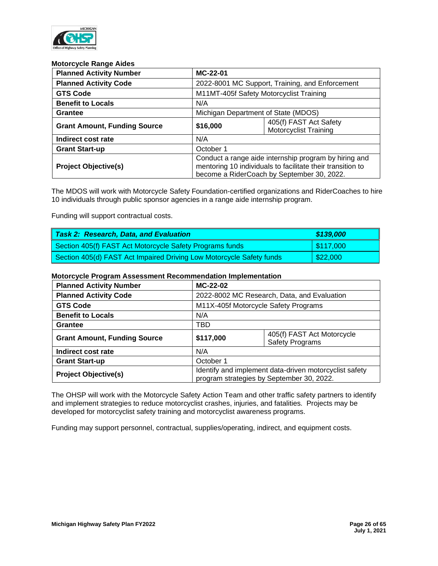

#### **Motorcycle Range Aides**

| <b>Planned Activity Number</b>      | MC-22-01                                                                                                                                                          |                                                        |  |
|-------------------------------------|-------------------------------------------------------------------------------------------------------------------------------------------------------------------|--------------------------------------------------------|--|
| <b>Planned Activity Code</b>        |                                                                                                                                                                   | 2022-8001 MC Support, Training, and Enforcement        |  |
| <b>GTS Code</b>                     |                                                                                                                                                                   | M11MT-405f Safety Motorcyclist Training                |  |
| <b>Benefit to Locals</b>            | N/A                                                                                                                                                               |                                                        |  |
| Grantee                             | Michigan Department of State (MDOS)                                                                                                                               |                                                        |  |
| <b>Grant Amount, Funding Source</b> | \$16,000                                                                                                                                                          | 405(f) FAST Act Safety<br><b>Motorcyclist Training</b> |  |
| Indirect cost rate                  | N/A                                                                                                                                                               |                                                        |  |
| <b>Grant Start-up</b>               | October 1                                                                                                                                                         |                                                        |  |
| <b>Project Objective(s)</b>         | Conduct a range aide internship program by hiring and<br>mentoring 10 individuals to facilitate their transition to<br>become a RiderCoach by September 30, 2022. |                                                        |  |

The MDOS will work with Motorcycle Safety Foundation-certified organizations and RiderCoaches to hire 10 individuals through public sponsor agencies in a range aide internship program.

Funding will support contractual costs.

| <b>Task 2: Research, Data, and Evaluation</b>                        | \$139,000               |
|----------------------------------------------------------------------|-------------------------|
| Section 405(f) FAST Act Motorcycle Safety Programs funds             | $\frac{1}{2}$ \$117,000 |
| Section 405(d) FAST Act Impaired Driving Low Motorcycle Safety funds | $\frac{22,000}{$        |

## **Motorcycle Program Assessment Recommendation Implementation**

| <b>Planned Activity Number</b>      | MC-22-02                                                                                            |                                                      |  |
|-------------------------------------|-----------------------------------------------------------------------------------------------------|------------------------------------------------------|--|
| <b>Planned Activity Code</b>        | 2022-8002 MC Research, Data, and Evaluation                                                         |                                                      |  |
| <b>GTS Code</b>                     | M11X-405f Motorcycle Safety Programs                                                                |                                                      |  |
| <b>Benefit to Locals</b>            | N/A                                                                                                 |                                                      |  |
| <b>Grantee</b>                      | TBD                                                                                                 |                                                      |  |
| <b>Grant Amount, Funding Source</b> | \$117,000                                                                                           | 405(f) FAST Act Motorcycle<br><b>Safety Programs</b> |  |
| Indirect cost rate                  | N/A                                                                                                 |                                                      |  |
| <b>Grant Start-up</b>               | October 1                                                                                           |                                                      |  |
| <b>Project Objective(s)</b>         | Identify and implement data-driven motorcyclist safety<br>program strategies by September 30, 2022. |                                                      |  |

The OHSP will work with the Motorcycle Safety Action Team and other traffic safety partners to identify and implement strategies to reduce motorcyclist crashes, injuries, and fatalities. Projects may be developed for motorcyclist safety training and motorcyclist awareness programs.

Funding may support personnel, contractual, supplies/operating, indirect, and equipment costs.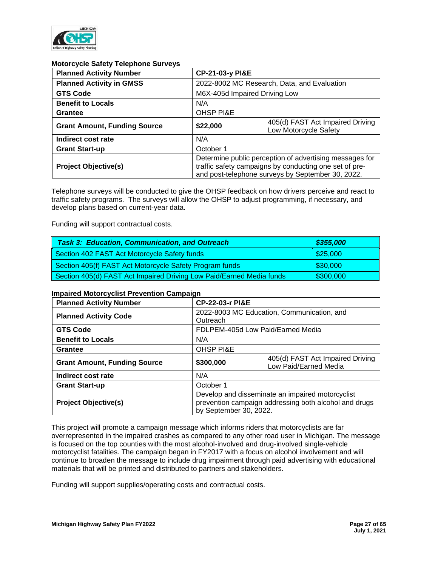

## **Motorcycle Safety Telephone Surveys**

| <b>Planned Activity Number</b>      | CP-21-03-y PI&E                                                                                                                                                        |                                                           |  |
|-------------------------------------|------------------------------------------------------------------------------------------------------------------------------------------------------------------------|-----------------------------------------------------------|--|
| <b>Planned Activity in GMSS</b>     | 2022-8002 MC Research, Data, and Evaluation                                                                                                                            |                                                           |  |
| <b>GTS Code</b>                     | M6X-405d Impaired Driving Low                                                                                                                                          |                                                           |  |
| <b>Benefit to Locals</b>            | N/A                                                                                                                                                                    |                                                           |  |
| <b>Grantee</b>                      | <b>OHSP PI&amp;E</b>                                                                                                                                                   |                                                           |  |
| <b>Grant Amount, Funding Source</b> | \$22,000                                                                                                                                                               | 405(d) FAST Act Impaired Driving<br>Low Motorcycle Safety |  |
| Indirect cost rate                  | N/A                                                                                                                                                                    |                                                           |  |
| <b>Grant Start-up</b>               | October 1                                                                                                                                                              |                                                           |  |
| <b>Project Objective(s)</b>         | Determine public perception of advertising messages for<br>traffic safety campaigns by conducting one set of pre-<br>and post-telephone surveys by September 30, 2022. |                                                           |  |

Telephone surveys will be conducted to give the OHSP feedback on how drivers perceive and react to traffic safety programs. The surveys will allow the OHSP to adjust programming, if necessary, and develop plans based on current-year data.

Funding will support contractual costs.

| <b>Task 3: Education, Communication, and Outreach</b>                | \$355,000              |
|----------------------------------------------------------------------|------------------------|
| Section 402 FAST Act Motorcycle Safety funds                         | $\frac{1}{2}$ \$25,000 |
| Section 405(f) FAST Act Motorcycle Safety Program funds              | $\frac{1}{2}$ \$30,000 |
| Section 405(d) FAST Act Impaired Driving Low Paid/Earned Media funds | \$300,000              |

## **Impaired Motorcyclist Prevention Campaign**

| <b>Planned Activity Number</b>      |                                                                                                                                     | <b>CP-22-03-r PI&amp;E</b>                                |  |  |
|-------------------------------------|-------------------------------------------------------------------------------------------------------------------------------------|-----------------------------------------------------------|--|--|
| <b>Planned Activity Code</b>        | Outreach                                                                                                                            | 2022-8003 MC Education, Communication, and                |  |  |
| <b>GTS Code</b>                     |                                                                                                                                     | FDLPEM-405d Low Paid/Earned Media                         |  |  |
| <b>Benefit to Locals</b>            | N/A                                                                                                                                 |                                                           |  |  |
| Grantee                             | <b>OHSP PI&amp;E</b>                                                                                                                |                                                           |  |  |
| <b>Grant Amount, Funding Source</b> | \$300,000                                                                                                                           | 405(d) FAST Act Impaired Driving<br>Low Paid/Earned Media |  |  |
| Indirect cost rate                  | N/A                                                                                                                                 |                                                           |  |  |
| <b>Grant Start-up</b>               | October 1                                                                                                                           |                                                           |  |  |
| <b>Project Objective(s)</b>         | Develop and disseminate an impaired motorcyclist<br>prevention campaign addressing both alcohol and drugs<br>by September 30, 2022. |                                                           |  |  |

This project will promote a campaign message which informs riders that motorcyclists are far overrepresented in the impaired crashes as compared to any other road user in Michigan. The message is focused on the top counties with the most alcohol-involved and drug-involved single-vehicle motorcyclist fatalities. The campaign began in FY2017 with a focus on alcohol involvement and will continue to broaden the message to include drug impairment through paid advertising with educational materials that will be printed and distributed to partners and stakeholders.

Funding will support supplies/operating costs and contractual costs.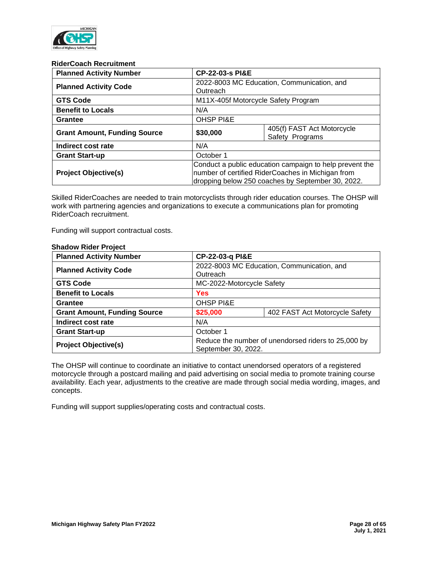

#### **RiderCoach Recruitment**

| <b>Planned Activity Number</b>      |                      | <b>CP-22-03-s PI&amp;E</b>                                                                                                                                        |  |
|-------------------------------------|----------------------|-------------------------------------------------------------------------------------------------------------------------------------------------------------------|--|
| <b>Planned Activity Code</b>        | Outreach             | 2022-8003 MC Education, Communication, and                                                                                                                        |  |
| <b>GTS Code</b>                     |                      | M11X-405f Motorcycle Safety Program                                                                                                                               |  |
| <b>Benefit to Locals</b>            | N/A                  |                                                                                                                                                                   |  |
| Grantee                             | <b>OHSP PI&amp;E</b> |                                                                                                                                                                   |  |
| <b>Grant Amount, Funding Source</b> | \$30,000             | 405(f) FAST Act Motorcycle<br>Safety Programs                                                                                                                     |  |
| Indirect cost rate                  | N/A                  |                                                                                                                                                                   |  |
| <b>Grant Start-up</b>               | October 1            |                                                                                                                                                                   |  |
| <b>Project Objective(s)</b>         |                      | Conduct a public education campaign to help prevent the<br>number of certified RiderCoaches in Michigan from<br>dropping below 250 coaches by September 30, 2022. |  |

Skilled RiderCoaches are needed to train motorcyclists through rider education courses. The OHSP will work with partnering agencies and organizations to execute a communications plan for promoting RiderCoach recruitment.

Funding will support contractual costs.

| <b>Planned Activity Number</b>      | CP-22-03-q PI&E                                                            |                                |  |  |
|-------------------------------------|----------------------------------------------------------------------------|--------------------------------|--|--|
| <b>Planned Activity Code</b>        | 2022-8003 MC Education, Communication, and<br>Outreach                     |                                |  |  |
| <b>GTS Code</b>                     | MC-2022-Motorcycle Safety                                                  |                                |  |  |
| <b>Benefit to Locals</b>            | <b>Yes</b>                                                                 |                                |  |  |
| Grantee                             | <b>OHSP PI&amp;E</b>                                                       |                                |  |  |
| <b>Grant Amount, Funding Source</b> | \$25,000                                                                   | 402 FAST Act Motorcycle Safety |  |  |
| Indirect cost rate                  | N/A                                                                        |                                |  |  |
| <b>Grant Start-up</b>               | October 1                                                                  |                                |  |  |
| <b>Project Objective(s)</b>         | Reduce the number of unendorsed riders to 25,000 by<br>September 30, 2022. |                                |  |  |

**Shadow Rider Project**

The OHSP will continue to coordinate an initiative to contact unendorsed operators of a registered motorcycle through a postcard mailing and paid advertising on social media to promote training course availability. Each year, adjustments to the creative are made through social media wording, images, and concepts.

Funding will support supplies/operating costs and contractual costs.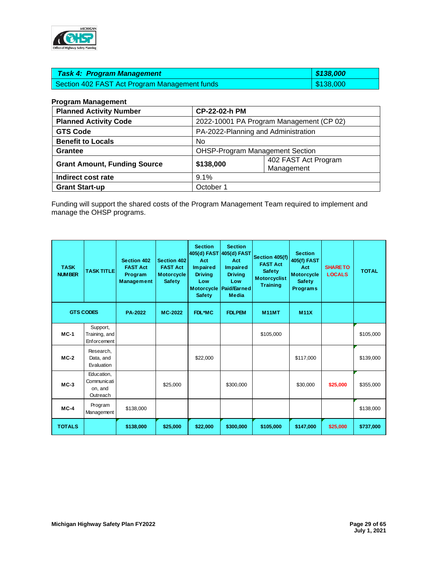

| <b>Task 4: Program Management</b>             | 8138,000  |
|-----------------------------------------------|-----------|
| Section 402 FAST Act Program Management funds | \$138,000 |

## **Program Management**

| <b>Planned Activity Number</b>      |           | CP-22-02-h PM                            |  |  |
|-------------------------------------|-----------|------------------------------------------|--|--|
| <b>Planned Activity Code</b>        |           | 2022-10001 PA Program Management (CP 02) |  |  |
| <b>GTS Code</b>                     |           | PA-2022-Planning and Administration      |  |  |
| <b>Benefit to Locals</b>            | No        |                                          |  |  |
| <b>Grantee</b>                      |           | <b>OHSP-Program Management Section</b>   |  |  |
| <b>Grant Amount, Funding Source</b> | \$138,000 | 402 FAST Act Program<br>Management       |  |  |
| Indirect cost rate                  | 9.1%      |                                          |  |  |
| <b>Grant Start-up</b>               | October 1 |                                          |  |  |

Funding will support the shared costs of the Program Management Team required to implement and manage the OHSP programs.

| <b>TASK</b><br><b>NUMBER</b> | <b>TASK TITLE</b>                                | Section 402<br><b>FAST Act</b><br>Program<br>Management | Section 402<br><b>FAST Act</b><br><b>Motorcycle</b><br><b>Safety</b> | <b>Section</b><br>Act<br>Im paired<br><b>Driving</b><br>Low<br><b>Safety</b> | <b>Section</b><br>405(d) FAST 405(d) FAST<br>Act<br><b>Impaired</b><br><b>Driving</b><br>Low<br>Motorcycle   Paid/Earned<br><b>Media</b> | Section 405(f)<br><b>FAST Act</b><br><b>Safety</b><br><b>Motorcyclist</b><br><b>Training</b> | <b>Section</b><br>405(f) FAST<br>Act<br><b>Motorcycle</b><br><b>Safety</b><br><b>Programs</b> | <b>SHARE TO</b><br><b>LOCALS</b> | <b>TOTAL</b> |
|------------------------------|--------------------------------------------------|---------------------------------------------------------|----------------------------------------------------------------------|------------------------------------------------------------------------------|------------------------------------------------------------------------------------------------------------------------------------------|----------------------------------------------------------------------------------------------|-----------------------------------------------------------------------------------------------|----------------------------------|--------------|
|                              | <b>GTS CODES</b>                                 | <b>PA-2022</b>                                          | MC-2022                                                              | FDL*MC                                                                       | <b>FDLPEM</b>                                                                                                                            | <b>M11MT</b>                                                                                 | <b>M11X</b>                                                                                   |                                  |              |
| $MC-1$                       | Support,<br>Training, and<br>Enforcement         |                                                         |                                                                      |                                                                              |                                                                                                                                          | \$105.000                                                                                    |                                                                                               |                                  | \$105,000    |
| $MC-2$                       | Research,<br>Data, and<br>Evaluation             |                                                         |                                                                      | \$22,000                                                                     |                                                                                                                                          |                                                                                              | \$117,000                                                                                     |                                  | \$139,000    |
| $MC-3$                       | Education,<br>Communicati<br>on, and<br>Outreach |                                                         | \$25,000                                                             |                                                                              | \$300,000                                                                                                                                |                                                                                              | \$30,000                                                                                      | \$25,000                         | \$355,000    |
| $MC-4$                       | Program<br>Management                            | \$138,000                                               |                                                                      |                                                                              |                                                                                                                                          |                                                                                              |                                                                                               |                                  | \$138,000    |
| <b>TOTALS</b>                |                                                  | \$138,000                                               | \$25,000                                                             | \$22,000                                                                     | \$300,000                                                                                                                                | \$105,000                                                                                    | \$147,000                                                                                     | \$25,000                         | \$737,000    |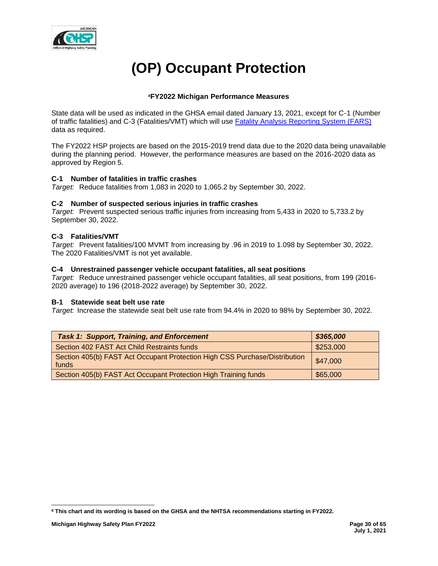

# **(OP) Occupant Protection**

# **<sup>8</sup>FY2022 Michigan Performance Measures**

State data will be used as indicated in the GHSA email dated January 13, 2021, except for C-1 (Number of traffic fatalities) and C-3 (Fatalities/VMT) which will use [Fatality Analysis Reporting System \(FARS\)](https://cdan.nhtsa.gov/SASStoredProcess/guest) data as required.

The FY2022 HSP projects are based on the 2015-2019 trend data due to the 2020 data being unavailable during the planning period. However, the performance measures are based on the 2016-2020 data as approved by Region 5.

# **C-1 Number of fatalities in traffic crashes**

*Target:* Reduce fatalities from 1,083 in 2020 to 1,065.2 by September 30, 2022.

## **C-2 Number of suspected serious injuries in traffic crashes**

*Target:* Prevent suspected serious traffic injuries from increasing from 5,433 in 2020 to 5,733.2 by September 30, 2022.

## **C-3 Fatalities/VMT**

*Target:* Prevent fatalities/100 MVMT from increasing by .96 in 2019 to 1.098 by September 30, 2022. The 2020 Fatalities/VMT is not yet available.

## **C-4 Unrestrained passenger vehicle occupant fatalities, all seat positions**

*Target:* Reduce unrestrained passenger vehicle occupant fatalities, all seat positions, from 199 (2016- 2020 average) to 196 (2018-2022 average) by September 30, 2022.

## **B-1 Statewide seat belt use rate**

*Target:* Increase the statewide seat belt use rate from 94.4% in 2020 to 98% by September 30, 2022.

| <b>Task 1: Support, Training, and Enforcement</b>                                   | \$365,000 |
|-------------------------------------------------------------------------------------|-----------|
| Section 402 FAST Act Child Restraints funds                                         | \$253,000 |
| Section 405(b) FAST Act Occupant Protection High CSS Purchase/Distribution<br>funds | \$47,000  |
| Section 405(b) FAST Act Occupant Protection High Training funds                     | \$65,000  |

**<sup>8</sup> This chart and its wording is based on the GHSA and the NHTSA recommendations starting in FY2022.**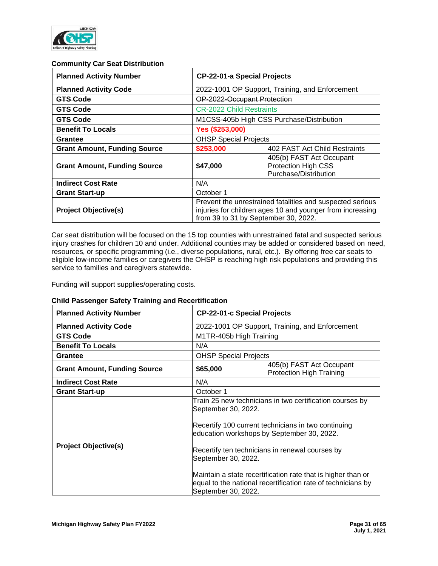

## **Community Car Seat Distribution**

| <b>Planned Activity Number</b>      | <b>CP-22-01-a Special Projects</b>                                                                                                                             |                                                                                 |  |  |
|-------------------------------------|----------------------------------------------------------------------------------------------------------------------------------------------------------------|---------------------------------------------------------------------------------|--|--|
| <b>Planned Activity Code</b>        |                                                                                                                                                                | 2022-1001 OP Support, Training, and Enforcement                                 |  |  |
| <b>GTS Gode</b>                     | OP-2022-Occupant Protection                                                                                                                                    |                                                                                 |  |  |
| <b>GTS Code</b>                     | <b>CR-2022 Child Restraints</b>                                                                                                                                |                                                                                 |  |  |
| <b>GTS Code</b>                     | M1CSS-405b High CSS Purchase/Distribution                                                                                                                      |                                                                                 |  |  |
| <b>Benefit To Locals</b>            | Yes (\$253,000)                                                                                                                                                |                                                                                 |  |  |
| Grantee                             | <b>OHSP Special Projects</b>                                                                                                                                   |                                                                                 |  |  |
| <b>Grant Amount, Funding Source</b> | \$253,000<br>402 FAST Act Child Restraints                                                                                                                     |                                                                                 |  |  |
| <b>Grant Amount, Funding Source</b> | \$47,000                                                                                                                                                       | 405(b) FAST Act Occupant<br><b>Protection High CSS</b><br>Purchase/Distribution |  |  |
| <b>Indirect Cost Rate</b>           | N/A                                                                                                                                                            |                                                                                 |  |  |
| <b>Grant Start-up</b>               | October 1                                                                                                                                                      |                                                                                 |  |  |
| <b>Project Objective(s)</b>         | Prevent the unrestrained fatalities and suspected serious<br>injuries for children ages 10 and younger from increasing<br>from 39 to 31 by September 30, 2022. |                                                                                 |  |  |

Car seat distribution will be focused on the 15 top counties with unrestrained fatal and suspected serious injury crashes for children 10 and under. Additional counties may be added or considered based on need, resources, or specific programming (i.e., diverse populations, rural, etc.). By offering free car seats to eligible low-income families or caregivers the OHSP is reaching high risk populations and providing this service to families and caregivers statewide.

Funding will support supplies/operating costs.

# **Child Passenger Safety Training and Recertification**

| <b>Planned Activity Number</b>      | <b>CP-22-01-c Special Projects</b>                                      |                                                                                                                                                                                                                                                                                                                                                  |  |
|-------------------------------------|-------------------------------------------------------------------------|--------------------------------------------------------------------------------------------------------------------------------------------------------------------------------------------------------------------------------------------------------------------------------------------------------------------------------------------------|--|
| <b>Planned Activity Code</b>        |                                                                         | 2022-1001 OP Support, Training, and Enforcement                                                                                                                                                                                                                                                                                                  |  |
| <b>GTS Code</b>                     | M1TR-405b High Training                                                 |                                                                                                                                                                                                                                                                                                                                                  |  |
| <b>Benefit To Locals</b>            | N/A                                                                     |                                                                                                                                                                                                                                                                                                                                                  |  |
| <b>Grantee</b>                      | <b>OHSP Special Projects</b>                                            |                                                                                                                                                                                                                                                                                                                                                  |  |
| <b>Grant Amount, Funding Source</b> | 405(b) FAST Act Occupant<br>\$65,000<br><b>Protection High Training</b> |                                                                                                                                                                                                                                                                                                                                                  |  |
| <b>Indirect Cost Rate</b>           | N/A                                                                     |                                                                                                                                                                                                                                                                                                                                                  |  |
| <b>Grant Start-up</b>               | October 1                                                               |                                                                                                                                                                                                                                                                                                                                                  |  |
| <b>Project Objective(s)</b>         | September 30, 2022.<br>September 30, 2022.<br>September 30, 2022.       | Train 25 new technicians in two certification courses by<br>Recertify 100 current technicians in two continuing<br>education workshops by September 30, 2022.<br>Recertify ten technicians in renewal courses by<br>Maintain a state recertification rate that is higher than or<br>equal to the national recertification rate of technicians by |  |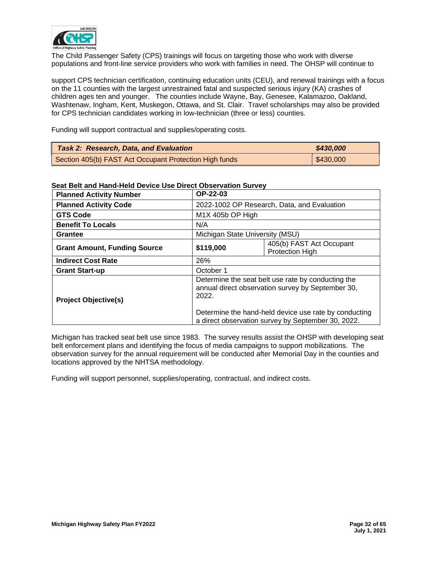

The Child Passenger Safety (CPS) trainings will focus on targeting those who work with diverse populations and front-line service providers who work with families in need. The OHSP will continue to

support CPS technician certification, continuing education units (CEU), and renewal trainings with a focus on the 11 counties with the largest unrestrained fatal and suspected serious injury (KA) crashes of children ages ten and younger. The counties include Wayne, Bay, Genesee, Kalamazoo, Oakland, Washtenaw, Ingham, Kent, Muskegon, Ottawa, and St. Clair. Travel scholarships may also be provided for CPS technician candidates working in low-technician (three or less) counties.

Funding will support contractual and supplies/operating costs.

| <b>Task 2: Research, Data, and Evaluation</b>          | \$430,000 |
|--------------------------------------------------------|-----------|
| Section 405(b) FAST Act Occupant Protection High funds | \$430,000 |

| <b>Planned Activity Number</b>      | OP-22-03                                                                                                         |                                                    |  |  |
|-------------------------------------|------------------------------------------------------------------------------------------------------------------|----------------------------------------------------|--|--|
| <b>Planned Activity Code</b>        |                                                                                                                  | 2022-1002 OP Research, Data, and Evaluation        |  |  |
| <b>GTS Code</b>                     |                                                                                                                  | M1X 405b OP High                                   |  |  |
| <b>Benefit To Locals</b>            | N/A                                                                                                              |                                                    |  |  |
| Grantee                             |                                                                                                                  | Michigan State University (MSU)                    |  |  |
| <b>Grant Amount, Funding Source</b> | \$119,000                                                                                                        | 405(b) FAST Act Occupant<br><b>Protection High</b> |  |  |
| <b>Indirect Cost Rate</b>           | 26%                                                                                                              |                                                    |  |  |
| <b>Grant Start-up</b>               | October 1                                                                                                        |                                                    |  |  |
| <b>Project Objective(s)</b>         | Determine the seat belt use rate by conducting the<br>annual direct observation survey by September 30,<br>2022. |                                                    |  |  |
|                                     | Determine the hand-held device use rate by conducting<br>a direct observation survey by September 30, 2022.      |                                                    |  |  |

## **Seat Belt and Hand-Held Device Use Direct Observation Survey**

Michigan has tracked seat belt use since 1983. The survey results assist the OHSP with developing seat belt enforcement plans and identifying the focus of media campaigns to support mobilizations. The observation survey for the annual requirement will be conducted after Memorial Day in the counties and locations approved by the NHTSA methodology.

Funding will support personnel, supplies/operating, contractual, and indirect costs.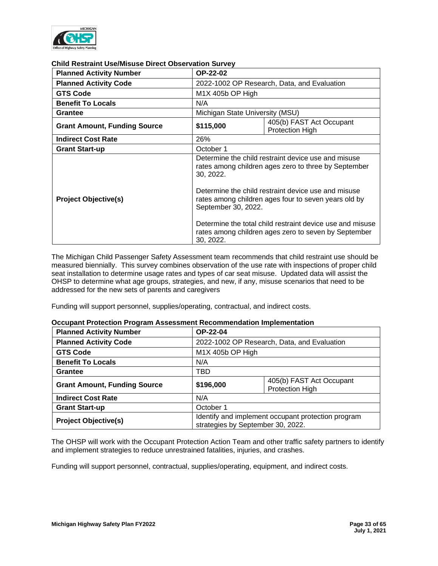

| CHING NGSU AIHI USGNIISUSG DIIGUL UDSGI VALIUH JUI VGV |                                                                                                                                                                                                                                                                |  |  |
|--------------------------------------------------------|----------------------------------------------------------------------------------------------------------------------------------------------------------------------------------------------------------------------------------------------------------------|--|--|
| <b>Planned Activity Number</b>                         | <b>OP-22-02</b>                                                                                                                                                                                                                                                |  |  |
| <b>Planned Activity Code</b>                           | 2022-1002 OP Research, Data, and Evaluation                                                                                                                                                                                                                    |  |  |
| <b>GTS Code</b>                                        | $M1X$ 405b OP High                                                                                                                                                                                                                                             |  |  |
| <b>Benefit To Locals</b>                               | N/A                                                                                                                                                                                                                                                            |  |  |
| Grantee                                                | Michigan State University (MSU)                                                                                                                                                                                                                                |  |  |
| <b>Grant Amount, Funding Source</b>                    | 405(b) FAST Act Occupant<br>\$115,000<br>Protection High                                                                                                                                                                                                       |  |  |
| <b>Indirect Cost Rate</b>                              | 26%                                                                                                                                                                                                                                                            |  |  |
| <b>Grant Start-up</b>                                  | October 1                                                                                                                                                                                                                                                      |  |  |
| <b>Project Objective(s)</b>                            | Determine the child restraint device use and misuse<br>rates among children ages zero to three by September<br>30, 2022.<br>Determine the child restraint device use and misuse<br>rates among children ages four to seven years old by<br>September 30, 2022. |  |  |
|                                                        | Determine the total child restraint device use and misuse<br>rates among children ages zero to seven by September<br>30, 2022.                                                                                                                                 |  |  |

## **Child Restraint Use/Misuse Direct Observation Survey**

The Michigan Child Passenger Safety Assessment team recommends that child restraint use should be measured biennially. This survey combines observation of the use rate with inspections of proper child seat installation to determine usage rates and types of car seat misuse. Updated data will assist the OHSP to determine what age groups, strategies, and new, if any, misuse scenarios that need to be addressed for the new sets of parents and caregivers

Funding will support personnel, supplies/operating, contractual, and indirect costs.

#### **Occupant Protection Program Assessment Recommendation Implementation**

| <b>Planned Activity Number</b>      | OP-22-04                                                                                |                                                    |  |
|-------------------------------------|-----------------------------------------------------------------------------------------|----------------------------------------------------|--|
| <b>Planned Activity Code</b>        | 2022-1002 OP Research, Data, and Evaluation                                             |                                                    |  |
| <b>GTS Code</b>                     | M1X 405b OP High                                                                        |                                                    |  |
| <b>Benefit To Locals</b>            | N/A                                                                                     |                                                    |  |
| <b>Grantee</b>                      | TBD                                                                                     |                                                    |  |
| <b>Grant Amount, Funding Source</b> | \$196,000                                                                               | 405(b) FAST Act Occupant<br><b>Protection High</b> |  |
| <b>Indirect Cost Rate</b>           | N/A                                                                                     |                                                    |  |
| <b>Grant Start-up</b>               | October 1                                                                               |                                                    |  |
| <b>Project Objective(s)</b>         | Identify and implement occupant protection program<br>strategies by September 30, 2022. |                                                    |  |

The OHSP will work with the Occupant Protection Action Team and other traffic safety partners to identify and implement strategies to reduce unrestrained fatalities, injuries, and crashes.

Funding will support personnel, contractual, supplies/operating, equipment, and indirect costs.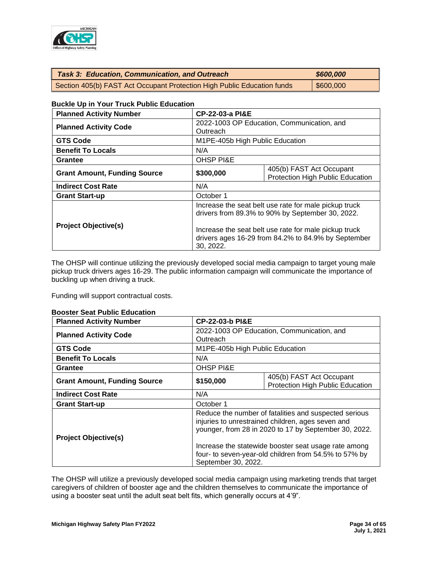

| <b>Task 3: Education, Communication, and Outreach</b>                   | \$600,000 |
|-------------------------------------------------------------------------|-----------|
| Section 405(b) FAST Act Occupant Protection High Public Education funds | \$600,000 |

## **Buckle Up in Your Truck Public Education**

| <b>Planned Activity Number</b>      | <b>CP-22-03-a PI&amp;E</b>                                                                                                                                                                                                             |  |  |  |
|-------------------------------------|----------------------------------------------------------------------------------------------------------------------------------------------------------------------------------------------------------------------------------------|--|--|--|
| <b>Planned Activity Code</b>        | 2022-1003 OP Education, Communication, and<br>Outreach                                                                                                                                                                                 |  |  |  |
| <b>GTS Code</b>                     | M1PE-405b High Public Education                                                                                                                                                                                                        |  |  |  |
| <b>Benefit To Locals</b>            | N/A                                                                                                                                                                                                                                    |  |  |  |
| Grantee                             | <b>OHSP PI&amp;E</b>                                                                                                                                                                                                                   |  |  |  |
| <b>Grant Amount, Funding Source</b> | 405(b) FAST Act Occupant<br>\$300,000<br>Protection High Public Education                                                                                                                                                              |  |  |  |
| <b>Indirect Cost Rate</b>           | N/A                                                                                                                                                                                                                                    |  |  |  |
| <b>Grant Start-up</b>               | October 1                                                                                                                                                                                                                              |  |  |  |
| <b>Project Objective(s)</b>         | Increase the seat belt use rate for male pickup truck<br>drivers from 89.3% to 90% by September 30, 2022.<br>Increase the seat belt use rate for male pickup truck<br>drivers ages 16-29 from 84.2% to 84.9% by September<br>30, 2022. |  |  |  |

The OHSP will continue utilizing the previously developed social media campaign to target young male pickup truck drivers ages 16-29. The public information campaign will communicate the importance of buckling up when driving a truck.

Funding will support contractual costs.

#### **Booster Seat Public Education**

| <b>Planned Activity Number</b>      |                      | <b>CP-22-03-b PI&amp;E</b>                                                                                                                                                                                                                                                           |  |  |  |
|-------------------------------------|----------------------|--------------------------------------------------------------------------------------------------------------------------------------------------------------------------------------------------------------------------------------------------------------------------------------|--|--|--|
| <b>Planned Activity Code</b>        | Outreach             | 2022-1003 OP Education, Communication, and                                                                                                                                                                                                                                           |  |  |  |
| <b>GTS Code</b>                     |                      | M1PE-405b High Public Education                                                                                                                                                                                                                                                      |  |  |  |
| <b>Benefit To Locals</b>            | N/A                  |                                                                                                                                                                                                                                                                                      |  |  |  |
| <b>Grantee</b>                      | <b>OHSP PI&amp;E</b> |                                                                                                                                                                                                                                                                                      |  |  |  |
| <b>Grant Amount, Funding Source</b> | \$150,000            | 405(b) FAST Act Occupant<br>Protection High Public Education                                                                                                                                                                                                                         |  |  |  |
| <b>Indirect Cost Rate</b>           | N/A                  |                                                                                                                                                                                                                                                                                      |  |  |  |
| <b>Grant Start-up</b>               | October 1            |                                                                                                                                                                                                                                                                                      |  |  |  |
| <b>Project Objective(s)</b>         | September 30, 2022.  | Reduce the number of fatalities and suspected serious<br>injuries to unrestrained children, ages seven and<br>younger, from 28 in 2020 to 17 by September 30, 2022.<br>Increase the statewide booster seat usage rate among<br>four- to seven-year-old children from 54.5% to 57% by |  |  |  |

The OHSP will utilize a previously developed social media campaign using marketing trends that target caregivers of children of booster age and the children themselves to communicate the importance of using a booster seat until the adult seat belt fits, which generally occurs at 4'9".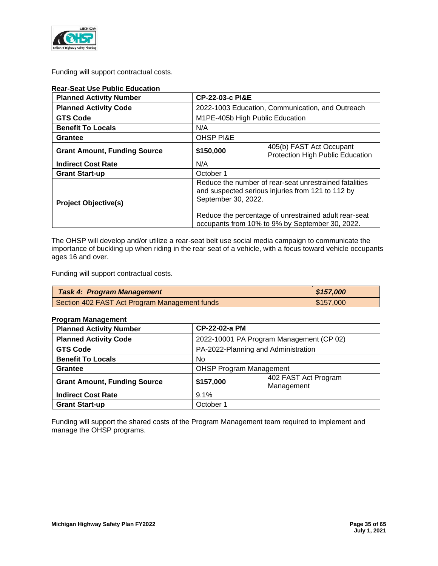

Funding will support contractual costs.

| <b>Rear-Seat Use Public Education</b> |                                                                                                                                                                                             |                                                  |  |  |  |
|---------------------------------------|---------------------------------------------------------------------------------------------------------------------------------------------------------------------------------------------|--------------------------------------------------|--|--|--|
| <b>Planned Activity Number</b>        |                                                                                                                                                                                             | <b>CP-22-03-c PI&amp;E</b>                       |  |  |  |
| <b>Planned Activity Code</b>          |                                                                                                                                                                                             | 2022-1003 Education, Communication, and Outreach |  |  |  |
| <b>GTS Code</b>                       |                                                                                                                                                                                             | M1PE-405b High Public Education                  |  |  |  |
| <b>Benefit To Locals</b>              | N/A                                                                                                                                                                                         |                                                  |  |  |  |
| Grantee                               | <b>OHSP PI&amp;E</b>                                                                                                                                                                        |                                                  |  |  |  |
| <b>Grant Amount, Funding Source</b>   | 405(b) FAST Act Occupant<br>\$150,000<br>Protection High Public Education                                                                                                                   |                                                  |  |  |  |
| <b>Indirect Cost Rate</b>             | N/A                                                                                                                                                                                         |                                                  |  |  |  |
| <b>Grant Start-up</b>                 | October 1                                                                                                                                                                                   |                                                  |  |  |  |
| <b>Project Objective(s)</b>           | Reduce the number of rear-seat unrestrained fatalities<br>and suspected serious injuries from 121 to 112 by<br>September 30, 2022.<br>Reduce the percentage of unrestrained adult rear-seat |                                                  |  |  |  |
|                                       | occupants from 10% to 9% by September 30, 2022.                                                                                                                                             |                                                  |  |  |  |

The OHSP will develop and/or utilize a rear-seat belt use social media campaign to communicate the importance of buckling up when riding in the rear seat of a vehicle, with a focus toward vehicle occupants ages 16 and over.

Funding will support contractual costs.

| <b>Task 4: Program Management</b>             | \$157,000               |
|-----------------------------------------------|-------------------------|
| Section 402 FAST Act Program Management funds | $\frac{1}{2}$ \$157,000 |

## **Program Management**

| <b>Planned Activity Number</b>      | CP-22-02-a PM                                   |                                          |  |  |
|-------------------------------------|-------------------------------------------------|------------------------------------------|--|--|
| <b>Planned Activity Code</b>        |                                                 | 2022-10001 PA Program Management (CP 02) |  |  |
| <b>GTS Code</b>                     |                                                 | PA-2022-Planning and Administration      |  |  |
| <b>Benefit To Locals</b>            | No.                                             |                                          |  |  |
| Grantee                             |                                                 | <b>OHSP Program Management</b>           |  |  |
| <b>Grant Amount, Funding Source</b> | 402 FAST Act Program<br>\$157,000<br>Management |                                          |  |  |
| <b>Indirect Cost Rate</b>           | 9.1%                                            |                                          |  |  |
| <b>Grant Start-up</b>               | October 1                                       |                                          |  |  |

Funding will support the shared costs of the Program Management team required to implement and manage the OHSP programs.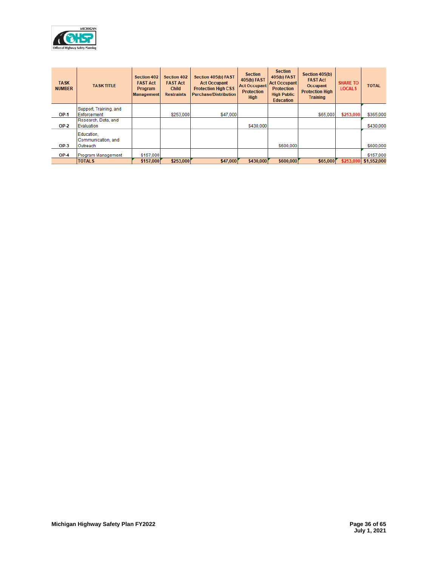

| <b>TASK</b><br><b>NUMBER</b> | <b>TASK TITLE</b>                | <b>Section 402</b><br><b>FAST Act</b><br><b>Program</b><br><b>Management</b> | <b>Section 402</b><br><b>FAST Act</b><br><b>Child</b><br><b>Restraints</b> | Section 405(b) FAST<br><b>Act Occupant</b><br><b>Protection High CSS</b><br><b>Purchase/Distribution</b> | <b>Section</b><br>405(b) FAST<br><b>Act Occupant</b><br><b>Protection</b><br><b>High</b> | <b>Section</b><br>405(b) FAST<br><b>Act Occupant</b><br><b>Protection</b><br><b>High Public</b><br><b>Education</b> | Section 405(b)<br><b>FAST Act</b><br><b>Occupant</b><br><b>Protection High</b><br><b>Training</b> | <b>SHARE TO</b><br><b>LOCALS</b> | <b>TOTAL</b> |
|------------------------------|----------------------------------|------------------------------------------------------------------------------|----------------------------------------------------------------------------|----------------------------------------------------------------------------------------------------------|------------------------------------------------------------------------------------------|---------------------------------------------------------------------------------------------------------------------|---------------------------------------------------------------------------------------------------|----------------------------------|--------------|
|                              | Support, Training, and           |                                                                              |                                                                            |                                                                                                          |                                                                                          |                                                                                                                     |                                                                                                   |                                  |              |
| <b>OP-1</b>                  | Enforcement                      |                                                                              | \$253,000                                                                  | \$47,000                                                                                                 |                                                                                          |                                                                                                                     | \$65,000                                                                                          | \$253,000                        | \$365,000    |
|                              | Research, Data, and              |                                                                              |                                                                            |                                                                                                          |                                                                                          |                                                                                                                     |                                                                                                   |                                  |              |
| $OP-2$                       | Evaluation                       |                                                                              |                                                                            |                                                                                                          | \$430,000                                                                                |                                                                                                                     |                                                                                                   |                                  | \$430,000    |
|                              | Education.<br>Communication, and |                                                                              |                                                                            |                                                                                                          |                                                                                          |                                                                                                                     |                                                                                                   |                                  |              |
| $OP-3$                       | Outreach                         |                                                                              |                                                                            |                                                                                                          |                                                                                          | \$600,000                                                                                                           |                                                                                                   |                                  | \$600,000    |
| OP-4                         | Program Management               | \$157,000                                                                    |                                                                            |                                                                                                          |                                                                                          |                                                                                                                     |                                                                                                   |                                  | \$157,000    |
|                              | <b>TOTALS</b>                    | \$157,000                                                                    | \$253,000                                                                  | \$47,000                                                                                                 | \$430,000                                                                                | \$600,000                                                                                                           | \$65,000                                                                                          | \$253,000                        | \$1,552,000  |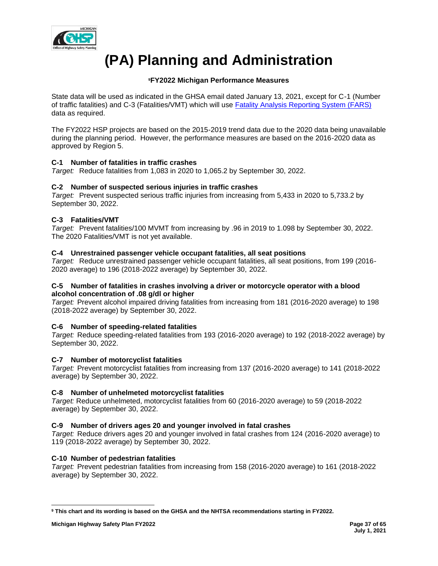

# **(PA) Planning and Administration**

# **<sup>9</sup>FY2022 Michigan Performance Measures**

State data will be used as indicated in the GHSA email dated January 13, 2021, except for C-1 (Number of traffic fatalities) and C-3 (Fatalities/VMT) which will use [Fatality Analysis Reporting System \(FARS\)](https://cdan.nhtsa.gov/SASStoredProcess/guest) data as required.

The FY2022 HSP projects are based on the 2015-2019 trend data due to the 2020 data being unavailable during the planning period. However, the performance measures are based on the 2016-2020 data as approved by Region 5.

# **C-1 Number of fatalities in traffic crashes**

*Target:* Reduce fatalities from 1,083 in 2020 to 1,065.2 by September 30, 2022.

# **C-2 Number of suspected serious injuries in traffic crashes**

*Target:* Prevent suspected serious traffic injuries from increasing from 5,433 in 2020 to 5,733.2 by September 30, 2022.

# **C-3 Fatalities/VMT**

*Target:* Prevent fatalities/100 MVMT from increasing by .96 in 2019 to 1.098 by September 30, 2022. The 2020 Fatalities/VMT is not yet available.

# **C-4 Unrestrained passenger vehicle occupant fatalities, all seat positions**

*Target:* Reduce unrestrained passenger vehicle occupant fatalities, all seat positions, from 199 (2016- 2020 average) to 196 (2018-2022 average) by September 30, 2022.

## **C-5 Number of fatalities in crashes involving a driver or motorcycle operator with a blood alcohol concentration of .08 g/dl or higher**

*Target:* Prevent alcohol impaired driving fatalities from increasing from 181 (2016-2020 average) to 198 (2018-2022 average) by September 30, 2022.

# **C-6 Number of speeding-related fatalities**

*Target:* Reduce speeding-related fatalities from 193 (2016-2020 average) to 192 (2018-2022 average) by September 30, 2022.

# **C-7 Number of motorcyclist fatalities**

*Target:* Prevent motorcyclist fatalities from increasing from 137 (2016-2020 average) to 141 (2018-2022 average) by September 30, 2022.

# **C-8 Number of unhelmeted motorcyclist fatalities**

*Target:* Reduce unhelmeted, motorcyclist fatalities from 60 (2016-2020 average) to 59 (2018-2022 average) by September 30, 2022.

# **C-9 Number of drivers ages 20 and younger involved in fatal crashes**

*Target:* Reduce drivers ages 20 and younger involved in fatal crashes from 124 (2016-2020 average) to 119 (2018-2022 average) by September 30, 2022.

# **C-10 Number of pedestrian fatalities**

*Target:* Prevent pedestrian fatalities from increasing from 158 (2016-2020 average) to 161 (2018-2022 average) by September 30, 2022.

**<sup>9</sup> This chart and its wording is based on the GHSA and the NHTSA recommendations starting in FY2022.**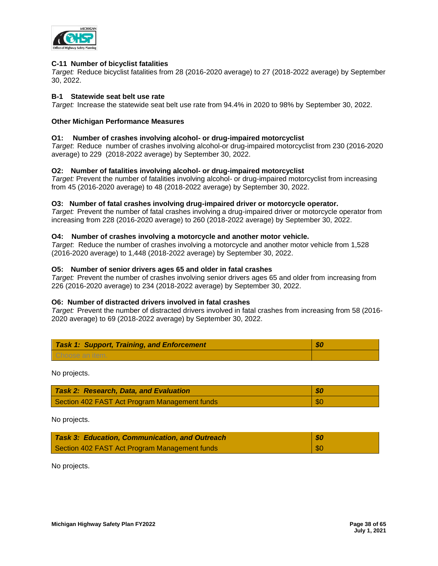

## **C-11 Number of bicyclist fatalities**

*Target:* Reduce bicyclist fatalities from 28 (2016-2020 average) to 27 (2018-2022 average) by September 30, 2022.

## **B-1 Statewide seat belt use rate**

*Target:* Increase the statewide seat belt use rate from 94.4% in 2020 to 98% by September 30, 2022.

## **Other Michigan Performance Measures**

## **O1: Number of crashes involving alcohol- or drug-impaired motorcyclist**

*Target*: Reduce number of crashes involving alcohol-or drug-impaired motorcyclist from 230 (2016-2020 average) to 229 (2018-2022 average) by September 30, 2022.

## **O2: Number of fatalities involving alcohol- or drug-impaired motorcyclist**

*Target:* Prevent the number of fatalities involving alcohol- or drug-impaired motorcyclist from increasing from 45 (2016-2020 average) to 48 (2018-2022 average) by September 30, 2022.

## **O3: Number of fatal crashes involving drug-impaired driver or motorcycle operator.**

*Target:* Prevent the number of fatal crashes involving a drug-impaired driver or motorcycle operator from increasing from 228 (2016-2020 average) to 260 (2018-2022 average) by September 30, 2022.

## **O4: Number of crashes involving a motorcycle and another motor vehicle.**

*Target*: Reduce the number of crashes involving a motorcycle and another motor vehicle from 1,528 (2016-2020 average) to 1,448 (2018-2022 average) by September 30, 2022.

#### **O5: Number of senior drivers ages 65 and older in fatal crashes**

*Target:* Prevent the number of crashes involving senior drivers ages 65 and older from increasing from 226 (2016-2020 average) to 234 (2018-2022 average) by September 30, 2022.

## **O6: Number of distracted drivers involved in fatal crashes**

*Target:* Prevent the number of distracted drivers involved in fatal crashes from increasing from 58 (2016- 2020 average) to 69 (2018-2022 average) by September 30, 2022.

| <b>Task 1: Support, Training, and Enforcement</b> | -50 |
|---------------------------------------------------|-----|
|                                                   |     |

No projects.

| Task 2: Research, Data, and Evaluation        | -\$0       |
|-----------------------------------------------|------------|
| Section 402 FAST Act Program Management funds | <b>\$0</b> |

No projects.

| <b>Task 3: Education, Communication, and Outreach</b> | -\$0 |
|-------------------------------------------------------|------|
| Section 402 FAST Act Program Management funds         | -\$0 |

No projects.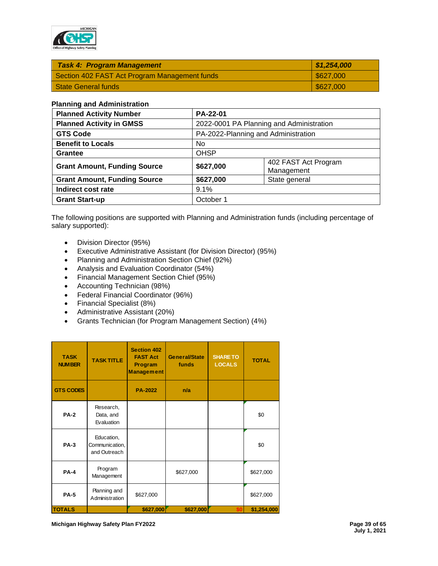

| S627,000          |
|-------------------|
| $\frac{627,000}{$ |
|                   |

#### **Planning and Administration**

| <b>Planned Activity Number</b>      | PA-22-01                                        |                                          |  |  |  |
|-------------------------------------|-------------------------------------------------|------------------------------------------|--|--|--|
| <b>Planned Activity in GMSS</b>     |                                                 | 2022-0001 PA Planning and Administration |  |  |  |
| <b>GTS Code</b>                     |                                                 | PA-2022-Planning and Administration      |  |  |  |
| <b>Benefit to Locals</b>            | No.                                             |                                          |  |  |  |
| <b>Grantee</b>                      | <b>OHSP</b>                                     |                                          |  |  |  |
| <b>Grant Amount, Funding Source</b> | 402 FAST Act Program<br>\$627,000<br>Management |                                          |  |  |  |
| <b>Grant Amount, Funding Source</b> | State general<br>\$627,000                      |                                          |  |  |  |
| Indirect cost rate                  | 9.1%                                            |                                          |  |  |  |
| <b>Grant Start-up</b>               | October 1                                       |                                          |  |  |  |

The following positions are supported with Planning and Administration funds (including percentage of salary supported):

- Division Director (95%)
- Executive Administrative Assistant (for Division Director) (95%)
- Planning and Administration Section Chief (92%)
- Analysis and Evaluation Coordinator (54%)
- Financial Management Section Chief (95%)
- Accounting Technician (98%)
- Federal Financial Coordinator (96%)
- Financial Specialist (8%)
- Administrative Assistant (20%)
- Grants Technician (for Program Management Section) (4%)

| <b>TASK</b><br><b>NUMBER</b> | <b>TASK TITLE</b>                            | <b>Section 402</b><br><b>FAST Act</b><br>Program<br><b>Management</b> | General/State<br>funds | <b>SHARE TO</b><br><b>LOCALS</b> | <b>TOTAL</b> |
|------------------------------|----------------------------------------------|-----------------------------------------------------------------------|------------------------|----------------------------------|--------------|
| <b>GTS CODES</b>             |                                              | <b>PA-2022</b>                                                        | n/a                    |                                  |              |
| <b>PA-2</b>                  | Research,<br>Data, and<br>Evaluation         |                                                                       |                        |                                  | \$0          |
| <b>PA-3</b>                  | Education,<br>Communication,<br>and Outreach |                                                                       |                        |                                  | \$0          |
| <b>PA-4</b>                  | Program<br>Management                        |                                                                       | \$627,000              |                                  | \$627,000    |
| <b>PA-5</b>                  | Planning and<br>Administration               | \$627,000                                                             |                        |                                  | \$627,000    |
| <b>TOTALS</b>                |                                              | \$627,000                                                             | \$627,000              |                                  | \$1,254,000  |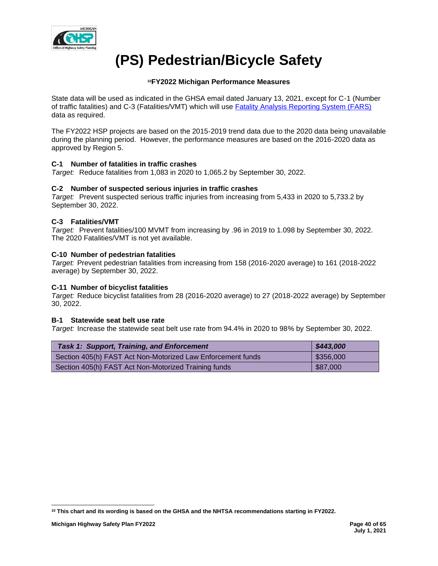

# **(PS) Pedestrian/Bicycle Safety**

# **<sup>10</sup>FY2022 Michigan Performance Measures**

State data will be used as indicated in the GHSA email dated January 13, 2021, except for C-1 (Number of traffic fatalities) and C-3 (Fatalities/VMT) which will use **Fatality Analysis Reporting System (FARS)** data as required.

The FY2022 HSP projects are based on the 2015-2019 trend data due to the 2020 data being unavailable during the planning period. However, the performance measures are based on the 2016-2020 data as approved by Region 5.

## **C-1 Number of fatalities in traffic crashes**

*Target:* Reduce fatalities from 1,083 in 2020 to 1,065.2 by September 30, 2022.

## **C-2 Number of suspected serious injuries in traffic crashes**

*Target:* Prevent suspected serious traffic injuries from increasing from 5,433 in 2020 to 5,733.2 by September 30, 2022.

## **C-3 Fatalities/VMT**

*Target:* Prevent fatalities/100 MVMT from increasing by .96 in 2019 to 1.098 by September 30, 2022. The 2020 Fatalities/VMT is not yet available.

## **C-10 Number of pedestrian fatalities**

*Target:* Prevent pedestrian fatalities from increasing from 158 (2016-2020 average) to 161 (2018-2022 average) by September 30, 2022.

## **C-11 Number of bicyclist fatalities**

*Target:* Reduce bicyclist fatalities from 28 (2016-2020 average) to 27 (2018-2022 average) by September 30, 2022.

## **B-1 Statewide seat belt use rate**

*Target:* Increase the statewide seat belt use rate from 94.4% in 2020 to 98% by September 30, 2022.

| <b>Task 1: Support, Training, and Enforcement</b>           | \$443,000               |
|-------------------------------------------------------------|-------------------------|
| Section 405(h) FAST Act Non-Motorized Law Enforcement funds | $\frac{1}{2}$ \$356,000 |
| Section 405(h) FAST Act Non-Motorized Training funds        | \$87,000                |

**<sup>10</sup> This chart and its wording is based on the GHSA and the NHTSA recommendations starting in FY2022.**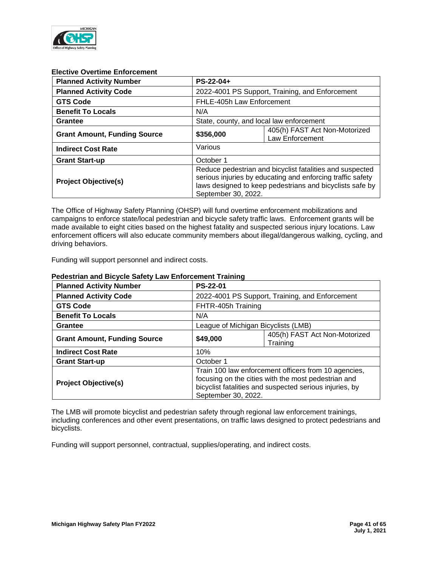

## **Elective Overtime Enforcement**

| <b>Planned Activity Number</b>      | $PS-22-04+$                                                                                                                                                                                               |                                                  |  |
|-------------------------------------|-----------------------------------------------------------------------------------------------------------------------------------------------------------------------------------------------------------|--------------------------------------------------|--|
| <b>Planned Activity Code</b>        | 2022-4001 PS Support, Training, and Enforcement                                                                                                                                                           |                                                  |  |
| <b>GTS Code</b>                     |                                                                                                                                                                                                           | FHLE-405h Law Enforcement                        |  |
| <b>Benefit To Locals</b>            | N/A                                                                                                                                                                                                       |                                                  |  |
| Grantee                             | State, county, and local law enforcement                                                                                                                                                                  |                                                  |  |
| <b>Grant Amount, Funding Source</b> | \$356,000                                                                                                                                                                                                 | 405(h) FAST Act Non-Motorized<br>Law Enforcement |  |
| <b>Indirect Cost Rate</b>           | Various                                                                                                                                                                                                   |                                                  |  |
| <b>Grant Start-up</b>               | October 1                                                                                                                                                                                                 |                                                  |  |
| <b>Project Objective(s)</b>         | Reduce pedestrian and bicyclist fatalities and suspected<br>serious injuries by educating and enforcing traffic safety<br>laws designed to keep pedestrians and bicyclists safe by<br>September 30, 2022. |                                                  |  |

The Office of Highway Safety Planning (OHSP) will fund overtime enforcement mobilizations and campaigns to enforce state/local pedestrian and bicycle safety traffic laws. Enforcement grants will be made available to eight cities based on the highest fatality and suspected serious injury locations. Law enforcement officers will also educate community members about illegal/dangerous walking, cycling, and driving behaviors.

Funding will support personnel and indirect costs.

## **Pedestrian and Bicycle Safety Law Enforcement Training**

| <b>Planned Activity Number</b>      | <b>PS-22-01</b>                                                                                                                                                                               |                                                 |  |
|-------------------------------------|-----------------------------------------------------------------------------------------------------------------------------------------------------------------------------------------------|-------------------------------------------------|--|
| <b>Planned Activity Code</b>        |                                                                                                                                                                                               | 2022-4001 PS Support, Training, and Enforcement |  |
| <b>GTS Code</b>                     |                                                                                                                                                                                               | FHTR-405h Training                              |  |
| <b>Benefit To Locals</b>            | N/A                                                                                                                                                                                           |                                                 |  |
| Grantee                             |                                                                                                                                                                                               | League of Michigan Bicyclists (LMB)             |  |
| <b>Grant Amount, Funding Source</b> | \$49,000                                                                                                                                                                                      | 405(h) FAST Act Non-Motorized<br>Training       |  |
| <b>Indirect Cost Rate</b>           | 10%                                                                                                                                                                                           |                                                 |  |
| <b>Grant Start-up</b>               | October 1                                                                                                                                                                                     |                                                 |  |
| <b>Project Objective(s)</b>         | Train 100 law enforcement officers from 10 agencies,<br>focusing on the cities with the most pedestrian and<br>bicyclist fatalities and suspected serious injuries, by<br>September 30, 2022. |                                                 |  |

The LMB will promote bicyclist and pedestrian safety through regional law enforcement trainings, including conferences and other event presentations, on traffic laws designed to protect pedestrians and bicyclists.

Funding will support personnel, contractual, supplies/operating, and indirect costs.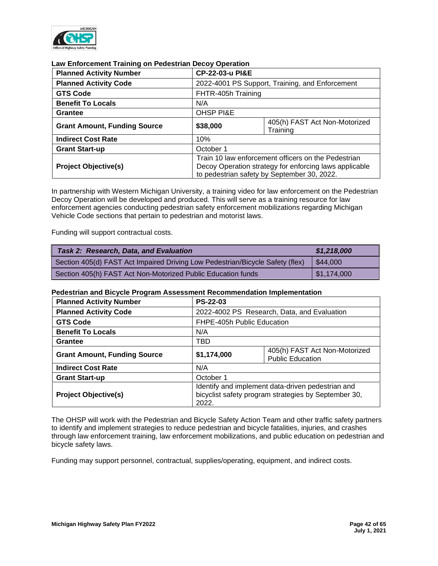

| <b>Planned Activity Number</b>      |                                                                                                                                                              | CP-22-03-u PI&E                                 |  |
|-------------------------------------|--------------------------------------------------------------------------------------------------------------------------------------------------------------|-------------------------------------------------|--|
| <b>Planned Activity Code</b>        |                                                                                                                                                              | 2022-4001 PS Support, Training, and Enforcement |  |
| <b>GTS Code</b>                     |                                                                                                                                                              | FHTR-405h Training                              |  |
| <b>Benefit To Locals</b>            | N/A                                                                                                                                                          |                                                 |  |
| Grantee                             | <b>OHSP PI&amp;E</b>                                                                                                                                         |                                                 |  |
| <b>Grant Amount, Funding Source</b> | \$38,000                                                                                                                                                     | 405(h) FAST Act Non-Motorized<br>Training       |  |
| <b>Indirect Cost Rate</b>           | 10%                                                                                                                                                          |                                                 |  |
| <b>Grant Start-up</b>               | October 1                                                                                                                                                    |                                                 |  |
| <b>Project Objective(s)</b>         | Train 10 law enforcement officers on the Pedestrian<br>Decoy Operation strategy for enforcing laws applicable<br>to pedestrian safety by September 30, 2022. |                                                 |  |

#### **Law Enforcement Training on Pedestrian Decoy Operation**

In partnership with Western Michigan University, a training video for law enforcement on the Pedestrian Decoy Operation will be developed and produced. This will serve as a training resource for law enforcement agencies conducting pedestrian safety enforcement mobilizations regarding Michigan Vehicle Code sections that pertain to pedestrian and motorist laws.

Funding will support contractual costs.

| Task 2: Research, Data, and Evaluation                                        | \$1,218,000 |
|-------------------------------------------------------------------------------|-------------|
| Section 405(d) FAST Act Impaired Driving Low Pedestrian/Bicycle Safety (flex) | l \$44.000  |
| Section 405(h) FAST Act Non-Motorized Public Education funds                  | 51,174,000  |

## **Pedestrian and Bicycle Program Assessment Recommendation Implementation**

| <b>Planned Activity Number</b>      | <b>PS-22-03</b>                                                                                                    |                                                          |
|-------------------------------------|--------------------------------------------------------------------------------------------------------------------|----------------------------------------------------------|
| <b>Planned Activity Code</b>        | 2022-4002 PS Research, Data, and Evaluation                                                                        |                                                          |
| <b>GTS Code</b>                     | FHPE-405h Public Education                                                                                         |                                                          |
| <b>Benefit To Locals</b>            | N/A                                                                                                                |                                                          |
| <b>Grantee</b>                      | TBD                                                                                                                |                                                          |
| <b>Grant Amount, Funding Source</b> | \$1,174,000                                                                                                        | 405(h) FAST Act Non-Motorized<br><b>Public Education</b> |
| <b>Indirect Cost Rate</b>           | N/A                                                                                                                |                                                          |
| <b>Grant Start-up</b>               | October 1                                                                                                          |                                                          |
| <b>Project Objective(s)</b>         | Identify and implement data-driven pedestrian and<br>bicyclist safety program strategies by September 30,<br>2022. |                                                          |

The OHSP will work with the Pedestrian and Bicycle Safety Action Team and other traffic safety partners to identify and implement strategies to reduce pedestrian and bicycle fatalities, injuries, and crashes through law enforcement training, law enforcement mobilizations, and public education on pedestrian and bicycle safety laws.

Funding may support personnel, contractual, supplies/operating, equipment, and indirect costs.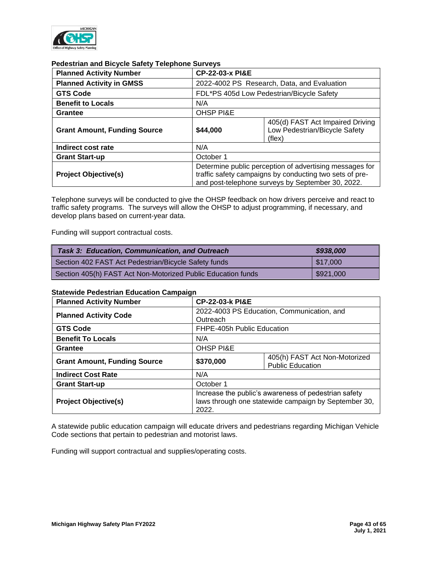

# **Pedestrian and Bicycle Safety Telephone Surveys**

| <b>Planned Activity Number</b>      |                                                                                                                                                                         | <b>CP-22-03-x PI&amp;E</b>                                                  |  |  |
|-------------------------------------|-------------------------------------------------------------------------------------------------------------------------------------------------------------------------|-----------------------------------------------------------------------------|--|--|
| <b>Planned Activity in GMSS</b>     |                                                                                                                                                                         | 2022-4002 PS Research, Data, and Evaluation                                 |  |  |
| <b>GTS Code</b>                     |                                                                                                                                                                         | FDL*PS 405d Low Pedestrian/Bicycle Safety                                   |  |  |
| <b>Benefit to Locals</b>            | N/A                                                                                                                                                                     |                                                                             |  |  |
| <b>Grantee</b>                      | <b>OHSP PI&amp;E</b>                                                                                                                                                    |                                                                             |  |  |
| <b>Grant Amount, Funding Source</b> | \$44,000                                                                                                                                                                | 405(d) FAST Act Impaired Driving<br>Low Pedestrian/Bicycle Safety<br>(flex) |  |  |
| Indirect cost rate                  | N/A                                                                                                                                                                     |                                                                             |  |  |
| <b>Grant Start-up</b>               | October 1                                                                                                                                                               |                                                                             |  |  |
| <b>Project Objective(s)</b>         | Determine public perception of advertising messages for<br>traffic safety campaigns by conducting two sets of pre-<br>and post-telephone surveys by September 30, 2022. |                                                                             |  |  |

Telephone surveys will be conducted to give the OHSP feedback on how drivers perceive and react to traffic safety programs. The surveys will allow the OHSP to adjust programming, if necessary, and develop plans based on current-year data.

Funding will support contractual costs.

| <b>Task 3: Education, Communication, and Outreach</b>        | \$938,000 |
|--------------------------------------------------------------|-----------|
| Section 402 FAST Act Pedestrian/Bicycle Safety funds         | 517.000   |
| Section 405(h) FAST Act Non-Motorized Public Education funds | \$921,000 |

## **Statewide Pedestrian Education Campaign**

| <b>Planned Activity Number</b>      | <b>CP-22-03-k PI&amp;E</b>                                                                                            |                                                          |  |
|-------------------------------------|-----------------------------------------------------------------------------------------------------------------------|----------------------------------------------------------|--|
| <b>Planned Activity Code</b>        | 2022-4003 PS Education, Communication, and<br>Outreach                                                                |                                                          |  |
| <b>GTS Code</b>                     |                                                                                                                       | FHPE-405h Public Education                               |  |
| <b>Benefit To Locals</b>            | N/A                                                                                                                   |                                                          |  |
| Grantee                             | <b>OHSP PI&amp;E</b>                                                                                                  |                                                          |  |
| <b>Grant Amount, Funding Source</b> | \$370,000                                                                                                             | 405(h) FAST Act Non-Motorized<br><b>Public Education</b> |  |
| <b>Indirect Cost Rate</b>           | N/A                                                                                                                   |                                                          |  |
| <b>Grant Start-up</b>               | October 1                                                                                                             |                                                          |  |
| <b>Project Objective(s)</b>         | Increase the public's awareness of pedestrian safety<br>laws through one statewide campaign by September 30,<br>2022. |                                                          |  |

A statewide public education campaign will educate drivers and pedestrians regarding Michigan Vehicle Code sections that pertain to pedestrian and motorist laws.

Funding will support contractual and supplies/operating costs.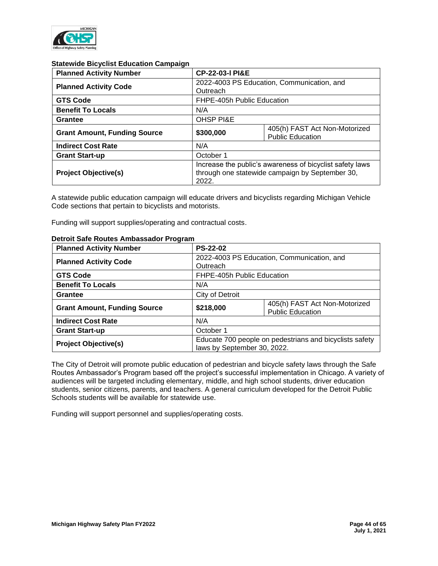

## **Statewide Bicyclist Education Campaign**

| <b>Planned Activity Number</b>      | <b>CP-22-03-I PI&amp;E</b>                                                                                           |                                                          |  |
|-------------------------------------|----------------------------------------------------------------------------------------------------------------------|----------------------------------------------------------|--|
| <b>Planned Activity Code</b>        | 2022-4003 PS Education, Communication, and<br>Outreach                                                               |                                                          |  |
| <b>GTS Code</b>                     |                                                                                                                      | FHPE-405h Public Education                               |  |
| <b>Benefit To Locals</b>            | N/A                                                                                                                  |                                                          |  |
| Grantee                             | <b>OHSP PI&amp;E</b>                                                                                                 |                                                          |  |
| <b>Grant Amount, Funding Source</b> | \$300,000                                                                                                            | 405(h) FAST Act Non-Motorized<br><b>Public Education</b> |  |
| <b>Indirect Cost Rate</b>           | N/A                                                                                                                  |                                                          |  |
| <b>Grant Start-up</b>               | October 1                                                                                                            |                                                          |  |
| <b>Project Objective(s)</b>         | Increase the public's awareness of bicyclist safety laws<br>through one statewide campaign by September 30,<br>2022. |                                                          |  |

A statewide public education campaign will educate drivers and bicyclists regarding Michigan Vehicle Code sections that pertain to bicyclists and motorists.

Funding will support supplies/operating and contractual costs.

| <b>Planned Activity Number</b>      | <b>PS-22-02</b>                                                                        |                                                          |  |
|-------------------------------------|----------------------------------------------------------------------------------------|----------------------------------------------------------|--|
| <b>Planned Activity Code</b>        | Outreach                                                                               | 2022-4003 PS Education, Communication, and               |  |
| <b>GTS Code</b>                     |                                                                                        | FHPE-405h Public Education                               |  |
| <b>Benefit To Locals</b>            | N/A                                                                                    |                                                          |  |
| <b>Grantee</b>                      | City of Detroit                                                                        |                                                          |  |
| <b>Grant Amount, Funding Source</b> | \$218,000                                                                              | 405(h) FAST Act Non-Motorized<br><b>Public Education</b> |  |
| <b>Indirect Cost Rate</b>           | N/A                                                                                    |                                                          |  |
| <b>Grant Start-up</b>               | October 1                                                                              |                                                          |  |
| <b>Project Objective(s)</b>         | Educate 700 people on pedestrians and bicyclists safety<br>laws by September 30, 2022. |                                                          |  |

## **Detroit Safe Routes Ambassador Program**

The City of Detroit will promote public education of pedestrian and bicycle safety laws through the Safe Routes Ambassador's Program based off the project's successful implementation in Chicago. A variety of audiences will be targeted including elementary, middle, and high school students, driver education students, senior citizens, parents, and teachers. A general curriculum developed for the Detroit Public Schools students will be available for statewide use.

Funding will support personnel and supplies/operating costs.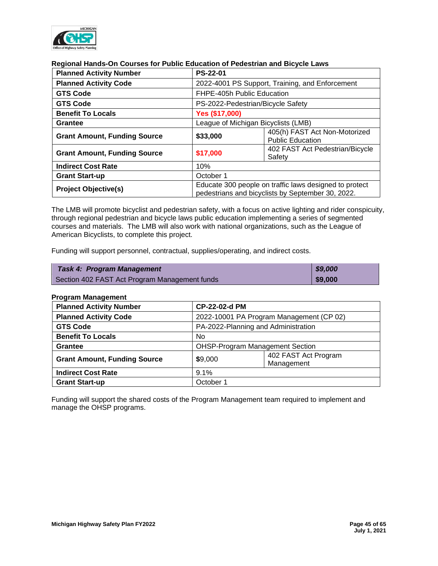

# **Regional Hands-On Courses for Public Education of Pedestrian and Bicycle Laws**

| <b>Planned Activity Number</b>      | <b>PS-22-01</b>                                                                                             |                                                          |  |
|-------------------------------------|-------------------------------------------------------------------------------------------------------------|----------------------------------------------------------|--|
| <b>Planned Activity Code</b>        | 2022-4001 PS Support, Training, and Enforcement                                                             |                                                          |  |
| <b>GTS Code</b>                     | FHPE-405h Public Education                                                                                  |                                                          |  |
| <b>GTS Code</b>                     |                                                                                                             | PS-2022-Pedestrian/Bicycle Safety                        |  |
| <b>Benefit To Locals</b>            | Yes (\$17,000)                                                                                              |                                                          |  |
| Grantee                             | League of Michigan Bicyclists (LMB)                                                                         |                                                          |  |
| <b>Grant Amount, Funding Source</b> | \$33,000                                                                                                    | 405(h) FAST Act Non-Motorized<br><b>Public Education</b> |  |
| <b>Grant Amount, Funding Source</b> | \$17,000                                                                                                    | 402 FAST Act Pedestrian/Bicycle<br>Safety                |  |
| <b>Indirect Cost Rate</b>           | 10%                                                                                                         |                                                          |  |
| <b>Grant Start-up</b>               | October 1                                                                                                   |                                                          |  |
| <b>Project Objective(s)</b>         | Educate 300 people on traffic laws designed to protect<br>pedestrians and bicyclists by September 30, 2022. |                                                          |  |

The LMB will promote bicyclist and pedestrian safety, with a focus on active lighting and rider conspicuity, through regional pedestrian and bicycle laws public education implementing a series of segmented courses and materials. The LMB will also work with national organizations, such as the League of American Bicyclists, to complete this project.

Funding will support personnel, contractual, supplies/operating, and indirect costs.

| <b>Task 4: Program Management</b>             | $\frac{1}{2}$ \$9,000 |
|-----------------------------------------------|-----------------------|
| Section 402 FAST Act Program Management funds | \$9,000               |

## **Program Management**

| <b>Planned Activity Number</b>      |                                               | <b>CP-22-02-d PM</b>                     |  |  |
|-------------------------------------|-----------------------------------------------|------------------------------------------|--|--|
| <b>Planned Activity Code</b>        |                                               | 2022-10001 PA Program Management (CP 02) |  |  |
| <b>GTS Code</b>                     |                                               | PA-2022-Planning and Administration      |  |  |
| <b>Benefit To Locals</b>            | No.                                           |                                          |  |  |
| <b>Grantee</b>                      | <b>OHSP-Program Management Section</b>        |                                          |  |  |
| <b>Grant Amount, Funding Source</b> | 402 FAST Act Program<br>\$9,000<br>Management |                                          |  |  |
| <b>Indirect Cost Rate</b>           | 9.1%                                          |                                          |  |  |
| <b>Grant Start-up</b>               | October 1                                     |                                          |  |  |

Funding will support the shared costs of the Program Management team required to implement and manage the OHSP programs.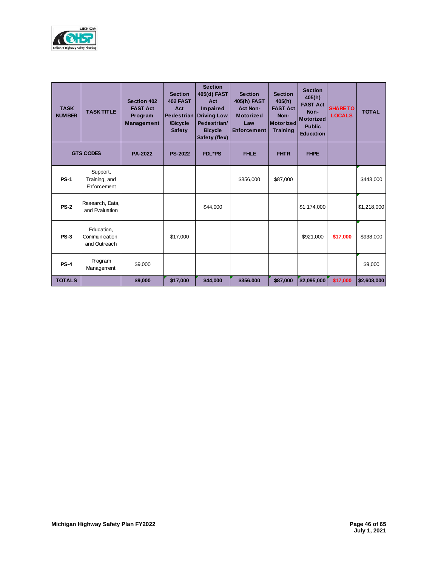

| <b>TASK</b><br><b>NUMBER</b> | <b>TASK TITLE</b>                            | Section 402<br><b>FAST Act</b><br>Program<br><b>Management</b> | <b>Section</b><br><b>402 FAST</b><br>Act<br><b>Pedestrian</b><br>/Bicycle<br><b>Safety</b> | <b>Section</b><br>405(d) FAST<br>Act<br><b>Impaired</b><br><b>Driving Low</b><br>Pedestrian/<br><b>Bicycle</b><br>Safety (flex) | <b>Section</b><br>405(h) FAST<br><b>Act Non-</b><br><b>Motorized</b><br>Law<br><b>Enforcement</b> | <b>Section</b><br>405(h)<br><b>FAST Act</b><br>Non-<br><b>Motorized</b><br><b>Training</b> | <b>Section</b><br>405(h)<br><b>FAST Act</b><br>Non-<br><b>Motorized</b><br><b>Public</b><br><b>Education</b> | <b>SHARE TO</b><br><b>LOCALS</b> | <b>TOTAL</b> |
|------------------------------|----------------------------------------------|----------------------------------------------------------------|--------------------------------------------------------------------------------------------|---------------------------------------------------------------------------------------------------------------------------------|---------------------------------------------------------------------------------------------------|--------------------------------------------------------------------------------------------|--------------------------------------------------------------------------------------------------------------|----------------------------------|--------------|
|                              | <b>GTS CODES</b>                             | <b>PA-2022</b>                                                 | <b>PS-2022</b>                                                                             | <b>FDL*PS</b>                                                                                                                   | <b>FHLE</b>                                                                                       | <b>FHTR</b>                                                                                | <b>FHPE</b>                                                                                                  |                                  |              |
| <b>PS-1</b>                  | Support,<br>Training, and<br>Enforcement     |                                                                |                                                                                            |                                                                                                                                 | \$356,000                                                                                         | \$87,000                                                                                   |                                                                                                              |                                  | \$443,000    |
| <b>PS-2</b>                  | Research, Data,<br>and Evaluation            |                                                                |                                                                                            | \$44,000                                                                                                                        |                                                                                                   |                                                                                            | \$1,174,000                                                                                                  |                                  | \$1,218,000  |
| <b>PS-3</b>                  | Education,<br>Communication.<br>and Outreach |                                                                | \$17,000                                                                                   |                                                                                                                                 |                                                                                                   |                                                                                            | \$921,000                                                                                                    | \$17,000                         | \$938,000    |
| <b>PS-4</b>                  | Program<br>Management                        | \$9,000                                                        |                                                                                            |                                                                                                                                 |                                                                                                   |                                                                                            |                                                                                                              |                                  | \$9,000      |
| <b>TOTALS</b>                |                                              | \$9,000                                                        | \$17,000                                                                                   | \$44,000                                                                                                                        | \$356,000                                                                                         | \$87,000                                                                                   | 52,095,000                                                                                                   | \$17,000                         | \$2,608,000  |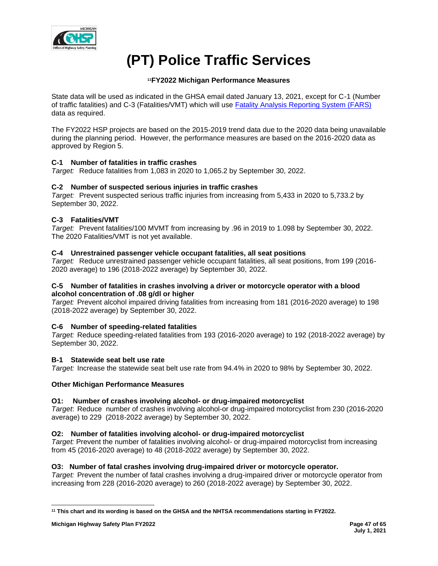

# **(PT) Police Traffic Services**

# **<sup>11</sup>FY2022 Michigan Performance Measures**

State data will be used as indicated in the GHSA email dated January 13, 2021, except for C-1 (Number of traffic fatalities) and C-3 (Fatalities/VMT) which will use [Fatality Analysis Reporting System \(FARS\)](https://cdan.nhtsa.gov/SASStoredProcess/guest) data as required.

The FY2022 HSP projects are based on the 2015-2019 trend data due to the 2020 data being unavailable during the planning period. However, the performance measures are based on the 2016-2020 data as approved by Region 5.

# **C-1 Number of fatalities in traffic crashes**

*Target:* Reduce fatalities from 1,083 in 2020 to 1,065.2 by September 30, 2022.

# **C-2 Number of suspected serious injuries in traffic crashes**

*Target:* Prevent suspected serious traffic injuries from increasing from 5,433 in 2020 to 5,733.2 by September 30, 2022.

# **C-3 Fatalities/VMT**

*Target:* Prevent fatalities/100 MVMT from increasing by .96 in 2019 to 1.098 by September 30, 2022. The 2020 Fatalities/VMT is not yet available.

# **C-4 Unrestrained passenger vehicle occupant fatalities, all seat positions**

*Target:* Reduce unrestrained passenger vehicle occupant fatalities, all seat positions, from 199 (2016- 2020 average) to 196 (2018-2022 average) by September 30, 2022.

## **C-5 Number of fatalities in crashes involving a driver or motorcycle operator with a blood alcohol concentration of .08 g/dl or higher**

*Target:* Prevent alcohol impaired driving fatalities from increasing from 181 (2016-2020 average) to 198 (2018-2022 average) by September 30, 2022.

# **C-6 Number of speeding-related fatalities**

*Target:* Reduce speeding-related fatalities from 193 (2016-2020 average) to 192 (2018-2022 average) by September 30, 2022.

# **B-1 Statewide seat belt use rate**

*Target:* Increase the statewide seat belt use rate from 94.4% in 2020 to 98% by September 30, 2022.

# **Other Michigan Performance Measures**

# **O1: Number of crashes involving alcohol- or drug-impaired motorcyclist**

*Target*: Reduce number of crashes involving alcohol-or drug-impaired motorcyclist from 230 (2016-2020 average) to 229 (2018-2022 average) by September 30, 2022.

# **O2: Number of fatalities involving alcohol- or drug-impaired motorcyclist**

*Target:* Prevent the number of fatalities involving alcohol- or drug-impaired motorcyclist from increasing from 45 (2016-2020 average) to 48 (2018-2022 average) by September 30, 2022.

# **O3: Number of fatal crashes involving drug-impaired driver or motorcycle operator.**

*Target:* Prevent the number of fatal crashes involving a drug-impaired driver or motorcycle operator from increasing from 228 (2016-2020 average) to 260 (2018-2022 average) by September 30, 2022.

**<sup>11</sup> This chart and its wording is based on the GHSA and the NHTSA recommendations starting in FY2022.**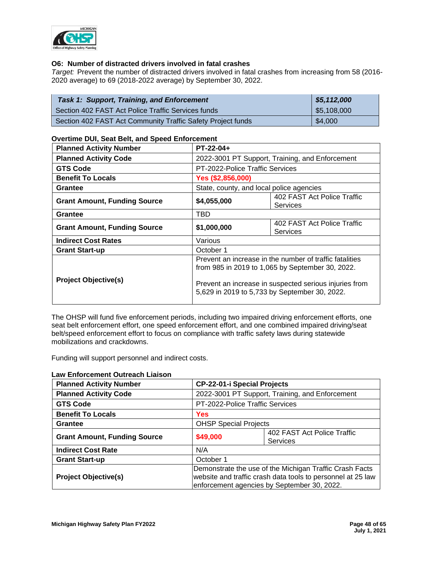

## **O6: Number of distracted drivers involved in fatal crashes**

*Target:* Prevent the number of distracted drivers involved in fatal crashes from increasing from 58 (2016- 2020 average) to 69 (2018-2022 average) by September 30, 2022.

| <b>Task 1: Support, Training, and Enforcement</b>           | \$5,112,000 |
|-------------------------------------------------------------|-------------|
| Section 402 FAST Act Police Traffic Services funds          | \$5,108,000 |
| Section 402 FAST Act Community Traffic Safety Project funds | \$4,000     |

## **Overtime DUI, Seat Belt, and Speed Enforcement**

| <b>Planned Activity Number</b>      | $PT-22-04+$                                                                                                                                                                                                            |                                         |  |
|-------------------------------------|------------------------------------------------------------------------------------------------------------------------------------------------------------------------------------------------------------------------|-----------------------------------------|--|
| <b>Planned Activity Code</b>        | 2022-3001 PT Support, Training, and Enforcement                                                                                                                                                                        |                                         |  |
| <b>GTS Code</b>                     | PT-2022-Police Traffic Services                                                                                                                                                                                        |                                         |  |
| <b>Benefit To Locals</b>            | Yes (\$2,856,000)                                                                                                                                                                                                      |                                         |  |
| <b>Grantee</b>                      | State, county, and local police agencies                                                                                                                                                                               |                                         |  |
| <b>Grant Amount, Funding Source</b> | 402 FAST Act Police Traffic<br>\$4,055,000<br><b>Services</b>                                                                                                                                                          |                                         |  |
| <b>Grantee</b>                      | TBD                                                                                                                                                                                                                    |                                         |  |
| <b>Grant Amount, Funding Source</b> | \$1,000,000                                                                                                                                                                                                            | 402 FAST Act Police Traffic<br>Services |  |
| <b>Indirect Cost Rates</b>          | Various                                                                                                                                                                                                                |                                         |  |
| <b>Grant Start-up</b>               | October 1                                                                                                                                                                                                              |                                         |  |
| <b>Project Objective(s)</b>         | Prevent an increase in the number of traffic fatalities<br>from 985 in 2019 to 1,065 by September 30, 2022.<br>Prevent an increase in suspected serious injuries from<br>5,629 in 2019 to 5,733 by September 30, 2022. |                                         |  |

The OHSP will fund five enforcement periods, including two impaired driving enforcement efforts, one seat belt enforcement effort, one speed enforcement effort, and one combined impaired driving/seat belt/speed enforcement effort to focus on compliance with traffic safety laws during statewide mobilizations and crackdowns.

Funding will support personnel and indirect costs.

| LAW LIIIUI CCIIICIIL OULICACII LIAISUII |            |                                                                                                                                                                       |  |  |
|-----------------------------------------|------------|-----------------------------------------------------------------------------------------------------------------------------------------------------------------------|--|--|
| <b>Planned Activity Number</b>          |            | <b>CP-22-01-i Special Projects</b>                                                                                                                                    |  |  |
| <b>Planned Activity Code</b>            |            | 2022-3001 PT Support, Training, and Enforcement                                                                                                                       |  |  |
| <b>GTS Code</b>                         |            | PT-2022-Police Traffic Services                                                                                                                                       |  |  |
| <b>Benefit To Locals</b>                | <b>Yes</b> |                                                                                                                                                                       |  |  |
| <b>Grantee</b>                          |            | <b>OHSP Special Projects</b>                                                                                                                                          |  |  |
| <b>Grant Amount, Funding Source</b>     | \$49,000   | 402 FAST Act Police Traffic<br><b>Services</b>                                                                                                                        |  |  |
| <b>Indirect Cost Rate</b>               | N/A        |                                                                                                                                                                       |  |  |
| <b>Grant Start-up</b>                   | October 1  |                                                                                                                                                                       |  |  |
| <b>Project Objective(s)</b>             |            | Demonstrate the use of the Michigan Traffic Crash Facts<br>website and traffic crash data tools to personnel at 25 law<br>enforcement agencies by September 30, 2022. |  |  |

## **Law Enforcement Outreach Liaison**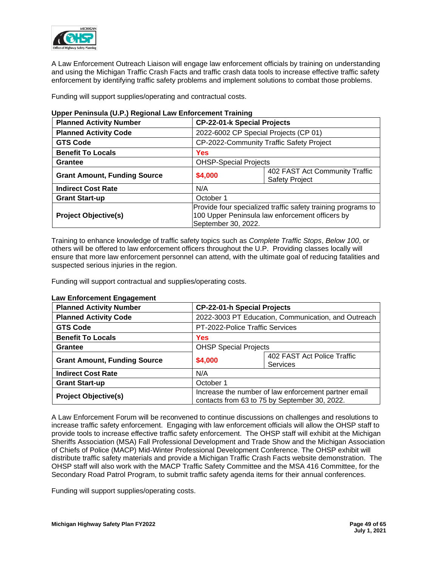

A Law Enforcement Outreach Liaison will engage law enforcement officials by training on understanding and using the Michigan Traffic Crash Facts and traffic crash data tools to increase effective traffic safety enforcement by identifying traffic safety problems and implement solutions to combat those problems.

Funding will support supplies/operating and contractual costs.

| <b>Planned Activity Number</b>      |           | <b>CP-22-01-k Special Projects</b>                                                                                                     |  |  |
|-------------------------------------|-----------|----------------------------------------------------------------------------------------------------------------------------------------|--|--|
| <b>Planned Activity Code</b>        |           | 2022-6002 CP Special Projects (CP 01)                                                                                                  |  |  |
| <b>GTS Code</b>                     |           | CP-2022-Community Traffic Safety Project                                                                                               |  |  |
| <b>Benefit To Locals</b>            | Yes       |                                                                                                                                        |  |  |
| Grantee                             |           | <b>OHSP-Special Projects</b>                                                                                                           |  |  |
| <b>Grant Amount, Funding Source</b> | \$4,000   | 402 FAST Act Community Traffic<br><b>Safety Project</b>                                                                                |  |  |
| <b>Indirect Cost Rate</b>           | N/A       |                                                                                                                                        |  |  |
| <b>Grant Start-up</b>               | October 1 |                                                                                                                                        |  |  |
| <b>Project Objective(s)</b>         |           | Provide four specialized traffic safety training programs to<br>100 Upper Peninsula law enforcement officers by<br>September 30, 2022. |  |  |

# **Upper Peninsula (U.P.) Regional Law Enforcement Training**

Training to enhance knowledge of traffic safety topics such as *Complete Traffic Stops*, *Below 100*, or others will be offered to law enforcement officers throughout the U.P. Providing classes locally will ensure that more law enforcement personnel can attend, with the ultimate goal of reducing fatalities and suspected serious injuries in the region.

Funding will support contractual and supplies/operating costs.

| <b>Planned Activity Number</b>      |                                                                                                       | <b>CP-22-01-h Special Projects</b>                  |  |  |
|-------------------------------------|-------------------------------------------------------------------------------------------------------|-----------------------------------------------------|--|--|
| <b>Planned Activity Code</b>        |                                                                                                       | 2022-3003 PT Education, Communication, and Outreach |  |  |
| <b>GTS Code</b>                     |                                                                                                       | PT-2022-Police Traffic Services                     |  |  |
| <b>Benefit To Locals</b>            | Yes                                                                                                   |                                                     |  |  |
| <b>Grantee</b>                      |                                                                                                       | <b>OHSP Special Projects</b>                        |  |  |
| <b>Grant Amount, Funding Source</b> | 402 FAST Act Police Traffic<br>\$4,000<br>Services                                                    |                                                     |  |  |
| <b>Indirect Cost Rate</b>           | N/A                                                                                                   |                                                     |  |  |
| <b>Grant Start-up</b>               | October 1                                                                                             |                                                     |  |  |
| <b>Project Objective(s)</b>         | Increase the number of law enforcement partner email<br>contacts from 63 to 75 by September 30, 2022. |                                                     |  |  |

## **Law Enforcement Engagement**

A Law Enforcement Forum will be reconvened to continue discussions on challenges and resolutions to increase traffic safety enforcement. Engaging with law enforcement officials will allow the OHSP staff to provide tools to increase effective traffic safety enforcement. The OHSP staff will exhibit at the Michigan Sheriffs Association (MSA) Fall Professional Development and Trade Show and the Michigan Association of Chiefs of Police (MACP) Mid-Winter Professional Development Conference. The OHSP exhibit will distribute traffic safety materials and provide a Michigan Traffic Crash Facts website demonstration. The OHSP staff will also work with the MACP Traffic Safety Committee and the MSA 416 Committee, for the Secondary Road Patrol Program, to submit traffic safety agenda items for their annual conferences.

Funding will support supplies/operating costs.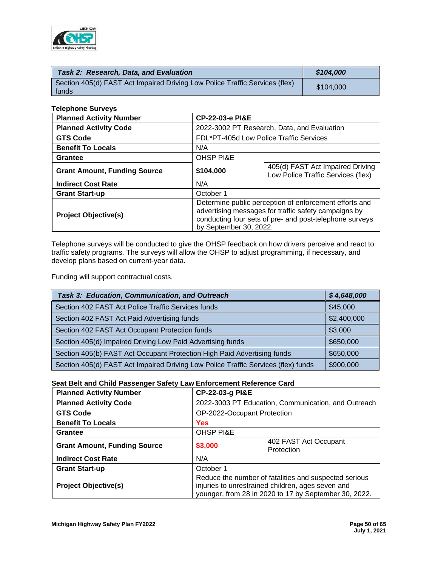

| Task 2: Research, Data, and Evaluation                                               | \$104,000 |
|--------------------------------------------------------------------------------------|-----------|
| Section 405(d) FAST Act Impaired Driving Low Police Traffic Services (flex)<br>funds | \$104,000 |

#### **Telephone Surveys**

| <b>Planned Activity Number</b>      | <b>CP-22-03-e PI&amp;E</b>                                                                                                                                                                          |                                                                        |  |  |
|-------------------------------------|-----------------------------------------------------------------------------------------------------------------------------------------------------------------------------------------------------|------------------------------------------------------------------------|--|--|
| <b>Planned Activity Code</b>        |                                                                                                                                                                                                     | 2022-3002 PT Research, Data, and Evaluation                            |  |  |
| <b>GTS Code</b>                     |                                                                                                                                                                                                     | FDL*PT-405d Low Police Traffic Services                                |  |  |
| <b>Benefit To Locals</b>            | N/A                                                                                                                                                                                                 |                                                                        |  |  |
| <b>Grantee</b>                      | <b>OHSP PI&amp;E</b>                                                                                                                                                                                |                                                                        |  |  |
| <b>Grant Amount, Funding Source</b> | \$104,000                                                                                                                                                                                           | 405(d) FAST Act Impaired Driving<br>Low Police Traffic Services (flex) |  |  |
| <b>Indirect Cost Rate</b>           | N/A                                                                                                                                                                                                 |                                                                        |  |  |
| <b>Grant Start-up</b>               | October 1                                                                                                                                                                                           |                                                                        |  |  |
| <b>Project Objective(s)</b>         | Determine public perception of enforcement efforts and<br>advertising messages for traffic safety campaigns by<br>conducting four sets of pre- and post-telephone surveys<br>by September 30, 2022. |                                                                        |  |  |

Telephone surveys will be conducted to give the OHSP feedback on how drivers perceive and react to traffic safety programs. The surveys will allow the OHSP to adjust programming, if necessary, and develop plans based on current-year data.

Funding will support contractual costs.

| Task 3: Education, Communication, and Outreach                                    | \$4,648,000 |
|-----------------------------------------------------------------------------------|-------------|
| Section 402 FAST Act Police Traffic Services funds                                | \$45,000    |
| Section 402 FAST Act Paid Advertising funds                                       | \$2,400,000 |
| Section 402 FAST Act Occupant Protection funds                                    | \$3,000     |
| Section 405(d) Impaired Driving Low Paid Advertising funds                        | \$650,000   |
| Section 405(b) FAST Act Occupant Protection High Paid Advertising funds           | \$650,000   |
| Section 405(d) FAST Act Impaired Driving Low Police Traffic Services (flex) funds | \$900,000   |

## **Seat Belt and Child Passenger Safety Law Enforcement Reference Card**

| <b>Planned Activity Number</b>      |                      | CP-22-03-g PI&E                                                                                                                                                     |  |  |
|-------------------------------------|----------------------|---------------------------------------------------------------------------------------------------------------------------------------------------------------------|--|--|
| <b>Planned Activity Code</b>        |                      | 2022-3003 PT Education, Communication, and Outreach                                                                                                                 |  |  |
| <b>GTS Code</b>                     |                      | OP-2022-Occupant Protection                                                                                                                                         |  |  |
| <b>Benefit To Locals</b>            | <b>Yes</b>           |                                                                                                                                                                     |  |  |
| Grantee                             | <b>OHSP PI&amp;E</b> |                                                                                                                                                                     |  |  |
| <b>Grant Amount, Funding Source</b> | \$3,000              | 402 FAST Act Occupant<br>Protection                                                                                                                                 |  |  |
| <b>Indirect Cost Rate</b>           | N/A                  |                                                                                                                                                                     |  |  |
| <b>Grant Start-up</b>               | October 1            |                                                                                                                                                                     |  |  |
| <b>Project Objective(s)</b>         |                      | Reduce the number of fatalities and suspected serious<br>injuries to unrestrained children, ages seven and<br>younger, from 28 in 2020 to 17 by September 30, 2022. |  |  |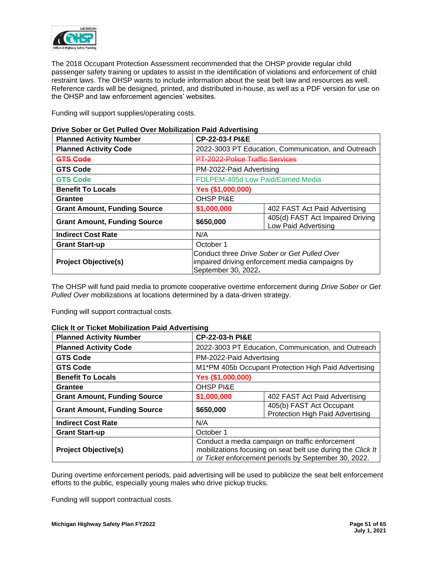

The 2018 Occupant Protection Assessment recommended that the OHSP provide regular child passenger safety training or updates to assist in the identification of violations and enforcement of child restraint laws. The OHSP wants to include information about the seat belt law and resources as well. Reference cards will be designed, printed, and distributed in-house, as well as a PDF version for use on the OHSP and law enforcement agencies' websites.

Funding will support supplies/operating costs.

| <b>Planned Activity Number</b>      |                                                                                                                        | <b>CP-22-03-f PI&amp;E</b>                               |  |  |  |
|-------------------------------------|------------------------------------------------------------------------------------------------------------------------|----------------------------------------------------------|--|--|--|
| <b>Planned Activity Code</b>        |                                                                                                                        | 2022-3003 PT Education, Communication, and Outreach      |  |  |  |
| <b>GTS Code</b>                     | PT-2022-Police Traffic Services                                                                                        |                                                          |  |  |  |
| <b>GTS Code</b>                     | PM-2022-Paid Advertising                                                                                               |                                                          |  |  |  |
| <b>GTS Code</b>                     |                                                                                                                        | FDLPEM-405d Low Paid/Earned Media                        |  |  |  |
| <b>Benefit To Locals</b>            |                                                                                                                        | Yes (\$1,000,000)                                        |  |  |  |
| Grantee                             | <b>OHSP PI&amp;E</b>                                                                                                   |                                                          |  |  |  |
| <b>Grant Amount, Funding Source</b> | \$1,000,000                                                                                                            | 402 FAST Act Paid Advertising                            |  |  |  |
| <b>Grant Amount, Funding Source</b> | \$650,000                                                                                                              | 405(d) FAST Act Impaired Driving<br>Low Paid Advertising |  |  |  |
| <b>Indirect Cost Rate</b>           | N/A                                                                                                                    |                                                          |  |  |  |
| <b>Grant Start-up</b>               | October 1                                                                                                              |                                                          |  |  |  |
| <b>Project Objective(s)</b>         | Conduct three Drive Sober or Get Pulled Over<br>impaired driving enforcement media campaigns by<br>September 30, 2022. |                                                          |  |  |  |

# **Drive Sober or Get Pulled Over Mobilization Paid Advertising**

The OHSP will fund paid media to promote cooperative overtime enforcement during *Drive Sober or Get Pulled Over* mobilizations at locations determined by a data-driven strategy.

Funding will support contractual costs.

| GIIGN ILOI TIGNEL MODIFIZATION FAIU AUVENISINU |                                                                                                                                                                        |                                                              |  |  |  |
|------------------------------------------------|------------------------------------------------------------------------------------------------------------------------------------------------------------------------|--------------------------------------------------------------|--|--|--|
| <b>Planned Activity Number</b>                 |                                                                                                                                                                        | <b>CP-22-03-h PI&amp;E</b>                                   |  |  |  |
| <b>Planned Activity Code</b>                   |                                                                                                                                                                        | 2022-3003 PT Education, Communication, and Outreach          |  |  |  |
| <b>GTS Code</b>                                |                                                                                                                                                                        | PM-2022-Paid Advertising                                     |  |  |  |
| <b>GTS Code</b>                                |                                                                                                                                                                        | M1*PM 405b Occupant Protection High Paid Advertising         |  |  |  |
| <b>Benefit To Locals</b>                       |                                                                                                                                                                        | Yes (\$1,000,000)                                            |  |  |  |
| Grantee                                        | <b>OHSP PI&amp;E</b>                                                                                                                                                   |                                                              |  |  |  |
| <b>Grant Amount, Funding Source</b>            | \$1,000,000<br>402 FAST Act Paid Advertising                                                                                                                           |                                                              |  |  |  |
| <b>Grant Amount, Funding Source</b>            | \$650,000                                                                                                                                                              | 405(b) FAST Act Occupant<br>Protection High Paid Advertising |  |  |  |
| <b>Indirect Cost Rate</b>                      | N/A                                                                                                                                                                    |                                                              |  |  |  |
| <b>Grant Start-up</b>                          | October 1                                                                                                                                                              |                                                              |  |  |  |
| <b>Project Objective(s)</b>                    | Conduct a media campaign on traffic enforcement<br>mobilizations focusing on seat belt use during the Click It<br>or Ticket enforcement periods by September 30, 2022. |                                                              |  |  |  |

# **Click It or Ticket Mobilization Paid Advertising**

During overtime enforcement periods, paid advertising will be used to publicize the seat belt enforcement efforts to the public, especially young males who drive pickup trucks.

Funding will support contractual costs.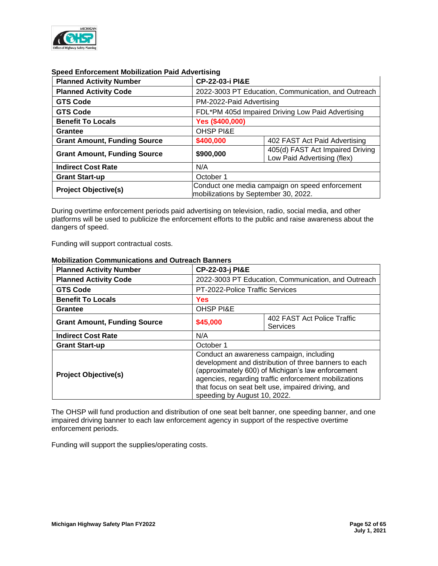

| <b>Planned Activity Number</b>      | <b>CP-22-03-i PI&amp;E</b>                                                              |                                                     |  |  |
|-------------------------------------|-----------------------------------------------------------------------------------------|-----------------------------------------------------|--|--|
| <b>Planned Activity Code</b>        |                                                                                         | 2022-3003 PT Education, Communication, and Outreach |  |  |
| <b>GTS Code</b>                     | PM-2022-Paid Advertising                                                                |                                                     |  |  |
| <b>GTS Code</b>                     |                                                                                         | FDL*PM 405d Impaired Driving Low Paid Advertising   |  |  |
| <b>Benefit To Locals</b>            | Yes (\$400,000)                                                                         |                                                     |  |  |
| Grantee                             | <b>OHSP PI&amp;E</b>                                                                    |                                                     |  |  |
| <b>Grant Amount, Funding Source</b> | \$400,000<br>402 FAST Act Paid Advertising                                              |                                                     |  |  |
| <b>Grant Amount, Funding Source</b> | 405(d) FAST Act Impaired Driving<br>\$900,000<br>Low Paid Advertising (flex)            |                                                     |  |  |
| <b>Indirect Cost Rate</b>           | N/A                                                                                     |                                                     |  |  |
| <b>Grant Start-up</b>               | October 1                                                                               |                                                     |  |  |
| <b>Project Objective(s)</b>         | Conduct one media campaign on speed enforcement<br>mobilizations by September 30, 2022. |                                                     |  |  |

## **Speed Enforcement Mobilization Paid Advertising**

During overtime enforcement periods paid advertising on television, radio, social media, and other platforms will be used to publicize the enforcement efforts to the public and raise awareness about the dangers of speed.

Funding will support contractual costs.

| <b>Planned Activity Number</b>      |                                                                                                                                                                                                                                                                                                       | CP-22-03-j PI&E                                     |  |  |  |
|-------------------------------------|-------------------------------------------------------------------------------------------------------------------------------------------------------------------------------------------------------------------------------------------------------------------------------------------------------|-----------------------------------------------------|--|--|--|
| <b>Planned Activity Code</b>        |                                                                                                                                                                                                                                                                                                       | 2022-3003 PT Education, Communication, and Outreach |  |  |  |
| <b>GTS Code</b>                     |                                                                                                                                                                                                                                                                                                       | PT-2022-Police Traffic Services                     |  |  |  |
| <b>Benefit To Locals</b>            | <b>Yes</b>                                                                                                                                                                                                                                                                                            |                                                     |  |  |  |
| <b>Grantee</b>                      | <b>OHSP PI&amp;E</b>                                                                                                                                                                                                                                                                                  |                                                     |  |  |  |
| <b>Grant Amount, Funding Source</b> | \$45,000                                                                                                                                                                                                                                                                                              | 402 FAST Act Police Traffic<br><b>Services</b>      |  |  |  |
| <b>Indirect Cost Rate</b>           | N/A                                                                                                                                                                                                                                                                                                   |                                                     |  |  |  |
| <b>Grant Start-up</b>               | October 1                                                                                                                                                                                                                                                                                             |                                                     |  |  |  |
| <b>Project Objective(s)</b>         | Conduct an awareness campaign, including<br>development and distribution of three banners to each<br>(approximately 600) of Michigan's law enforcement<br>agencies, regarding traffic enforcement mobilizations<br>that focus on seat belt use, impaired driving, and<br>speeding by August 10, 2022. |                                                     |  |  |  |

## **Mobilization Communications and Outreach Banners**

The OHSP will fund production and distribution of one seat belt banner, one speeding banner, and one impaired driving banner to each law enforcement agency in support of the respective overtime enforcement periods.

Funding will support the supplies/operating costs.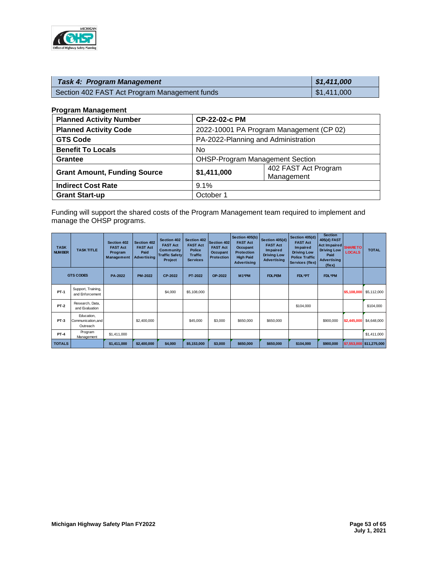

| <b>Task 4: Program Management</b>             | $\frac{1}{2}$ \$1,411,000 |
|-----------------------------------------------|---------------------------|
| Section 402 FAST Act Program Management funds | $\parallel$ \$1,411,000   |

#### **Program Management**

| <b>Planned Activity Number</b>      | CP-22-02-c PM |                                          |  |  |
|-------------------------------------|---------------|------------------------------------------|--|--|
| <b>Planned Activity Code</b>        |               | 2022-10001 PA Program Management (CP 02) |  |  |
| <b>GTS Code</b>                     |               | PA-2022-Planning and Administration      |  |  |
| <b>Benefit To Locals</b>            | No.           |                                          |  |  |
| <b>Grantee</b>                      |               | <b>OHSP-Program Management Section</b>   |  |  |
| <b>Grant Amount, Funding Source</b> | \$1,411,000   | 402 FAST Act Program<br>Management       |  |  |
| <b>Indirect Cost Rate</b>           | 9.1%          |                                          |  |  |
| <b>Grant Start-up</b>               | October 1     |                                          |  |  |

Funding will support the shared costs of the Program Management team required to implement and manage the OHSP programs.

| <b>TASK</b><br><b>NUMBER</b> | <b>TASK TITLE</b>                            | <b>Section 402</b><br><b>FAST Act</b><br>Program<br><b>Management</b> | <b>Section 402</b><br><b>FAST Act</b><br>Paid<br><b>Advertising</b> | Section 402<br><b>FAST Act</b><br>Community<br><b>Traffic Safety</b><br>Project | Section 402<br><b>FAST Act</b><br><b>Police</b><br><b>Traffic</b><br><b>Services</b> | Section 402<br><b>FAST Act</b><br><b>Occupant</b><br><b>Protection</b> | Section 405(b)<br><b>FAST Act</b><br><b>Occupant</b><br><b>Protection</b><br><b>High Paid</b><br><b>Advertising</b> | Section 405(d)<br><b>FAST Act</b><br><b>Impaired</b><br><b>Driving Low</b><br><b>Advertising</b> | Section 405(d)<br><b>FAST Act</b><br>Im paired<br><b>Driving Low</b><br><b>Police Traffic</b><br>Services (flex) | <b>Section</b><br>405(d) FAST<br>Act Impaired<br><b>Driving Low</b><br>Paid<br><b>Advertising</b><br>(flex) | <b>SHARE TO</b><br><b>LOCALS</b> | <b>TOTAL</b>             |
|------------------------------|----------------------------------------------|-----------------------------------------------------------------------|---------------------------------------------------------------------|---------------------------------------------------------------------------------|--------------------------------------------------------------------------------------|------------------------------------------------------------------------|---------------------------------------------------------------------------------------------------------------------|--------------------------------------------------------------------------------------------------|------------------------------------------------------------------------------------------------------------------|-------------------------------------------------------------------------------------------------------------|----------------------------------|--------------------------|
|                              | <b>GTS CODES</b>                             | <b>PA-2022</b>                                                        | <b>PM-2022</b>                                                      | <b>CP-2022</b>                                                                  | PT-2022                                                                              | OP-2022                                                                | M <sub>1</sub> *PM                                                                                                  | <b>FDLPEM</b>                                                                                    | FDL*PT                                                                                                           | <b>FDL*PM</b>                                                                                               |                                  |                          |
| <b>PT-1</b>                  | Support, Training,<br>and Enforcement        |                                                                       |                                                                     | \$4,000                                                                         | \$5,108,000                                                                          |                                                                        |                                                                                                                     |                                                                                                  |                                                                                                                  |                                                                                                             | \$5,108,000                      | \$5,112,000              |
| <b>PT-2</b>                  | Research, Data,<br>and Evaluation            |                                                                       |                                                                     |                                                                                 |                                                                                      |                                                                        |                                                                                                                     |                                                                                                  | \$104,000                                                                                                        |                                                                                                             |                                  | \$104,000                |
| <b>PT-3</b>                  | Education,<br>Communication, and<br>Outreach |                                                                       | \$2,400,000                                                         |                                                                                 | \$45,000                                                                             | \$3,000                                                                | \$650,000                                                                                                           | \$650,000                                                                                        |                                                                                                                  | \$900,000                                                                                                   | \$2,445,000                      | \$4,648,000              |
| <b>PT-4</b>                  | Program<br>Management                        | \$1,411,000                                                           |                                                                     |                                                                                 |                                                                                      |                                                                        |                                                                                                                     |                                                                                                  |                                                                                                                  |                                                                                                             |                                  | \$1,411,000              |
| <b>TOTALS</b>                |                                              | \$1,411,000                                                           | \$2,400,000                                                         | \$4,000                                                                         | \$5,153,000                                                                          | \$3,000                                                                | \$650,000                                                                                                           | \$650,000                                                                                        | \$104,000                                                                                                        | \$900,000                                                                                                   |                                  | \$7,553,000 \$11,275,000 |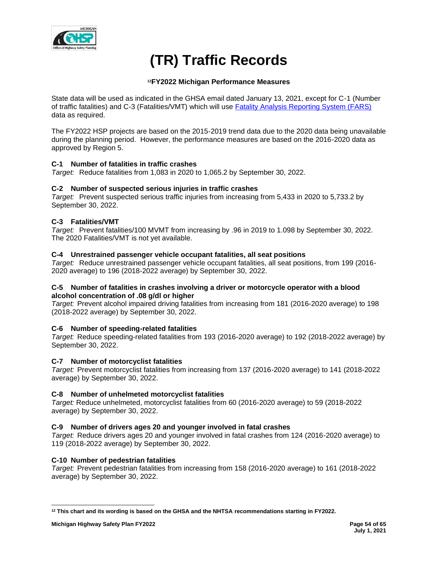

# **(TR) Traffic Records**

# **<sup>12</sup>FY2022 Michigan Performance Measures**

State data will be used as indicated in the GHSA email dated January 13, 2021, except for C-1 (Number of traffic fatalities) and C-3 (Fatalities/VMT) which will use [Fatality Analysis Reporting System \(FARS\)](https://cdan.nhtsa.gov/SASStoredProcess/guest) data as required.

The FY2022 HSP projects are based on the 2015-2019 trend data due to the 2020 data being unavailable during the planning period. However, the performance measures are based on the 2016-2020 data as approved by Region 5.

# **C-1 Number of fatalities in traffic crashes**

*Target:* Reduce fatalities from 1,083 in 2020 to 1,065.2 by September 30, 2022.

## **C-2 Number of suspected serious injuries in traffic crashes**

*Target:* Prevent suspected serious traffic injuries from increasing from 5,433 in 2020 to 5,733.2 by September 30, 2022.

# **C-3 Fatalities/VMT**

*Target:* Prevent fatalities/100 MVMT from increasing by .96 in 2019 to 1.098 by September 30, 2022. The 2020 Fatalities/VMT is not yet available.

## **C-4 Unrestrained passenger vehicle occupant fatalities, all seat positions**

*Target:* Reduce unrestrained passenger vehicle occupant fatalities, all seat positions, from 199 (2016- 2020 average) to 196 (2018-2022 average) by September 30, 2022.

## **C-5 Number of fatalities in crashes involving a driver or motorcycle operator with a blood alcohol concentration of .08 g/dl or higher**

*Target:* Prevent alcohol impaired driving fatalities from increasing from 181 (2016-2020 average) to 198 (2018-2022 average) by September 30, 2022.

## **C-6 Number of speeding-related fatalities**

*Target:* Reduce speeding-related fatalities from 193 (2016-2020 average) to 192 (2018-2022 average) by September 30, 2022.

## **C-7 Number of motorcyclist fatalities**

*Target:* Prevent motorcyclist fatalities from increasing from 137 (2016-2020 average) to 141 (2018-2022 average) by September 30, 2022.

## **C-8 Number of unhelmeted motorcyclist fatalities**

*Target:* Reduce unhelmeted, motorcyclist fatalities from 60 (2016-2020 average) to 59 (2018-2022 average) by September 30, 2022.

## **C-9 Number of drivers ages 20 and younger involved in fatal crashes**

*Target:* Reduce drivers ages 20 and younger involved in fatal crashes from 124 (2016-2020 average) to 119 (2018-2022 average) by September 30, 2022.

## **C-10 Number of pedestrian fatalities**

*Target:* Prevent pedestrian fatalities from increasing from 158 (2016-2020 average) to 161 (2018-2022 average) by September 30, 2022.

**<sup>12</sup> This chart and its wording is based on the GHSA and the NHTSA recommendations starting in FY2022.**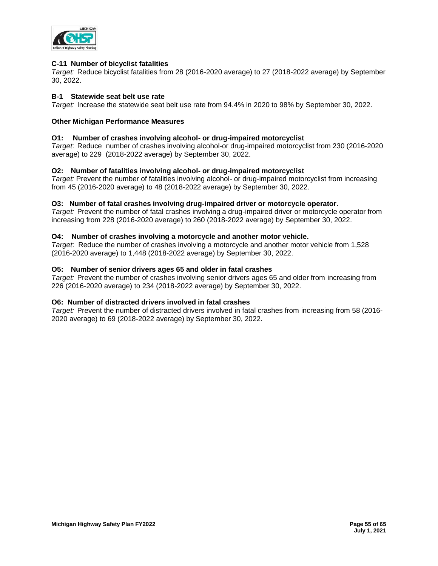

## **C-11 Number of bicyclist fatalities**

*Target:* Reduce bicyclist fatalities from 28 (2016-2020 average) to 27 (2018-2022 average) by September 30, 2022.

## **B-1 Statewide seat belt use rate**

*Target:* Increase the statewide seat belt use rate from 94.4% in 2020 to 98% by September 30, 2022.

## **Other Michigan Performance Measures**

## **O1: Number of crashes involving alcohol- or drug-impaired motorcyclist**

*Target*: Reduce number of crashes involving alcohol-or drug-impaired motorcyclist from 230 (2016-2020 average) to 229 (2018-2022 average) by September 30, 2022.

## **O2: Number of fatalities involving alcohol- or drug-impaired motorcyclist**

*Target:* Prevent the number of fatalities involving alcohol- or drug-impaired motorcyclist from increasing from 45 (2016-2020 average) to 48 (2018-2022 average) by September 30, 2022.

## **O3: Number of fatal crashes involving drug-impaired driver or motorcycle operator.**

*Target:* Prevent the number of fatal crashes involving a drug-impaired driver or motorcycle operator from increasing from 228 (2016-2020 average) to 260 (2018-2022 average) by September 30, 2022.

## **O4: Number of crashes involving a motorcycle and another motor vehicle.**

*Target*: Reduce the number of crashes involving a motorcycle and another motor vehicle from 1,528 (2016-2020 average) to 1,448 (2018-2022 average) by September 30, 2022.

## **O5: Number of senior drivers ages 65 and older in fatal crashes**

*Target:* Prevent the number of crashes involving senior drivers ages 65 and older from increasing from 226 (2016-2020 average) to 234 (2018-2022 average) by September 30, 2022.

## **O6: Number of distracted drivers involved in fatal crashes**

*Target:* Prevent the number of distracted drivers involved in fatal crashes from increasing from 58 (2016- 2020 average) to 69 (2018-2022 average) by September 30, 2022.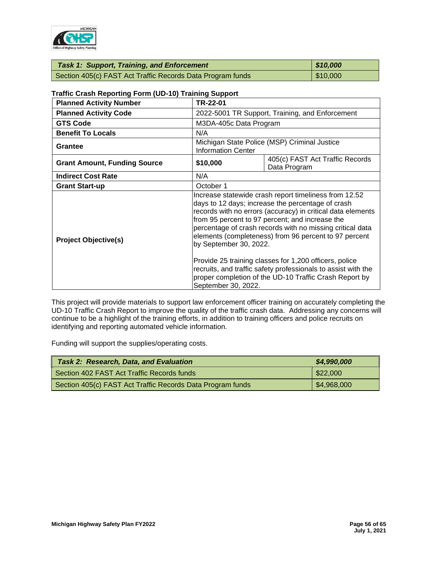

| <b>Task 1: Support, Training, and Enforcement</b>          | 810,000  |
|------------------------------------------------------------|----------|
| Section 405(c) FAST Act Traffic Records Data Program funds | \$10,000 |

| <b>Planned Activity Code</b><br>2022-5001 TR Support, Training, and Enforcement<br><b>GTS Code</b><br>M3DA-405c Data Program<br><b>Benefit To Locals</b><br>N/A<br>Michigan State Police (MSP) Criminal Justice<br><b>Grantee</b><br><b>Information Center</b><br>405(c) FAST Act Traffic Records<br>\$10,000<br><b>Grant Amount, Funding Source</b><br>Data Program<br><b>Indirect Cost Rate</b><br>N/A<br>October 1<br><b>Grant Start-up</b><br>Increase statewide crash report timeliness from 12.52<br>days to 12 days; increase the percentage of crash<br>records with no errors (accuracy) in critical data elements<br>from 95 percent to 97 percent; and increase the<br>percentage of crash records with no missing critical data<br>elements (completeness) from 96 percent to 97 percent<br><b>Project Objective(s)</b><br>by September 30, 2022.<br>Provide 25 training classes for 1,200 officers, police | <b>Planned Activity Number</b> | TR-22-01 |  |  |  |
|-------------------------------------------------------------------------------------------------------------------------------------------------------------------------------------------------------------------------------------------------------------------------------------------------------------------------------------------------------------------------------------------------------------------------------------------------------------------------------------------------------------------------------------------------------------------------------------------------------------------------------------------------------------------------------------------------------------------------------------------------------------------------------------------------------------------------------------------------------------------------------------------------------------------------|--------------------------------|----------|--|--|--|
|                                                                                                                                                                                                                                                                                                                                                                                                                                                                                                                                                                                                                                                                                                                                                                                                                                                                                                                         |                                |          |  |  |  |
|                                                                                                                                                                                                                                                                                                                                                                                                                                                                                                                                                                                                                                                                                                                                                                                                                                                                                                                         |                                |          |  |  |  |
|                                                                                                                                                                                                                                                                                                                                                                                                                                                                                                                                                                                                                                                                                                                                                                                                                                                                                                                         |                                |          |  |  |  |
|                                                                                                                                                                                                                                                                                                                                                                                                                                                                                                                                                                                                                                                                                                                                                                                                                                                                                                                         |                                |          |  |  |  |
|                                                                                                                                                                                                                                                                                                                                                                                                                                                                                                                                                                                                                                                                                                                                                                                                                                                                                                                         |                                |          |  |  |  |
|                                                                                                                                                                                                                                                                                                                                                                                                                                                                                                                                                                                                                                                                                                                                                                                                                                                                                                                         |                                |          |  |  |  |
|                                                                                                                                                                                                                                                                                                                                                                                                                                                                                                                                                                                                                                                                                                                                                                                                                                                                                                                         |                                |          |  |  |  |
| recruits, and traffic safety professionals to assist with the<br>proper completion of the UD-10 Traffic Crash Report by                                                                                                                                                                                                                                                                                                                                                                                                                                                                                                                                                                                                                                                                                                                                                                                                 |                                |          |  |  |  |

# **Traffic Crash Reporting Form (UD-10) Training Support**

This project will provide materials to support law enforcement officer training on accurately completing the UD-10 Traffic Crash Report to improve the quality of the traffic crash data. Addressing any concerns will continue to be a highlight of the training efforts, in addition to training officers and police recruits on identifying and reporting automated vehicle information.

Funding will support the supplies/operating costs.

| <b>Task 2: Research, Data, and Evaluation</b>              | \$4,990,000 |
|------------------------------------------------------------|-------------|
| Section 402 FAST Act Traffic Records funds                 | \$22,000    |
| Section 405(c) FAST Act Traffic Records Data Program funds | \$4,968,000 |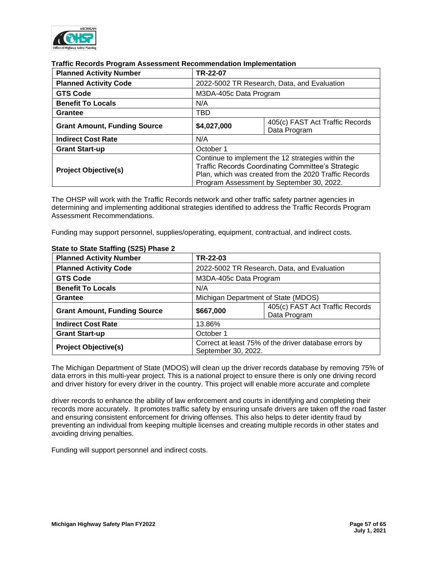

## **Traffic Records Program Assessment Recommendation Implementation**

| <b>Planned Activity Number</b>      | TR-22-07                                                                                                                                                                                                       |                                                 |  |  |  |
|-------------------------------------|----------------------------------------------------------------------------------------------------------------------------------------------------------------------------------------------------------------|-------------------------------------------------|--|--|--|
| <b>Planned Activity Code</b>        |                                                                                                                                                                                                                | 2022-5002 TR Research, Data, and Evaluation     |  |  |  |
| <b>GTS Code</b>                     | M3DA-405c Data Program                                                                                                                                                                                         |                                                 |  |  |  |
| <b>Benefit To Locals</b>            | N/A                                                                                                                                                                                                            |                                                 |  |  |  |
| Grantee                             | TBD                                                                                                                                                                                                            |                                                 |  |  |  |
| <b>Grant Amount, Funding Source</b> | \$4,027,000                                                                                                                                                                                                    | 405(c) FAST Act Traffic Records<br>Data Program |  |  |  |
| <b>Indirect Cost Rate</b>           | N/A                                                                                                                                                                                                            |                                                 |  |  |  |
| <b>Grant Start-up</b>               | October 1                                                                                                                                                                                                      |                                                 |  |  |  |
| <b>Project Objective(s)</b>         | Continue to implement the 12 strategies within the<br>Traffic Records Coordinating Committee's Strategic<br>Plan, which was created from the 2020 Traffic Records<br>Program Assessment by September 30, 2022. |                                                 |  |  |  |

The OHSP will work with the Traffic Records network and other traffic safety partner agencies in determining and implementing additional strategies identified to address the Traffic Records Program Assessment Recommendations.

Funding may support personnel, supplies/operating, equipment, contractual, and indirect costs.

| <b>Planned Activity Number</b>      | TR-22-03                                                                     |                                             |  |  |
|-------------------------------------|------------------------------------------------------------------------------|---------------------------------------------|--|--|
| <b>Planned Activity Code</b>        |                                                                              | 2022-5002 TR Research, Data, and Evaluation |  |  |
| <b>GTS Code</b>                     | M3DA-405c Data Program                                                       |                                             |  |  |
| <b>Benefit To Locals</b>            | N/A                                                                          |                                             |  |  |
| <b>Grantee</b>                      | Michigan Department of State (MDOS)                                          |                                             |  |  |
| <b>Grant Amount, Funding Source</b> | 405(c) FAST Act Traffic Records<br>\$667,000<br>Data Program                 |                                             |  |  |
| <b>Indirect Cost Rate</b>           | 13.86%                                                                       |                                             |  |  |
| <b>Grant Start-up</b>               | October 1                                                                    |                                             |  |  |
| <b>Project Objective(s)</b>         | Correct at least 75% of the driver database errors by<br>September 30, 2022. |                                             |  |  |

#### **State to State Staffing (S2S) Phase 2**

The Michigan Department of State (MDOS) will clean up the driver records database by removing 75% of data errors in this multi-year project. This is a national project to ensure there is only one driving record and driver history for every driver in the country. This project will enable more accurate and complete

driver records to enhance the ability of law enforcement and courts in identifying and completing their records more accurately. It promotes traffic safety by ensuring unsafe drivers are taken off the road faster and ensuring consistent enforcement for driving offenses. This also helps to deter identity fraud by preventing an individual from keeping multiple licenses and creating multiple records in other states and avoiding driving penalties.

Funding will support personnel and indirect costs.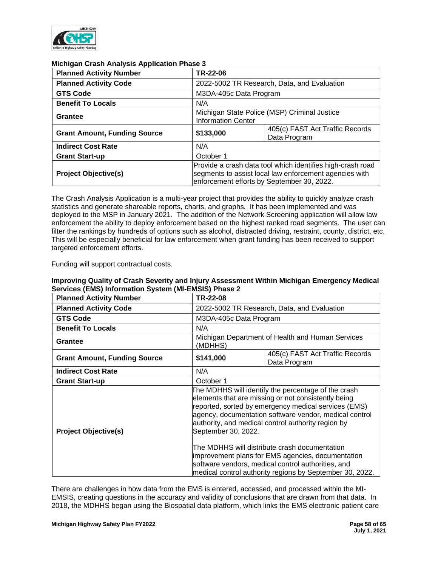

| <u>mongan orașn Anarysis Apphoanon i nasc o</u> |                                                                                                                                                                    |                                             |  |  |
|-------------------------------------------------|--------------------------------------------------------------------------------------------------------------------------------------------------------------------|---------------------------------------------|--|--|
| <b>Planned Activity Number</b>                  | TR-22-06                                                                                                                                                           |                                             |  |  |
| <b>Planned Activity Code</b>                    |                                                                                                                                                                    | 2022-5002 TR Research, Data, and Evaluation |  |  |
| <b>GTS Code</b>                                 |                                                                                                                                                                    | M3DA-405c Data Program                      |  |  |
| <b>Benefit To Locals</b>                        | N/A                                                                                                                                                                |                                             |  |  |
| Grantee                                         | Michigan State Police (MSP) Criminal Justice<br><b>Information Center</b>                                                                                          |                                             |  |  |
| <b>Grant Amount, Funding Source</b>             | 405(c) FAST Act Traffic Records<br>\$133,000<br>Data Program                                                                                                       |                                             |  |  |
| <b>Indirect Cost Rate</b>                       | N/A                                                                                                                                                                |                                             |  |  |
| <b>Grant Start-up</b>                           | October 1                                                                                                                                                          |                                             |  |  |
| <b>Project Objective(s)</b>                     | Provide a crash data tool which identifies high-crash road<br>segments to assist local law enforcement agencies with<br>enforcement efforts by September 30, 2022. |                                             |  |  |

## **Michigan Crash Analysis Application Phase 3**

The Crash Analysis Application is a multi-year project that provides the ability to quickly analyze crash statistics and generate shareable reports, charts, and graphs. It has been implemented and was deployed to the MSP in January 2021. The addition of the Network Screening application will allow law enforcement the ability to deploy enforcement based on the highest ranked road segments. The user can filter the rankings by hundreds of options such as alcohol, distracted driving, restraint, county, district, etc. This will be especially beneficial for law enforcement when grant funding has been received to support targeted enforcement efforts.

Funding will support contractual costs.

| <b>Planned Activity Number</b>      | TR-22-08                                                                                                                                                                                                                                                                                                                                                   |                                                                                                                                                                     |  |  |
|-------------------------------------|------------------------------------------------------------------------------------------------------------------------------------------------------------------------------------------------------------------------------------------------------------------------------------------------------------------------------------------------------------|---------------------------------------------------------------------------------------------------------------------------------------------------------------------|--|--|
| <b>Planned Activity Code</b>        | 2022-5002 TR Research, Data, and Evaluation                                                                                                                                                                                                                                                                                                                |                                                                                                                                                                     |  |  |
| <b>GTS Code</b>                     | M3DA-405c Data Program                                                                                                                                                                                                                                                                                                                                     |                                                                                                                                                                     |  |  |
| <b>Benefit To Locals</b>            | N/A                                                                                                                                                                                                                                                                                                                                                        |                                                                                                                                                                     |  |  |
| Grantee                             | (MDHHS)                                                                                                                                                                                                                                                                                                                                                    | Michigan Department of Health and Human Services                                                                                                                    |  |  |
| <b>Grant Amount, Funding Source</b> | 405(c) FAST Act Traffic Records<br>\$141,000<br>Data Program                                                                                                                                                                                                                                                                                               |                                                                                                                                                                     |  |  |
| <b>Indirect Cost Rate</b>           | N/A                                                                                                                                                                                                                                                                                                                                                        |                                                                                                                                                                     |  |  |
| <b>Grant Start-up</b>               | October 1                                                                                                                                                                                                                                                                                                                                                  |                                                                                                                                                                     |  |  |
| <b>Project Objective(s)</b>         | The MDHHS will identify the percentage of the crash<br>elements that are missing or not consistently being<br>reported, sorted by emergency medical services (EMS)<br>agency, documentation software vendor, medical control<br>authority, and medical control authority region by<br>September 30, 2022.<br>The MDHHS will distribute crash documentation |                                                                                                                                                                     |  |  |
|                                     |                                                                                                                                                                                                                                                                                                                                                            | improvement plans for EMS agencies, documentation<br>software vendors, medical control authorities, and<br>medical control authority regions by September 30, 2022. |  |  |

## **Improving Quality of Crash Severity and Injury Assessment Within Michigan Emergency Medical Services (EMS) Information System (MI-EMSIS) Phase 2**

There are challenges in how data from the EMS is entered, accessed, and processed within the MI-EMSIS, creating questions in the accuracy and validity of conclusions that are drawn from that data. In 2018, the MDHHS began using the Biospatial data platform, which links the EMS electronic patient care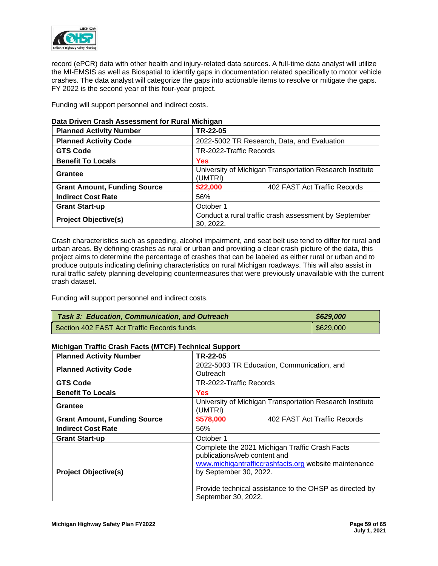

record (ePCR) data with other health and injury-related data sources. A full-time data analyst will utilize the MI-EMSIS as well as Biospatial to identify gaps in documentation related specifically to motor vehicle crashes. The data analyst will categorize the gaps into actionable items to resolve or mitigate the gaps. FY 2022 is the second year of this four-year project.

Funding will support personnel and indirect costs.

| <b>Planned Activity Number</b>      | TR-22-05                                                            |                              |  |  |
|-------------------------------------|---------------------------------------------------------------------|------------------------------|--|--|
| <b>Planned Activity Code</b>        | 2022-5002 TR Research, Data, and Evaluation                         |                              |  |  |
| <b>GTS Code</b>                     | TR-2022-Traffic Records                                             |                              |  |  |
| <b>Benefit To Locals</b>            | <b>Yes</b>                                                          |                              |  |  |
| Grantee                             | University of Michigan Transportation Research Institute<br>(UMTRI) |                              |  |  |
| <b>Grant Amount, Funding Source</b> | \$22,000                                                            | 402 FAST Act Traffic Records |  |  |
| <b>Indirect Cost Rate</b>           | 56%                                                                 |                              |  |  |
| <b>Grant Start-up</b>               | October 1                                                           |                              |  |  |
| <b>Project Objective(s)</b>         | Conduct a rural traffic crash assessment by September<br>30, 2022.  |                              |  |  |

## **Data Driven Crash Assessment for Rural Michigan**

Crash characteristics such as speeding, alcohol impairment, and seat belt use tend to differ for rural and urban areas. By defining crashes as rural or urban and providing a clear crash picture of the data, this project aims to determine the percentage of crashes that can be labeled as either rural or urban and to produce outputs indicating defining characteristics on rural Michigan roadways. This will also assist in rural traffic safety planning developing countermeasures that were previously unavailable with the current crash dataset.

Funding will support personnel and indirect costs.

| <b>Task 3: Education, Communication, and Outreach</b> | \$629,000          |
|-------------------------------------------------------|--------------------|
| Section 402 FAST Act Traffic Records funds            | $\frac{$629,000}{$ |

## **Michigan Traffic Crash Facts (MTCF) Technical Support**

| <b>Planned Activity Number</b>      | TR-22-05                                                                                                                                                                                                                                            |  |  |  |
|-------------------------------------|-----------------------------------------------------------------------------------------------------------------------------------------------------------------------------------------------------------------------------------------------------|--|--|--|
| <b>Planned Activity Code</b>        | 2022-5003 TR Education, Communication, and<br>Outreach                                                                                                                                                                                              |  |  |  |
| <b>GTS Code</b>                     | TR-2022-Traffic Records                                                                                                                                                                                                                             |  |  |  |
| <b>Benefit To Locals</b>            | <b>Yes</b>                                                                                                                                                                                                                                          |  |  |  |
| Grantee                             | University of Michigan Transportation Research Institute<br>(UMTRI)                                                                                                                                                                                 |  |  |  |
| <b>Grant Amount, Funding Source</b> | 402 FAST Act Traffic Records<br>\$578,000                                                                                                                                                                                                           |  |  |  |
| <b>Indirect Cost Rate</b>           | 56%                                                                                                                                                                                                                                                 |  |  |  |
| <b>Grant Start-up</b>               | October 1                                                                                                                                                                                                                                           |  |  |  |
| <b>Project Objective(s)</b>         | Complete the 2021 Michigan Traffic Crash Facts<br>publications/web content and<br>www.michigantrafficcrashfacts.org website maintenance<br>by September 30, 2022.<br>Provide technical assistance to the OHSP as directed by<br>September 30, 2022. |  |  |  |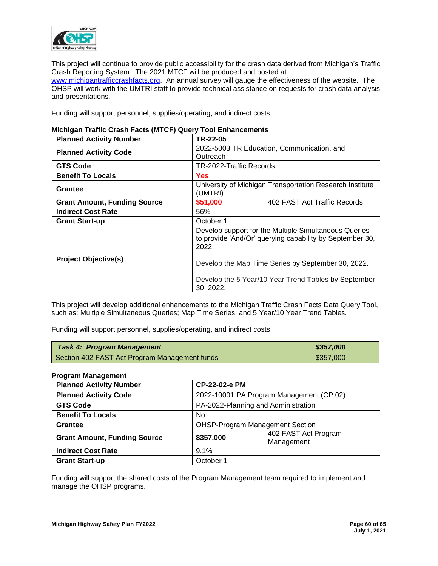

This project will continue to provide public accessibility for the crash data derived from Michigan's Traffic Crash Reporting System. The 2021 MTCF will be produced and posted at [www.michigantrafficcrashfacts.org.](http://www.michigantrafficcrashfacts.org/) An annual survey will gauge the effectiveness of the website. The OHSP will work with the UMTRI staff to provide technical assistance on requests for crash data analysis and presentations.

Funding will support personnel, supplies/operating, and indirect costs.

| <b>Planned Activity Number</b>      | TR-22-05                                                                                                                   |  |  |  |
|-------------------------------------|----------------------------------------------------------------------------------------------------------------------------|--|--|--|
| <b>Planned Activity Code</b>        | 2022-5003 TR Education, Communication, and<br>Outreach                                                                     |  |  |  |
| <b>GTS Code</b>                     | TR-2022-Traffic Records                                                                                                    |  |  |  |
| <b>Benefit To Locals</b>            | <b>Yes</b>                                                                                                                 |  |  |  |
| Grantee                             | University of Michigan Transportation Research Institute<br>(UMTRI)                                                        |  |  |  |
| <b>Grant Amount, Funding Source</b> | 402 FAST Act Traffic Records<br>\$51,000                                                                                   |  |  |  |
| <b>Indirect Cost Rate</b>           | 56%                                                                                                                        |  |  |  |
| <b>Grant Start-up</b>               | October 1                                                                                                                  |  |  |  |
|                                     | Develop support for the Multiple Simultaneous Queries<br>to provide 'And/Or' querying capability by September 30,<br>2022. |  |  |  |
| <b>Project Objective(s)</b>         | Develop the Map Time Series by September 30, 2022.                                                                         |  |  |  |
|                                     | Develop the 5 Year/10 Year Trend Tables by September<br>30, 2022.                                                          |  |  |  |

# **Michigan Traffic Crash Facts (MTCF) Query Tool Enhancements**

This project will develop additional enhancements to the Michigan Traffic Crash Facts Data Query Tool, such as: Multiple Simultaneous Queries; Map Time Series; and 5 Year/10 Year Trend Tables.

Funding will support personnel, supplies/operating, and indirect costs.

| <b>Task 4: Program Management</b>             | 8357,000  |
|-----------------------------------------------|-----------|
| Section 402 FAST Act Program Management funds | \$357,000 |

## **Program Management**

| <b>Planned Activity Number</b>      |           | CP-22-02-e PM                            |  |  |
|-------------------------------------|-----------|------------------------------------------|--|--|
| <b>Planned Activity Code</b>        |           | 2022-10001 PA Program Management (CP 02) |  |  |
| <b>GTS Code</b>                     |           | PA-2022-Planning and Administration      |  |  |
| <b>Benefit To Locals</b>            | No.       |                                          |  |  |
| <b>Grantee</b>                      |           | <b>OHSP-Program Management Section</b>   |  |  |
| <b>Grant Amount, Funding Source</b> | \$357,000 | 402 FAST Act Program<br>Management       |  |  |
| <b>Indirect Cost Rate</b>           | 9.1%      |                                          |  |  |
| <b>Grant Start-up</b>               | October 1 |                                          |  |  |

Funding will support the shared costs of the Program Management team required to implement and manage the OHSP programs.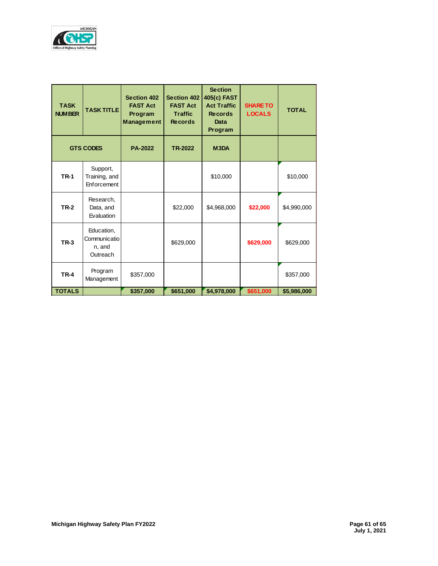

| <b>TASK</b><br><b>NUMBER</b> | <b>TASK TITLE</b>                                | <b>Section 402</b><br><b>FAST Act</b><br>Program<br><b>Management</b> | <b>Section 402</b><br><b>FAST Act</b><br><b>Traffic</b><br><b>Records</b> | <b>Section</b><br>405(c) FAST<br><b>Act Traffic</b><br><b>Records</b><br>Data<br>Program | <b>SHARE TO</b><br><b>LOCALS</b> | <b>TOTAL</b> |
|------------------------------|--------------------------------------------------|-----------------------------------------------------------------------|---------------------------------------------------------------------------|------------------------------------------------------------------------------------------|----------------------------------|--------------|
|                              | <b>GTS CODES</b>                                 | <b>PA-2022</b>                                                        | <b>TR-2022</b>                                                            | M <sub>3</sub> DA                                                                        |                                  |              |
| <b>TR-1</b>                  | Support,<br>Training, and<br>Enforcement         |                                                                       |                                                                           | \$10,000                                                                                 |                                  | \$10,000     |
| <b>TR-2</b>                  | Research,<br>Data, and<br>Evaluation             |                                                                       | \$22,000                                                                  | \$4,968,000                                                                              | \$22,000                         | \$4,990,000  |
| <b>TR-3</b>                  | Education,<br>Communicatio<br>n, and<br>Outreach |                                                                       | \$629,000                                                                 |                                                                                          | \$629,000                        | \$629,000    |
| <b>TR-4</b>                  | Program<br>Management                            | \$357,000                                                             |                                                                           |                                                                                          |                                  | \$357,000    |
| <b>TOTALS</b>                |                                                  | \$357,000                                                             | \$651,000                                                                 | \$4,978,000                                                                              | \$651,000                        | \$5,986,000  |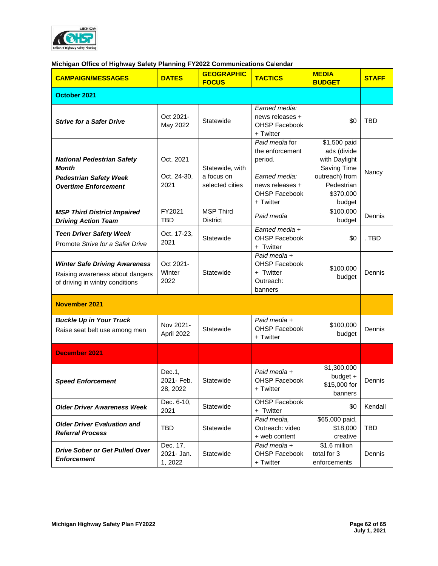

# **Michigan Office of Highway Safety Planning FY2022 Communications Ca**l**endar**

| <b>CAMPAIGN/MESSAGES</b>                                                                                          | <b>DATES</b>                      | <b>GEOGRAPHIC</b><br><b>FOCUS</b>                | <b>TACTICS</b>                                                                                                        | <b>MEDIA</b><br><b>BUDGET</b>                                                                                      | <b>STAFF</b> |
|-------------------------------------------------------------------------------------------------------------------|-----------------------------------|--------------------------------------------------|-----------------------------------------------------------------------------------------------------------------------|--------------------------------------------------------------------------------------------------------------------|--------------|
| October 2021                                                                                                      |                                   |                                                  |                                                                                                                       |                                                                                                                    |              |
| <b>Strive for a Safer Drive</b>                                                                                   | Oct 2021-<br>May 2022             | Statewide                                        | Earned media:<br>news releases +<br><b>OHSP Facebook</b><br>+ Twitter                                                 | \$0                                                                                                                | <b>TBD</b>   |
| <b>National Pedestrian Safety</b><br><b>Month</b><br><b>Pedestrian Safety Week</b><br><b>Overtime Enforcement</b> | Oct. 2021<br>Oct. 24-30,<br>2021  | Statewide, with<br>a focus on<br>selected cities | Paid media for<br>the enforcement<br>period.<br>Earned media:<br>news releases +<br><b>OHSP Facebook</b><br>+ Twitter | \$1,500 paid<br>ads (divide<br>with Daylight<br>Saving Time<br>outreach) from<br>Pedestrian<br>\$370,000<br>budget | Nancy        |
| <b>MSP Third District Impaired</b><br><b>Driving Action Team</b>                                                  | FY2021<br><b>TBD</b>              | <b>MSP Third</b><br><b>District</b>              | Paid media                                                                                                            | \$100,000<br>budget                                                                                                | Dennis       |
| <b>Teen Driver Safety Week</b><br>Promote Strive for a Safer Drive                                                | Oct. 17-23,<br>2021               | Statewide                                        | Earned media +<br><b>OHSP Facebook</b><br>+ Twitter                                                                   | \$0                                                                                                                | . TBD        |
| <b>Winter Safe Driving Awareness</b><br>Raising awareness about dangers<br>of driving in wintry conditions        | Oct 2021-<br>Winter<br>2022       | Statewide                                        | Paid media +<br><b>OHSP Facebook</b><br>+ Twitter<br>Outreach:<br>banners                                             | \$100,000<br>budget                                                                                                | Dennis       |
| <b>November 2021</b>                                                                                              |                                   |                                                  |                                                                                                                       |                                                                                                                    |              |
| <b>Buckle Up in Your Truck</b><br>Raise seat belt use among men                                                   | Nov 2021-<br>April 2022           | Statewide                                        | Paid media +<br><b>OHSP Facebook</b><br>+ Twitter                                                                     | \$100,000<br>budget                                                                                                | Dennis       |
| <b>December 2021</b>                                                                                              |                                   |                                                  |                                                                                                                       |                                                                                                                    |              |
| <b>Speed Enforcement</b>                                                                                          | Dec.1,<br>2021- Feb.<br>28, 2022  | Statewide                                        | Paid media +<br>OHSP Facebook<br>+ Twitter                                                                            | \$1,300,000<br>budget +<br>\$15,000 for<br>banners                                                                 | Dennis       |
| <b>Older Driver Awareness Week</b>                                                                                | Dec. 6-10,<br>2021                | Statewide                                        | <b>OHSP Facebook</b><br>+ Twitter                                                                                     | \$0                                                                                                                | Kendall      |
| <b>Older Driver Evaluation and</b><br><b>Referral Process</b>                                                     | <b>TBD</b>                        | Statewide                                        | Paid media,<br>Outreach: video<br>+ web content                                                                       | \$65,000 paid,<br>\$18,000<br>creative                                                                             | <b>TBD</b>   |
| Drive Sober or Get Pulled Over<br><b>Enforcement</b>                                                              | Dec. 17,<br>2021- Jan.<br>1, 2022 | Statewide                                        | Paid media +<br>OHSP Facebook<br>+ Twitter                                                                            | \$1.6 million<br>total for 3<br>enforcements                                                                       | Dennis       |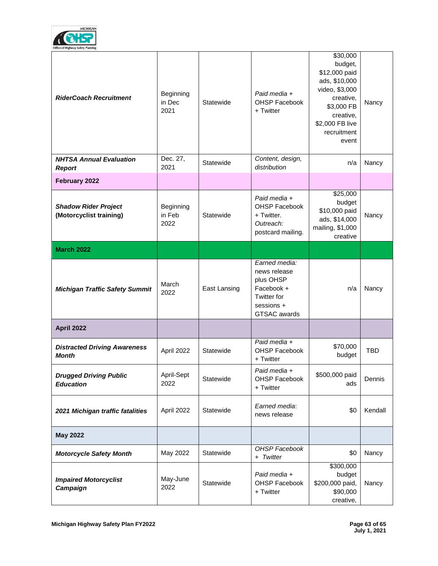

| <b>RiderCoach Recruitment</b>                          | Beginning<br>in Dec<br>2021 | Statewide    | Paid media +<br><b>OHSP Facebook</b><br>+ Twitter                                                                   | \$30,000<br>budget,<br>\$12,000 paid<br>ads, \$10,000<br>video, \$3,000<br>creative,<br>\$3,000 FB<br>creative,<br>\$2,000 FB live<br>recruitment<br>event | Nancy      |
|--------------------------------------------------------|-----------------------------|--------------|---------------------------------------------------------------------------------------------------------------------|------------------------------------------------------------------------------------------------------------------------------------------------------------|------------|
| <b>NHTSA Annual Evaluation</b><br><b>Report</b>        | Dec. 27,<br>2021            | Statewide    | Content, design,<br>distribution                                                                                    | n/a                                                                                                                                                        | Nancy      |
| February 2022                                          |                             |              |                                                                                                                     |                                                                                                                                                            |            |
| <b>Shadow Rider Project</b><br>(Motorcyclist training) | Beginning<br>in Feb<br>2022 | Statewide    | Paid media +<br><b>OHSP Facebook</b><br>+ Twitter.<br>Outreach:<br>postcard mailing.                                | \$25,000<br>budget<br>\$10,000 paid<br>ads, \$14,000<br>mailing, \$1,000<br>creative                                                                       | Nancy      |
| <b>March 2022</b>                                      |                             |              |                                                                                                                     |                                                                                                                                                            |            |
| <b>Michigan Traffic Safety Summit</b>                  | March<br>2022               | East Lansing | Earned media:<br>news release<br>plus OHSP<br>Facebook +<br><b>Twitter for</b><br>sessions +<br><b>GTSAC</b> awards | n/a                                                                                                                                                        | Nancy      |
| <b>April 2022</b>                                      |                             |              |                                                                                                                     |                                                                                                                                                            |            |
| <b>Distracted Driving Awareness</b><br><b>Month</b>    | April 2022                  | Statewide    | Paid media +<br>OHSP Facebook<br>+ Twitter                                                                          | \$70,000<br>budget                                                                                                                                         | <b>TBD</b> |
| <b>Drugged Driving Public</b><br><b>Education</b>      | April-Sept<br>2022          | Statewide    | Paid media +<br><b>OHSP Facebook</b><br>+ Twitter                                                                   | \$500,000 paid<br>ads                                                                                                                                      | Dennis     |
| 2021 Michigan traffic fatalities                       | April 2022                  | Statewide    | Earned media:<br>news release                                                                                       | \$0                                                                                                                                                        | Kendall    |
| <b>May 2022</b>                                        |                             |              |                                                                                                                     |                                                                                                                                                            |            |
| <b>Motorcycle Safety Month</b>                         | May 2022                    | Statewide    | <b>OHSP Facebook</b><br>+ Twitter                                                                                   | \$0                                                                                                                                                        | Nancy      |
| <b>Impaired Motorcyclist</b><br>Campaign               | May-June<br>2022            | Statewide    | Paid media +<br>OHSP Facebook<br>+ Twitter                                                                          | \$300,000<br>budget<br>\$200,000 paid,<br>\$90,000<br>creative,                                                                                            | Nancy      |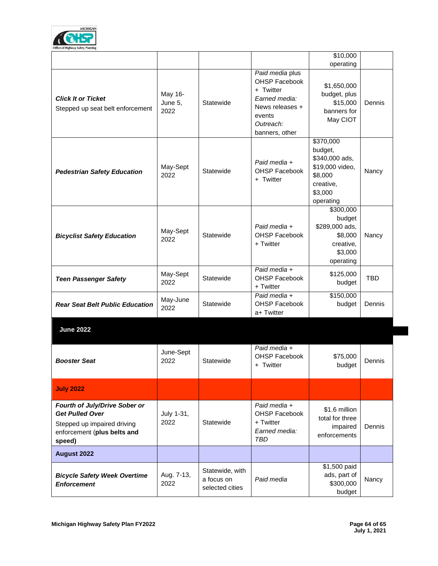

|                                                                         |                            |              |                                                                                                         | $\overline{$10,000}$                                                                                      |            |
|-------------------------------------------------------------------------|----------------------------|--------------|---------------------------------------------------------------------------------------------------------|-----------------------------------------------------------------------------------------------------------|------------|
|                                                                         |                            |              | Paid media plus                                                                                         | operating                                                                                                 |            |
| <b>Click It or Ticket</b><br>Stepped up seat belt enforcement           | May 16-<br>June 5,<br>2022 | Statewide    | OHSP Facebook<br>+ Twitter<br>Earned media:<br>News releases +<br>events<br>Outreach:<br>banners, other | \$1,650,000<br>budget, plus<br>\$15,000<br>banners for<br>May CIOT                                        | Dennis     |
| <b>Pedestrian Safety Education</b>                                      | May-Sept<br>2022           | Statewide    | Paid media +<br>OHSP Facebook<br>+ Twitter                                                              | \$370,000<br>budget,<br>\$340,000 ads,<br>\$19,000 video,<br>\$8,000<br>creative,<br>\$3,000<br>operating | Nancy      |
| <b>Bicyclist Safety Education</b>                                       | May-Sept<br>2022           | Statewide    | Paid media +<br><b>OHSP Facebook</b><br>+ Twitter                                                       | \$300,000<br>budget<br>\$289,000 ads,<br>\$8,000<br>creative,<br>\$3,000<br>operating                     | Nancy      |
| <b>Teen Passenger Safety</b>                                            | May-Sept<br>2022           | Statewide    | Paid media +<br><b>OHSP Facebook</b><br>+ Twitter                                                       | \$125,000<br>budget                                                                                       | <b>TBD</b> |
| <b>Rear Seat Belt Public Education</b>                                  | May-June<br>2022           | Statewide    | Paid media +<br><b>OHSP Facebook</b><br>a+ Twitter                                                      | \$150,000<br>budget                                                                                       | Dennis     |
| <b>June 2022</b>                                                        |                            |              |                                                                                                         |                                                                                                           |            |
| <b>Booster Seat</b>                                                     | June-Sept<br>2022          | Statewide    | Paid media +<br><b>OHSP Facebook</b><br>+ Twitter                                                       | \$75,000<br>budget                                                                                        | Dennis     |
| <b>July 2022</b>                                                        |                            |              |                                                                                                         |                                                                                                           |            |
| Fourth of July/Drive Sober or<br><b>Get Pulled Over</b><br>$\mathbf{r}$ | July 1-31,<br>_ רב∩ר       | $C$ totovido | Paid media +<br><b>OHSP Facebook</b><br>T                                                               | \$1.6 million<br>total for three                                                                          |            |

| <b>Get Pulled Over</b><br>Stepped up impaired driving<br>enforcement (plus belts and<br>speed) | July 1-31,<br>2022 | Statewide                                        | , ana , no ana .<br>OHSP Facebook<br>+ Twitter<br>Earned media:<br>TBD | \$1.6 million<br>total for three<br>impaired<br>enforcements | Dennis |
|------------------------------------------------------------------------------------------------|--------------------|--------------------------------------------------|------------------------------------------------------------------------|--------------------------------------------------------------|--------|
| August 2022                                                                                    |                    |                                                  |                                                                        |                                                              |        |
| <b>Bicycle Safety Week Overtime</b><br><b>Enforcement</b>                                      | Aug. 7-13,<br>2022 | Statewide, with<br>a focus on<br>selected cities | Paid media                                                             | \$1,500 paid<br>ads, part of<br>\$300,000<br>budget          | Nancy  |